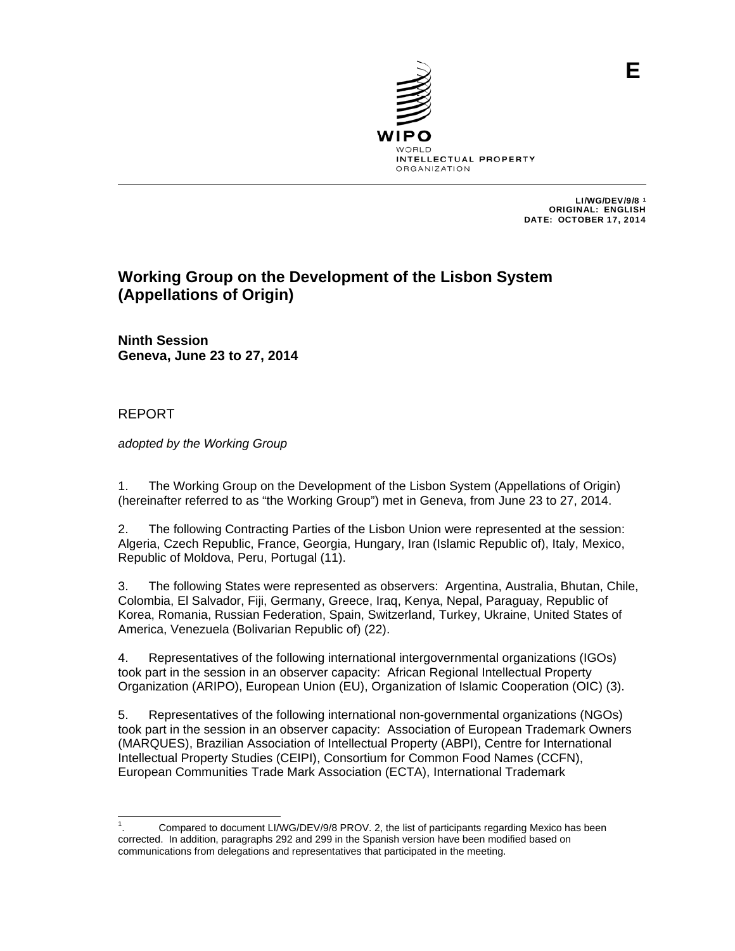

 LI/WG/DEV/9/8 <sup>1</sup> ORIGINAL: ENGLISH DATE: OCTOBER 17, 2014

# **Working Group on the Development of the Lisbon System (Appellations of Origin)**

**Ninth Session Geneva, June 23 to 27, 2014**

# REPORT

*adopted by the Working Group*

1. The Working Group on the Development of the Lisbon System (Appellations of Origin) (hereinafter referred to as "the Working Group") met in Geneva, from June 23 to 27, 2014.

2. The following Contracting Parties of the Lisbon Union were represented at the session: Algeria, Czech Republic, France, Georgia, Hungary, Iran (Islamic Republic of), Italy, Mexico, Republic of Moldova, Peru, Portugal (11).

3. The following States were represented as observers: Argentina, Australia, Bhutan, Chile, Colombia, El Salvador, Fiji, Germany, Greece, Iraq, Kenya, Nepal, Paraguay, Republic of Korea, Romania, Russian Federation, Spain, Switzerland, Turkey, Ukraine, United States of America, Venezuela (Bolivarian Republic of) (22).

4. Representatives of the following international intergovernmental organizations (IGOs) took part in the session in an observer capacity: African Regional Intellectual Property Organization (ARIPO), European Union (EU), Organization of Islamic Cooperation (OIC) (3).

5. Representatives of the following international non-governmental organizations (NGOs) took part in the session in an observer capacity: Association of European Trademark Owners (MARQUES), Brazilian Association of Intellectual Property (ABPI), Centre for International Intellectual Property Studies (CEIPI), Consortium for Common Food Names (CCFN), European Communities Trade Mark Association (ECTA), International Trademark

 $\frac{1}{1}$ . Compared to document LI/WG/DEV/9/8 PROV. 2, the list of participants regarding Mexico has been corrected. In addition, paragraphs 292 and 299 in the Spanish version have been modified based on communications from delegations and representatives that participated in the meeting.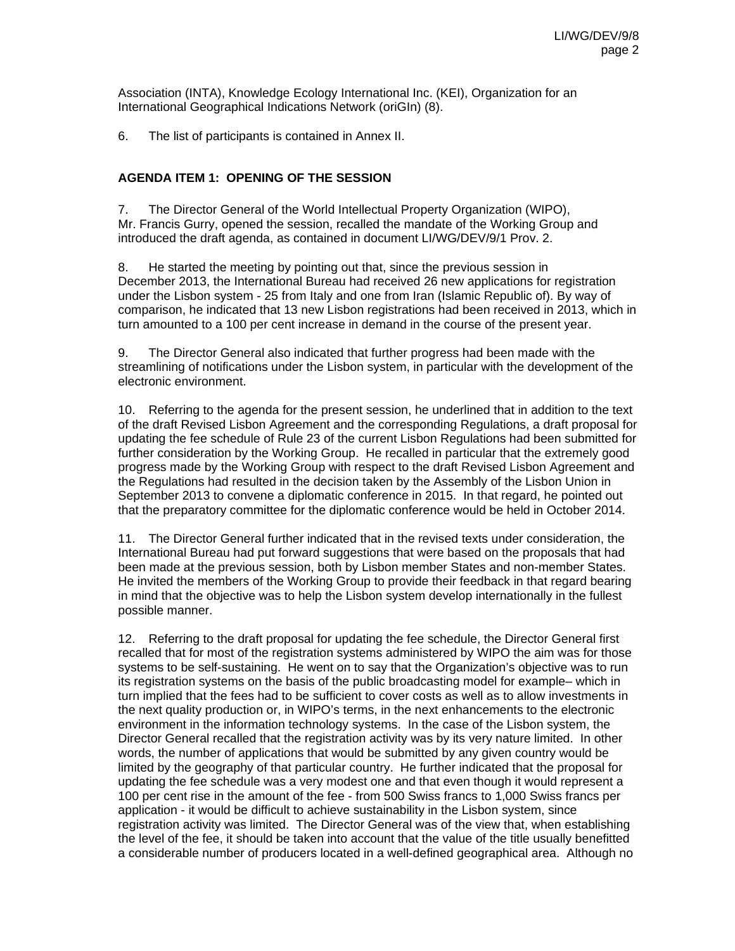Association (INTA), Knowledge Ecology International Inc. (KEI), Organization for an International Geographical Indications Network (oriGIn) (8).

6. The list of participants is contained in Annex II.

# **AGENDA ITEM 1: OPENING OF THE SESSION**

7. The Director General of the World Intellectual Property Organization (WIPO), Mr. Francis Gurry, opened the session, recalled the mandate of the Working Group and introduced the draft agenda, as contained in document LI/WG/DEV/9/1 Prov. 2.

8. He started the meeting by pointing out that, since the previous session in December 2013, the International Bureau had received 26 new applications for registration under the Lisbon system - 25 from Italy and one from Iran (Islamic Republic of). By way of comparison, he indicated that 13 new Lisbon registrations had been received in 2013, which in turn amounted to a 100 per cent increase in demand in the course of the present year.

9. The Director General also indicated that further progress had been made with the streamlining of notifications under the Lisbon system, in particular with the development of the electronic environment.

10. Referring to the agenda for the present session, he underlined that in addition to the text of the draft Revised Lisbon Agreement and the corresponding Regulations, a draft proposal for updating the fee schedule of Rule 23 of the current Lisbon Regulations had been submitted for further consideration by the Working Group. He recalled in particular that the extremely good progress made by the Working Group with respect to the draft Revised Lisbon Agreement and the Regulations had resulted in the decision taken by the Assembly of the Lisbon Union in September 2013 to convene a diplomatic conference in 2015. In that regard, he pointed out that the preparatory committee for the diplomatic conference would be held in October 2014.

11. The Director General further indicated that in the revised texts under consideration, the International Bureau had put forward suggestions that were based on the proposals that had been made at the previous session, both by Lisbon member States and non-member States. He invited the members of the Working Group to provide their feedback in that regard bearing in mind that the objective was to help the Lisbon system develop internationally in the fullest possible manner.

12. Referring to the draft proposal for updating the fee schedule, the Director General first recalled that for most of the registration systems administered by WIPO the aim was for those systems to be self-sustaining. He went on to say that the Organization's objective was to run its registration systems on the basis of the public broadcasting model for example– which in turn implied that the fees had to be sufficient to cover costs as well as to allow investments in the next quality production or, in WIPO's terms, in the next enhancements to the electronic environment in the information technology systems. In the case of the Lisbon system, the Director General recalled that the registration activity was by its very nature limited. In other words, the number of applications that would be submitted by any given country would be limited by the geography of that particular country. He further indicated that the proposal for updating the fee schedule was a very modest one and that even though it would represent a 100 per cent rise in the amount of the fee - from 500 Swiss francs to 1,000 Swiss francs per application - it would be difficult to achieve sustainability in the Lisbon system, since registration activity was limited. The Director General was of the view that, when establishing the level of the fee, it should be taken into account that the value of the title usually benefitted a considerable number of producers located in a well-defined geographical area. Although no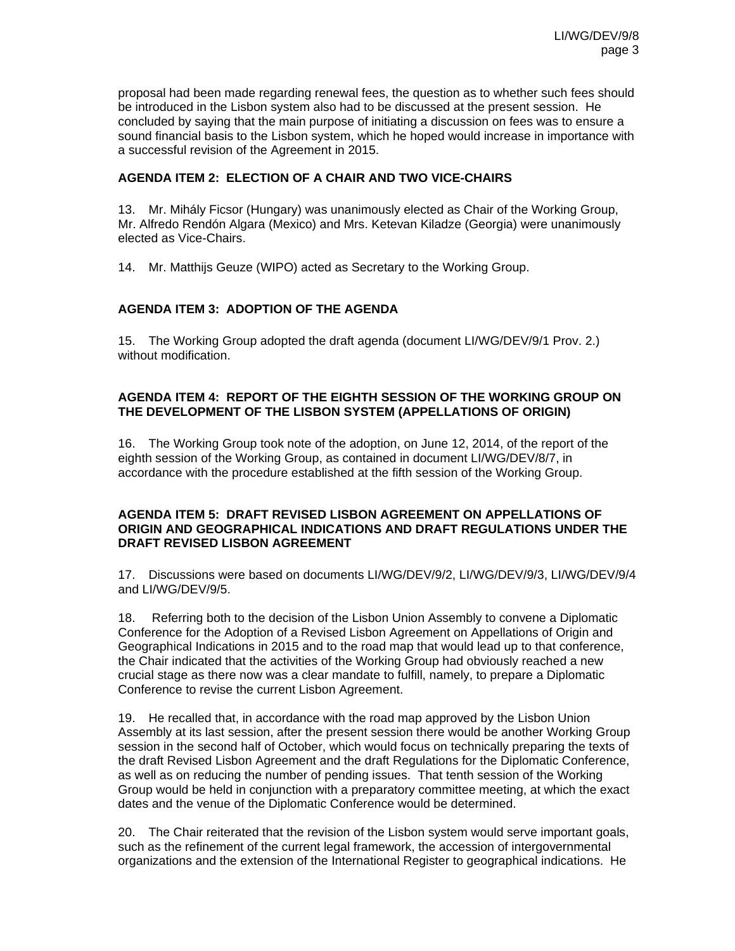proposal had been made regarding renewal fees, the question as to whether such fees should be introduced in the Lisbon system also had to be discussed at the present session. He concluded by saying that the main purpose of initiating a discussion on fees was to ensure a sound financial basis to the Lisbon system, which he hoped would increase in importance with a successful revision of the Agreement in 2015.

## **AGENDA ITEM 2: ELECTION OF A CHAIR AND TWO VICE-CHAIRS**

13. Mr. Mihály Ficsor (Hungary) was unanimously elected as Chair of the Working Group, Mr. Alfredo Rendón Algara (Mexico) and Mrs. Ketevan Kiladze (Georgia) were unanimously elected as Vice-Chairs.

14. Mr. Matthijs Geuze (WIPO) acted as Secretary to the Working Group.

## **AGENDA ITEM 3: ADOPTION OF THE AGENDA**

15. The Working Group adopted the draft agenda (document LI/WG/DEV/9/1 Prov. 2.) without modification.

## **AGENDA ITEM 4: REPORT OF THE EIGHTH SESSION OF THE WORKING GROUP ON THE DEVELOPMENT OF THE LISBON SYSTEM (APPELLATIONS OF ORIGIN)**

16. The Working Group took note of the adoption, on June 12, 2014, of the report of the eighth session of the Working Group, as contained in document LI/WG/DEV/8/7, in accordance with the procedure established at the fifth session of the Working Group.

## **AGENDA ITEM 5: DRAFT REVISED LISBON AGREEMENT ON APPELLATIONS OF ORIGIN AND GEOGRAPHICAL INDICATIONS AND DRAFT REGULATIONS UNDER THE DRAFT REVISED LISBON AGREEMENT**

17. Discussions were based on documents LI/WG/DEV/9/2, LI/WG/DEV/9/3, LI/WG/DEV/9/4 and LI/WG/DEV/9/5.

18. Referring both to the decision of the Lisbon Union Assembly to convene a Diplomatic Conference for the Adoption of a Revised Lisbon Agreement on Appellations of Origin and Geographical Indications in 2015 and to the road map that would lead up to that conference, the Chair indicated that the activities of the Working Group had obviously reached a new crucial stage as there now was a clear mandate to fulfill, namely, to prepare a Diplomatic Conference to revise the current Lisbon Agreement.

19. He recalled that, in accordance with the road map approved by the Lisbon Union Assembly at its last session, after the present session there would be another Working Group session in the second half of October, which would focus on technically preparing the texts of the draft Revised Lisbon Agreement and the draft Regulations for the Diplomatic Conference, as well as on reducing the number of pending issues. That tenth session of the Working Group would be held in conjunction with a preparatory committee meeting, at which the exact dates and the venue of the Diplomatic Conference would be determined.

20. The Chair reiterated that the revision of the Lisbon system would serve important goals, such as the refinement of the current legal framework, the accession of intergovernmental organizations and the extension of the International Register to geographical indications. He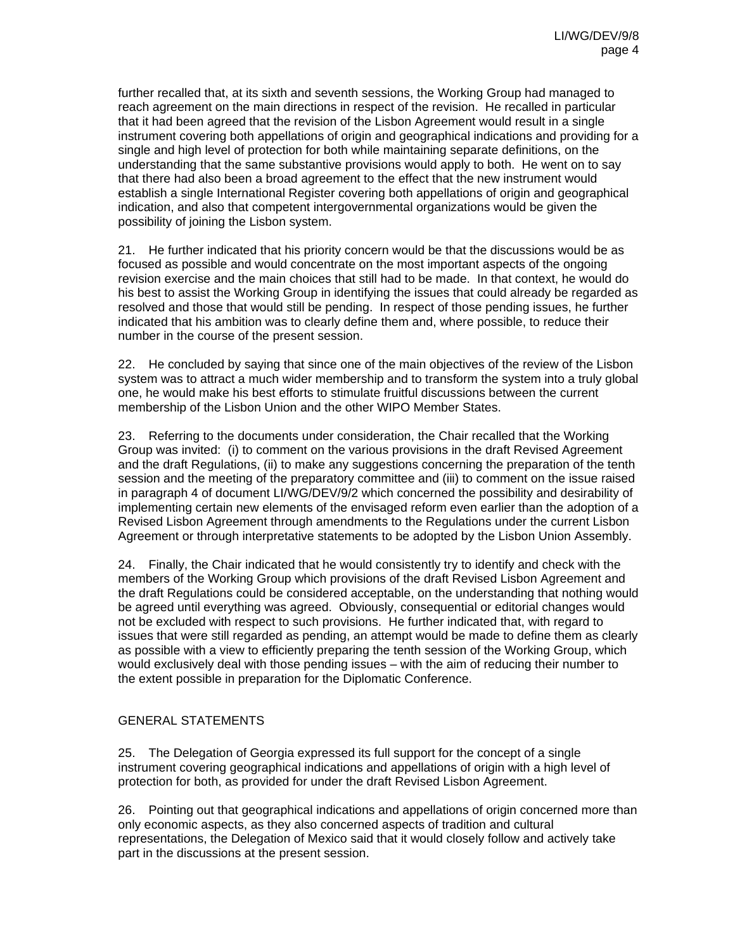further recalled that, at its sixth and seventh sessions, the Working Group had managed to reach agreement on the main directions in respect of the revision. He recalled in particular that it had been agreed that the revision of the Lisbon Agreement would result in a single instrument covering both appellations of origin and geographical indications and providing for a single and high level of protection for both while maintaining separate definitions, on the understanding that the same substantive provisions would apply to both. He went on to say that there had also been a broad agreement to the effect that the new instrument would establish a single International Register covering both appellations of origin and geographical indication, and also that competent intergovernmental organizations would be given the possibility of joining the Lisbon system.

21. He further indicated that his priority concern would be that the discussions would be as focused as possible and would concentrate on the most important aspects of the ongoing revision exercise and the main choices that still had to be made. In that context, he would do his best to assist the Working Group in identifying the issues that could already be regarded as resolved and those that would still be pending. In respect of those pending issues, he further indicated that his ambition was to clearly define them and, where possible, to reduce their number in the course of the present session.

22. He concluded by saying that since one of the main objectives of the review of the Lisbon system was to attract a much wider membership and to transform the system into a truly global one, he would make his best efforts to stimulate fruitful discussions between the current membership of the Lisbon Union and the other WIPO Member States.

23. Referring to the documents under consideration, the Chair recalled that the Working Group was invited: (i) to comment on the various provisions in the draft Revised Agreement and the draft Regulations, (ii) to make any suggestions concerning the preparation of the tenth session and the meeting of the preparatory committee and (iii) to comment on the issue raised in paragraph 4 of document LI/WG/DEV/9/2 which concerned the possibility and desirability of implementing certain new elements of the envisaged reform even earlier than the adoption of a Revised Lisbon Agreement through amendments to the Regulations under the current Lisbon Agreement or through interpretative statements to be adopted by the Lisbon Union Assembly.

24. Finally, the Chair indicated that he would consistently try to identify and check with the members of the Working Group which provisions of the draft Revised Lisbon Agreement and the draft Regulations could be considered acceptable, on the understanding that nothing would be agreed until everything was agreed. Obviously, consequential or editorial changes would not be excluded with respect to such provisions. He further indicated that, with regard to issues that were still regarded as pending, an attempt would be made to define them as clearly as possible with a view to efficiently preparing the tenth session of the Working Group, which would exclusively deal with those pending issues – with the aim of reducing their number to the extent possible in preparation for the Diplomatic Conference.

## GENERAL STATEMENTS

25. The Delegation of Georgia expressed its full support for the concept of a single instrument covering geographical indications and appellations of origin with a high level of protection for both, as provided for under the draft Revised Lisbon Agreement.

26. Pointing out that geographical indications and appellations of origin concerned more than only economic aspects, as they also concerned aspects of tradition and cultural representations, the Delegation of Mexico said that it would closely follow and actively take part in the discussions at the present session.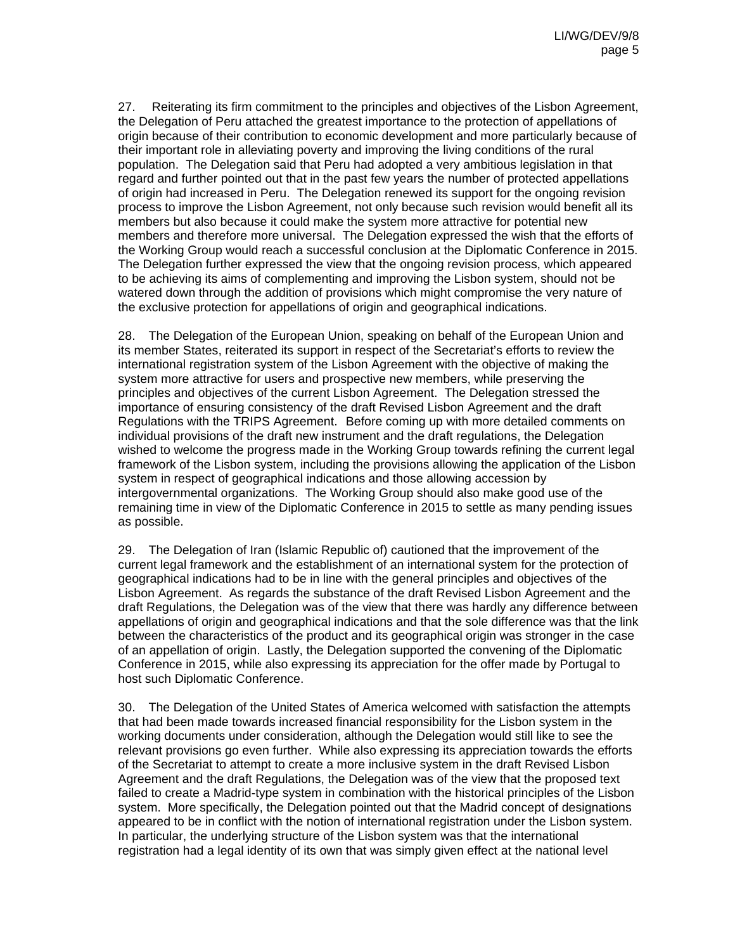27. Reiterating its firm commitment to the principles and objectives of the Lisbon Agreement, the Delegation of Peru attached the greatest importance to the protection of appellations of origin because of their contribution to economic development and more particularly because of their important role in alleviating poverty and improving the living conditions of the rural population. The Delegation said that Peru had adopted a very ambitious legislation in that regard and further pointed out that in the past few years the number of protected appellations of origin had increased in Peru. The Delegation renewed its support for the ongoing revision process to improve the Lisbon Agreement, not only because such revision would benefit all its members but also because it could make the system more attractive for potential new members and therefore more universal. The Delegation expressed the wish that the efforts of the Working Group would reach a successful conclusion at the Diplomatic Conference in 2015. The Delegation further expressed the view that the ongoing revision process, which appeared to be achieving its aims of complementing and improving the Lisbon system, should not be watered down through the addition of provisions which might compromise the very nature of the exclusive protection for appellations of origin and geographical indications.

28. The Delegation of the European Union, speaking on behalf of the European Union and its member States, reiterated its support in respect of the Secretariat's efforts to review the international registration system of the Lisbon Agreement with the objective of making the system more attractive for users and prospective new members, while preserving the principles and objectives of the current Lisbon Agreement. The Delegation stressed the importance of ensuring consistency of the draft Revised Lisbon Agreement and the draft Regulations with the TRIPS Agreement. Before coming up with more detailed comments on individual provisions of the draft new instrument and the draft regulations, the Delegation wished to welcome the progress made in the Working Group towards refining the current legal framework of the Lisbon system, including the provisions allowing the application of the Lisbon system in respect of geographical indications and those allowing accession by intergovernmental organizations. The Working Group should also make good use of the remaining time in view of the Diplomatic Conference in 2015 to settle as many pending issues as possible.

29. The Delegation of Iran (Islamic Republic of) cautioned that the improvement of the current legal framework and the establishment of an international system for the protection of geographical indications had to be in line with the general principles and objectives of the Lisbon Agreement. As regards the substance of the draft Revised Lisbon Agreement and the draft Regulations, the Delegation was of the view that there was hardly any difference between appellations of origin and geographical indications and that the sole difference was that the link between the characteristics of the product and its geographical origin was stronger in the case of an appellation of origin. Lastly, the Delegation supported the convening of the Diplomatic Conference in 2015, while also expressing its appreciation for the offer made by Portugal to host such Diplomatic Conference.

30. The Delegation of the United States of America welcomed with satisfaction the attempts that had been made towards increased financial responsibility for the Lisbon system in the working documents under consideration, although the Delegation would still like to see the relevant provisions go even further. While also expressing its appreciation towards the efforts of the Secretariat to attempt to create a more inclusive system in the draft Revised Lisbon Agreement and the draft Regulations, the Delegation was of the view that the proposed text failed to create a Madrid-type system in combination with the historical principles of the Lisbon system. More specifically, the Delegation pointed out that the Madrid concept of designations appeared to be in conflict with the notion of international registration under the Lisbon system. In particular, the underlying structure of the Lisbon system was that the international registration had a legal identity of its own that was simply given effect at the national level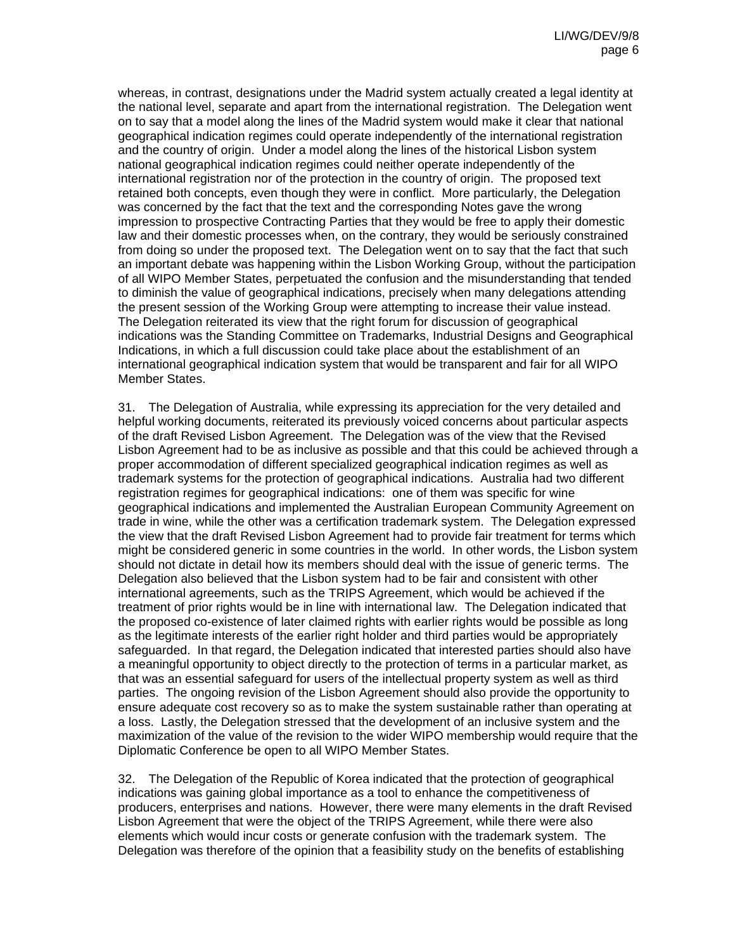whereas, in contrast, designations under the Madrid system actually created a legal identity at the national level, separate and apart from the international registration. The Delegation went on to say that a model along the lines of the Madrid system would make it clear that national geographical indication regimes could operate independently of the international registration and the country of origin. Under a model along the lines of the historical Lisbon system national geographical indication regimes could neither operate independently of the international registration nor of the protection in the country of origin. The proposed text retained both concepts, even though they were in conflict. More particularly, the Delegation was concerned by the fact that the text and the corresponding Notes gave the wrong impression to prospective Contracting Parties that they would be free to apply their domestic law and their domestic processes when, on the contrary, they would be seriously constrained from doing so under the proposed text. The Delegation went on to say that the fact that such an important debate was happening within the Lisbon Working Group, without the participation of all WIPO Member States, perpetuated the confusion and the misunderstanding that tended to diminish the value of geographical indications, precisely when many delegations attending the present session of the Working Group were attempting to increase their value instead. The Delegation reiterated its view that the right forum for discussion of geographical indications was the Standing Committee on Trademarks, Industrial Designs and Geographical Indications, in which a full discussion could take place about the establishment of an international geographical indication system that would be transparent and fair for all WIPO Member States.

31. The Delegation of Australia, while expressing its appreciation for the very detailed and helpful working documents, reiterated its previously voiced concerns about particular aspects of the draft Revised Lisbon Agreement. The Delegation was of the view that the Revised Lisbon Agreement had to be as inclusive as possible and that this could be achieved through a proper accommodation of different specialized geographical indication regimes as well as trademark systems for the protection of geographical indications. Australia had two different registration regimes for geographical indications: one of them was specific for wine geographical indications and implemented the Australian European Community Agreement on trade in wine, while the other was a certification trademark system. The Delegation expressed the view that the draft Revised Lisbon Agreement had to provide fair treatment for terms which might be considered generic in some countries in the world. In other words, the Lisbon system should not dictate in detail how its members should deal with the issue of generic terms. The Delegation also believed that the Lisbon system had to be fair and consistent with other international agreements, such as the TRIPS Agreement, which would be achieved if the treatment of prior rights would be in line with international law. The Delegation indicated that the proposed co-existence of later claimed rights with earlier rights would be possible as long as the legitimate interests of the earlier right holder and third parties would be appropriately safeguarded. In that regard, the Delegation indicated that interested parties should also have a meaningful opportunity to object directly to the protection of terms in a particular market, as that was an essential safeguard for users of the intellectual property system as well as third parties. The ongoing revision of the Lisbon Agreement should also provide the opportunity to ensure adequate cost recovery so as to make the system sustainable rather than operating at a loss. Lastly, the Delegation stressed that the development of an inclusive system and the maximization of the value of the revision to the wider WIPO membership would require that the Diplomatic Conference be open to all WIPO Member States.

32. The Delegation of the Republic of Korea indicated that the protection of geographical indications was gaining global importance as a tool to enhance the competitiveness of producers, enterprises and nations. However, there were many elements in the draft Revised Lisbon Agreement that were the object of the TRIPS Agreement, while there were also elements which would incur costs or generate confusion with the trademark system. The Delegation was therefore of the opinion that a feasibility study on the benefits of establishing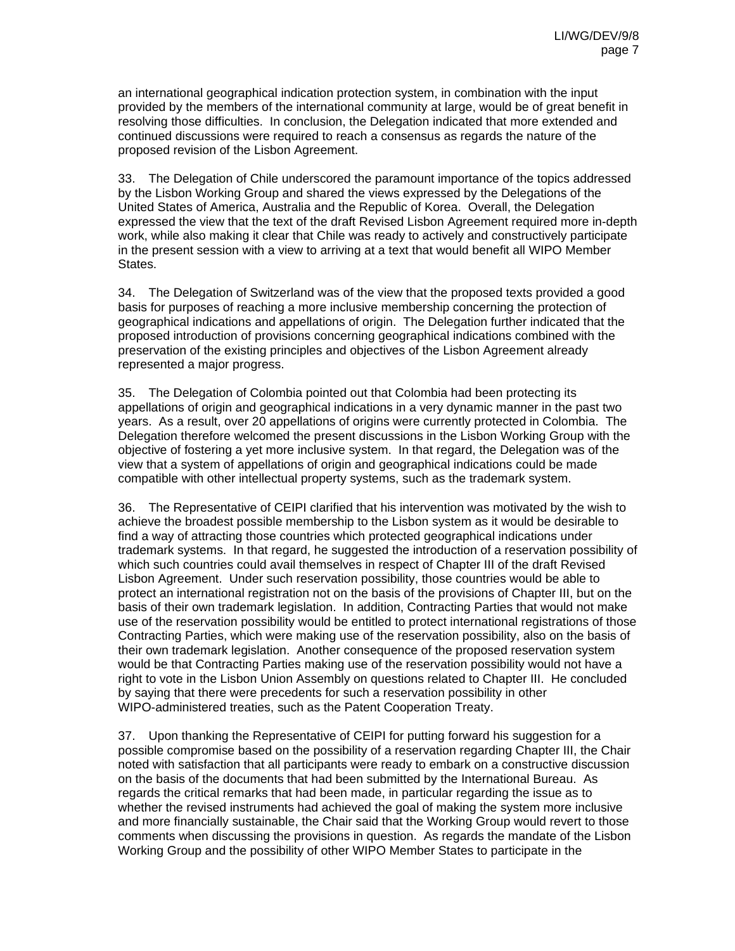an international geographical indication protection system, in combination with the input provided by the members of the international community at large, would be of great benefit in resolving those difficulties. In conclusion, the Delegation indicated that more extended and continued discussions were required to reach a consensus as regards the nature of the proposed revision of the Lisbon Agreement.

33. The Delegation of Chile underscored the paramount importance of the topics addressed by the Lisbon Working Group and shared the views expressed by the Delegations of the United States of America, Australia and the Republic of Korea. Overall, the Delegation expressed the view that the text of the draft Revised Lisbon Agreement required more in-depth work, while also making it clear that Chile was ready to actively and constructively participate in the present session with a view to arriving at a text that would benefit all WIPO Member States.

34. The Delegation of Switzerland was of the view that the proposed texts provided a good basis for purposes of reaching a more inclusive membership concerning the protection of geographical indications and appellations of origin. The Delegation further indicated that the proposed introduction of provisions concerning geographical indications combined with the preservation of the existing principles and objectives of the Lisbon Agreement already represented a major progress.

35. The Delegation of Colombia pointed out that Colombia had been protecting its appellations of origin and geographical indications in a very dynamic manner in the past two years. As a result, over 20 appellations of origins were currently protected in Colombia. The Delegation therefore welcomed the present discussions in the Lisbon Working Group with the objective of fostering a yet more inclusive system. In that regard, the Delegation was of the view that a system of appellations of origin and geographical indications could be made compatible with other intellectual property systems, such as the trademark system.

36. The Representative of CEIPI clarified that his intervention was motivated by the wish to achieve the broadest possible membership to the Lisbon system as it would be desirable to find a way of attracting those countries which protected geographical indications under trademark systems. In that regard, he suggested the introduction of a reservation possibility of which such countries could avail themselves in respect of Chapter III of the draft Revised Lisbon Agreement. Under such reservation possibility, those countries would be able to protect an international registration not on the basis of the provisions of Chapter III, but on the basis of their own trademark legislation. In addition, Contracting Parties that would not make use of the reservation possibility would be entitled to protect international registrations of those Contracting Parties, which were making use of the reservation possibility, also on the basis of their own trademark legislation. Another consequence of the proposed reservation system would be that Contracting Parties making use of the reservation possibility would not have a right to vote in the Lisbon Union Assembly on questions related to Chapter III. He concluded by saying that there were precedents for such a reservation possibility in other WIPO-administered treaties, such as the Patent Cooperation Treaty.

37. Upon thanking the Representative of CEIPI for putting forward his suggestion for a possible compromise based on the possibility of a reservation regarding Chapter III, the Chair noted with satisfaction that all participants were ready to embark on a constructive discussion on the basis of the documents that had been submitted by the International Bureau. As regards the critical remarks that had been made, in particular regarding the issue as to whether the revised instruments had achieved the goal of making the system more inclusive and more financially sustainable, the Chair said that the Working Group would revert to those comments when discussing the provisions in question. As regards the mandate of the Lisbon Working Group and the possibility of other WIPO Member States to participate in the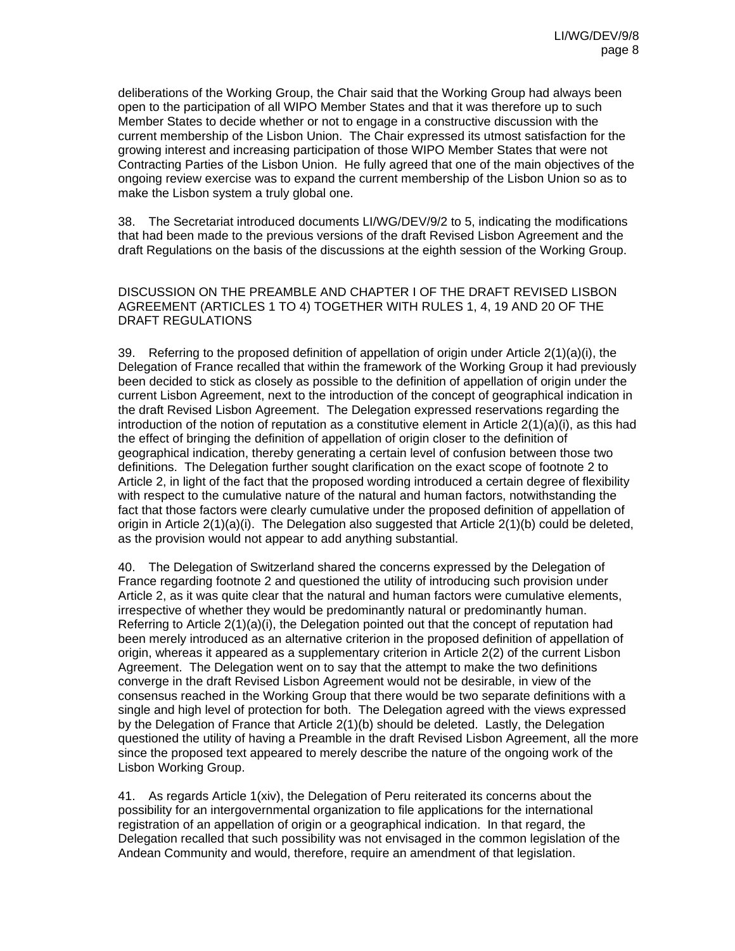deliberations of the Working Group, the Chair said that the Working Group had always been open to the participation of all WIPO Member States and that it was therefore up to such Member States to decide whether or not to engage in a constructive discussion with the current membership of the Lisbon Union. The Chair expressed its utmost satisfaction for the growing interest and increasing participation of those WIPO Member States that were not Contracting Parties of the Lisbon Union. He fully agreed that one of the main objectives of the ongoing review exercise was to expand the current membership of the Lisbon Union so as to make the Lisbon system a truly global one.

38. The Secretariat introduced documents LI/WG/DEV/9/2 to 5, indicating the modifications that had been made to the previous versions of the draft Revised Lisbon Agreement and the draft Regulations on the basis of the discussions at the eighth session of the Working Group.

DISCUSSION ON THE PREAMBLE AND CHAPTER I OF THE DRAFT REVISED LISBON AGREEMENT (ARTICLES 1 TO 4) TOGETHER WITH RULES 1, 4, 19 AND 20 OF THE DRAFT REGULATIONS

39. Referring to the proposed definition of appellation of origin under Article 2(1)(a)(i), the Delegation of France recalled that within the framework of the Working Group it had previously been decided to stick as closely as possible to the definition of appellation of origin under the current Lisbon Agreement, next to the introduction of the concept of geographical indication in the draft Revised Lisbon Agreement. The Delegation expressed reservations regarding the introduction of the notion of reputation as a constitutive element in Article 2(1)(a)(i), as this had the effect of bringing the definition of appellation of origin closer to the definition of geographical indication, thereby generating a certain level of confusion between those two definitions. The Delegation further sought clarification on the exact scope of footnote 2 to Article 2, in light of the fact that the proposed wording introduced a certain degree of flexibility with respect to the cumulative nature of the natural and human factors, notwithstanding the fact that those factors were clearly cumulative under the proposed definition of appellation of origin in Article 2(1)(a)(i). The Delegation also suggested that Article 2(1)(b) could be deleted, as the provision would not appear to add anything substantial.

40. The Delegation of Switzerland shared the concerns expressed by the Delegation of France regarding footnote 2 and questioned the utility of introducing such provision under Article 2, as it was quite clear that the natural and human factors were cumulative elements, irrespective of whether they would be predominantly natural or predominantly human. Referring to Article 2(1)(a)(i), the Delegation pointed out that the concept of reputation had been merely introduced as an alternative criterion in the proposed definition of appellation of origin, whereas it appeared as a supplementary criterion in Article 2(2) of the current Lisbon Agreement. The Delegation went on to say that the attempt to make the two definitions converge in the draft Revised Lisbon Agreement would not be desirable, in view of the consensus reached in the Working Group that there would be two separate definitions with a single and high level of protection for both. The Delegation agreed with the views expressed by the Delegation of France that Article 2(1)(b) should be deleted. Lastly, the Delegation questioned the utility of having a Preamble in the draft Revised Lisbon Agreement, all the more since the proposed text appeared to merely describe the nature of the ongoing work of the Lisbon Working Group.

41. As regards Article 1(xiv), the Delegation of Peru reiterated its concerns about the possibility for an intergovernmental organization to file applications for the international registration of an appellation of origin or a geographical indication. In that regard, the Delegation recalled that such possibility was not envisaged in the common legislation of the Andean Community and would, therefore, require an amendment of that legislation.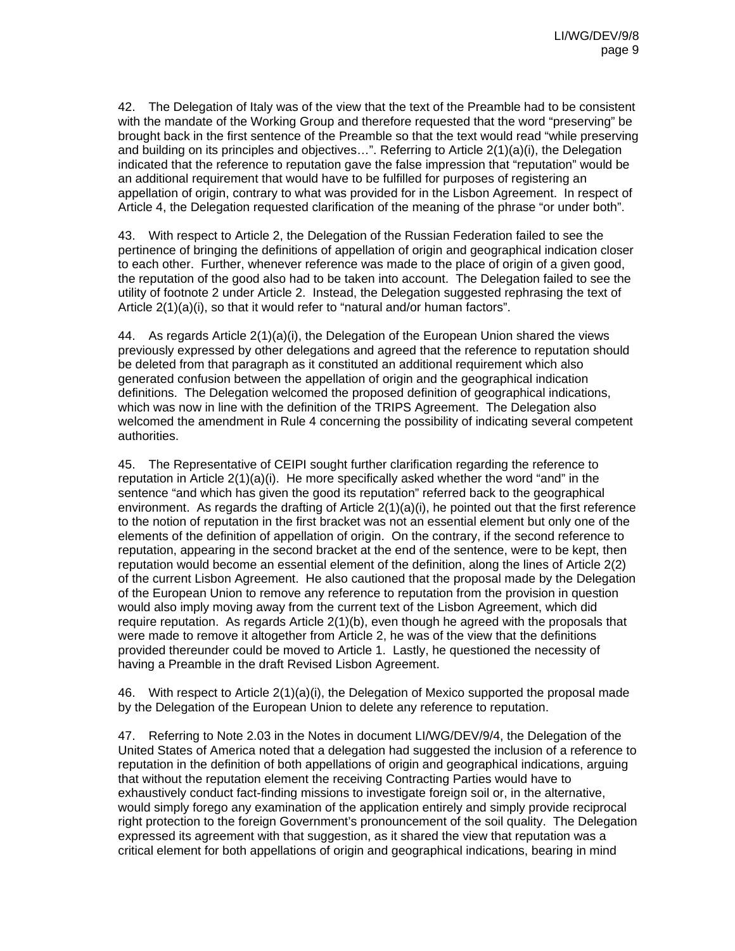42. The Delegation of Italy was of the view that the text of the Preamble had to be consistent with the mandate of the Working Group and therefore requested that the word "preserving" be brought back in the first sentence of the Preamble so that the text would read "while preserving and building on its principles and objectives…". Referring to Article 2(1)(a)(i), the Delegation indicated that the reference to reputation gave the false impression that "reputation" would be an additional requirement that would have to be fulfilled for purposes of registering an appellation of origin, contrary to what was provided for in the Lisbon Agreement. In respect of Article 4, the Delegation requested clarification of the meaning of the phrase "or under both".

43. With respect to Article 2, the Delegation of the Russian Federation failed to see the pertinence of bringing the definitions of appellation of origin and geographical indication closer to each other. Further, whenever reference was made to the place of origin of a given good, the reputation of the good also had to be taken into account. The Delegation failed to see the utility of footnote 2 under Article 2. Instead, the Delegation suggested rephrasing the text of Article 2(1)(a)(i), so that it would refer to "natural and/or human factors".

44. As regards Article  $2(1)(a)(i)$ , the Delegation of the European Union shared the views previously expressed by other delegations and agreed that the reference to reputation should be deleted from that paragraph as it constituted an additional requirement which also generated confusion between the appellation of origin and the geographical indication definitions. The Delegation welcomed the proposed definition of geographical indications, which was now in line with the definition of the TRIPS Agreement. The Delegation also welcomed the amendment in Rule 4 concerning the possibility of indicating several competent authorities.

45. The Representative of CEIPI sought further clarification regarding the reference to reputation in Article 2(1)(a)(i). He more specifically asked whether the word "and" in the sentence "and which has given the good its reputation" referred back to the geographical environment. As regards the drafting of Article 2(1)(a)(i), he pointed out that the first reference to the notion of reputation in the first bracket was not an essential element but only one of the elements of the definition of appellation of origin. On the contrary, if the second reference to reputation, appearing in the second bracket at the end of the sentence, were to be kept, then reputation would become an essential element of the definition, along the lines of Article 2(2) of the current Lisbon Agreement. He also cautioned that the proposal made by the Delegation of the European Union to remove any reference to reputation from the provision in question would also imply moving away from the current text of the Lisbon Agreement, which did require reputation. As regards Article 2(1)(b), even though he agreed with the proposals that were made to remove it altogether from Article 2, he was of the view that the definitions provided thereunder could be moved to Article 1. Lastly, he questioned the necessity of having a Preamble in the draft Revised Lisbon Agreement.

46. With respect to Article 2(1)(a)(i), the Delegation of Mexico supported the proposal made by the Delegation of the European Union to delete any reference to reputation.

47. Referring to Note 2.03 in the Notes in document LI/WG/DEV/9/4, the Delegation of the United States of America noted that a delegation had suggested the inclusion of a reference to reputation in the definition of both appellations of origin and geographical indications, arguing that without the reputation element the receiving Contracting Parties would have to exhaustively conduct fact-finding missions to investigate foreign soil or, in the alternative, would simply forego any examination of the application entirely and simply provide reciprocal right protection to the foreign Government's pronouncement of the soil quality. The Delegation expressed its agreement with that suggestion, as it shared the view that reputation was a critical element for both appellations of origin and geographical indications, bearing in mind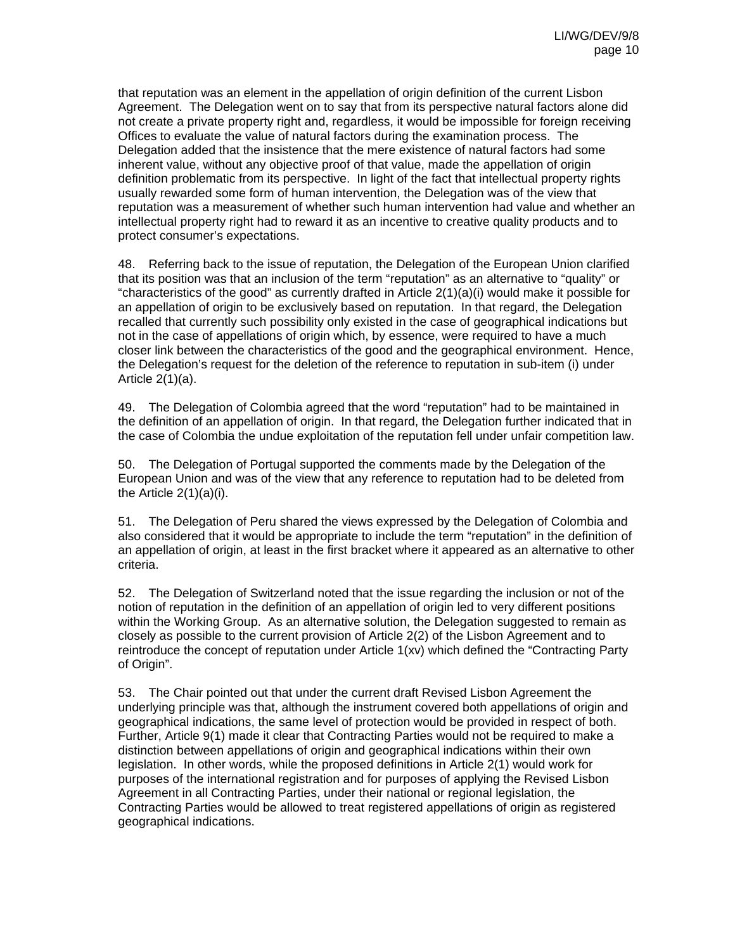that reputation was an element in the appellation of origin definition of the current Lisbon Agreement. The Delegation went on to say that from its perspective natural factors alone did not create a private property right and, regardless, it would be impossible for foreign receiving Offices to evaluate the value of natural factors during the examination process. The Delegation added that the insistence that the mere existence of natural factors had some inherent value, without any objective proof of that value, made the appellation of origin definition problematic from its perspective. In light of the fact that intellectual property rights usually rewarded some form of human intervention, the Delegation was of the view that reputation was a measurement of whether such human intervention had value and whether an intellectual property right had to reward it as an incentive to creative quality products and to protect consumer's expectations.

48. Referring back to the issue of reputation, the Delegation of the European Union clarified that its position was that an inclusion of the term "reputation" as an alternative to "quality" or "characteristics of the good" as currently drafted in Article  $2(1)(a)(i)$  would make it possible for an appellation of origin to be exclusively based on reputation. In that regard, the Delegation recalled that currently such possibility only existed in the case of geographical indications but not in the case of appellations of origin which, by essence, were required to have a much closer link between the characteristics of the good and the geographical environment. Hence, the Delegation's request for the deletion of the reference to reputation in sub-item (i) under Article 2(1)(a).

49. The Delegation of Colombia agreed that the word "reputation" had to be maintained in the definition of an appellation of origin. In that regard, the Delegation further indicated that in the case of Colombia the undue exploitation of the reputation fell under unfair competition law.

50. The Delegation of Portugal supported the comments made by the Delegation of the European Union and was of the view that any reference to reputation had to be deleted from the Article 2(1)(a)(i).

51. The Delegation of Peru shared the views expressed by the Delegation of Colombia and also considered that it would be appropriate to include the term "reputation" in the definition of an appellation of origin, at least in the first bracket where it appeared as an alternative to other criteria.

52. The Delegation of Switzerland noted that the issue regarding the inclusion or not of the notion of reputation in the definition of an appellation of origin led to very different positions within the Working Group. As an alternative solution, the Delegation suggested to remain as closely as possible to the current provision of Article 2(2) of the Lisbon Agreement and to reintroduce the concept of reputation under Article 1(xv) which defined the "Contracting Party of Origin".

53. The Chair pointed out that under the current draft Revised Lisbon Agreement the underlying principle was that, although the instrument covered both appellations of origin and geographical indications, the same level of protection would be provided in respect of both. Further, Article 9(1) made it clear that Contracting Parties would not be required to make a distinction between appellations of origin and geographical indications within their own legislation. In other words, while the proposed definitions in Article 2(1) would work for purposes of the international registration and for purposes of applying the Revised Lisbon Agreement in all Contracting Parties, under their national or regional legislation, the Contracting Parties would be allowed to treat registered appellations of origin as registered geographical indications.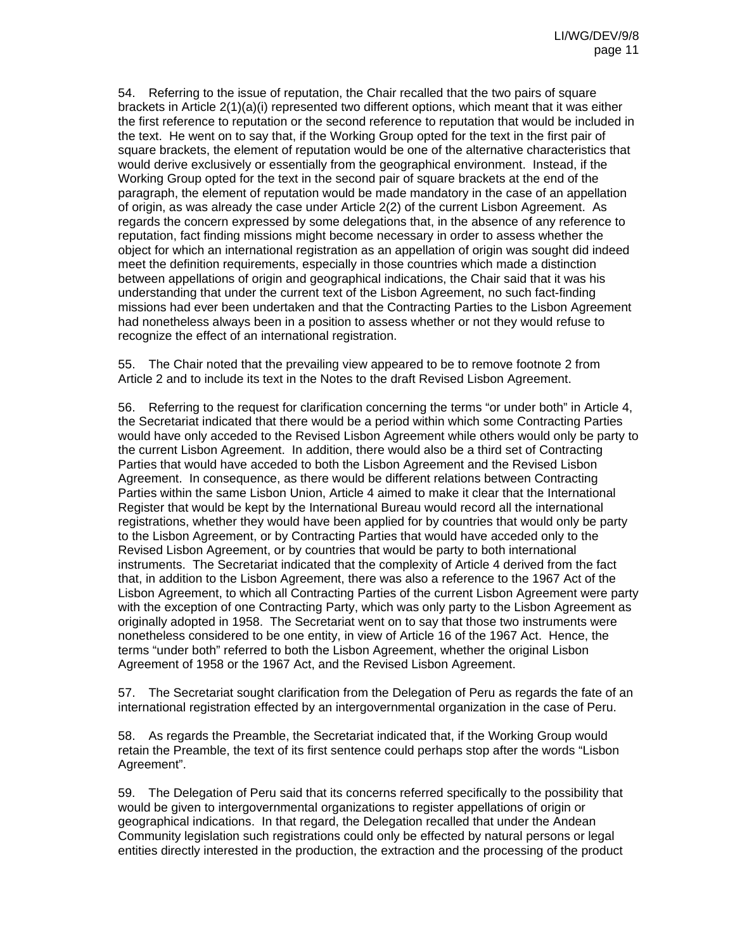54. Referring to the issue of reputation, the Chair recalled that the two pairs of square brackets in Article 2(1)(a)(i) represented two different options, which meant that it was either the first reference to reputation or the second reference to reputation that would be included in the text. He went on to say that, if the Working Group opted for the text in the first pair of square brackets, the element of reputation would be one of the alternative characteristics that would derive exclusively or essentially from the geographical environment. Instead, if the Working Group opted for the text in the second pair of square brackets at the end of the paragraph, the element of reputation would be made mandatory in the case of an appellation of origin, as was already the case under Article 2(2) of the current Lisbon Agreement. As regards the concern expressed by some delegations that, in the absence of any reference to reputation, fact finding missions might become necessary in order to assess whether the object for which an international registration as an appellation of origin was sought did indeed meet the definition requirements, especially in those countries which made a distinction between appellations of origin and geographical indications, the Chair said that it was his understanding that under the current text of the Lisbon Agreement, no such fact-finding missions had ever been undertaken and that the Contracting Parties to the Lisbon Agreement had nonetheless always been in a position to assess whether or not they would refuse to recognize the effect of an international registration.

55. The Chair noted that the prevailing view appeared to be to remove footnote 2 from Article 2 and to include its text in the Notes to the draft Revised Lisbon Agreement.

56. Referring to the request for clarification concerning the terms "or under both" in Article 4, the Secretariat indicated that there would be a period within which some Contracting Parties would have only acceded to the Revised Lisbon Agreement while others would only be party to the current Lisbon Agreement. In addition, there would also be a third set of Contracting Parties that would have acceded to both the Lisbon Agreement and the Revised Lisbon Agreement. In consequence, as there would be different relations between Contracting Parties within the same Lisbon Union, Article 4 aimed to make it clear that the International Register that would be kept by the International Bureau would record all the international registrations, whether they would have been applied for by countries that would only be party to the Lisbon Agreement, or by Contracting Parties that would have acceded only to the Revised Lisbon Agreement, or by countries that would be party to both international instruments. The Secretariat indicated that the complexity of Article 4 derived from the fact that, in addition to the Lisbon Agreement, there was also a reference to the 1967 Act of the Lisbon Agreement, to which all Contracting Parties of the current Lisbon Agreement were party with the exception of one Contracting Party, which was only party to the Lisbon Agreement as originally adopted in 1958. The Secretariat went on to say that those two instruments were nonetheless considered to be one entity, in view of Article 16 of the 1967 Act. Hence, the terms "under both" referred to both the Lisbon Agreement, whether the original Lisbon Agreement of 1958 or the 1967 Act, and the Revised Lisbon Agreement.

57. The Secretariat sought clarification from the Delegation of Peru as regards the fate of an international registration effected by an intergovernmental organization in the case of Peru.

58. As regards the Preamble, the Secretariat indicated that, if the Working Group would retain the Preamble, the text of its first sentence could perhaps stop after the words "Lisbon Agreement".

59. The Delegation of Peru said that its concerns referred specifically to the possibility that would be given to intergovernmental organizations to register appellations of origin or geographical indications. In that regard, the Delegation recalled that under the Andean Community legislation such registrations could only be effected by natural persons or legal entities directly interested in the production, the extraction and the processing of the product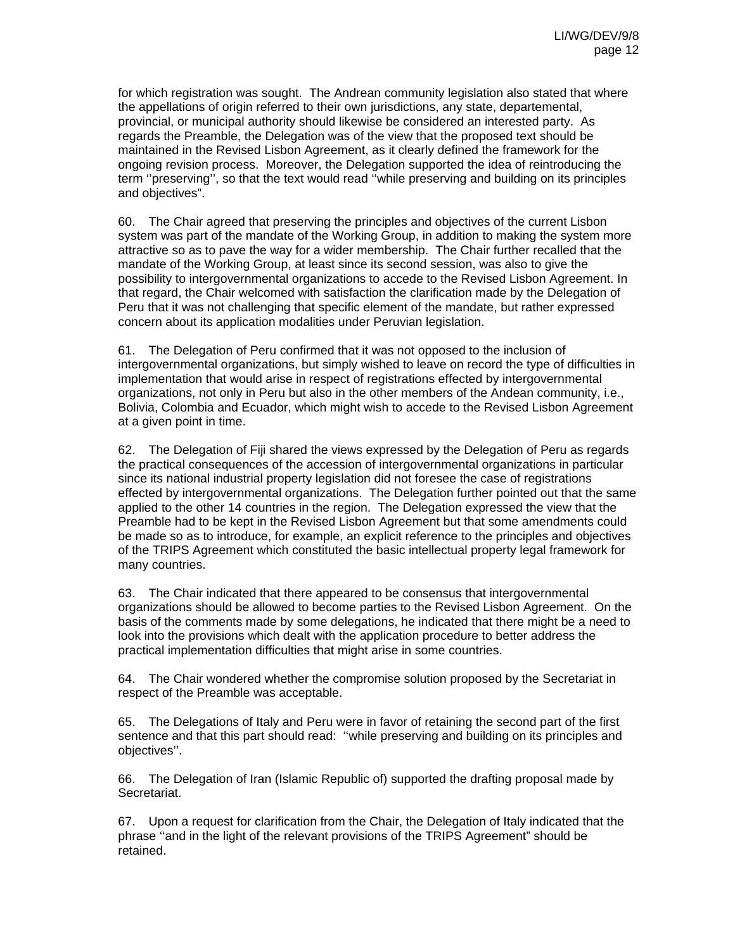for which registration was sought. The Andrean community legislation also stated that where the appellations of origin referred to their own jurisdictions, any state, departemental, provincial, or municipal authority should likewise be considered an interested party. As regards the Preamble, the Delegation was of the view that the proposed text should be maintained in the Revised Lisbon Agreement, as it clearly defined the framework for the ongoing revision process. Moreover, the Delegation supported the idea of reintroducing the term ''preserving'', so that the text would read ''while preserving and building on its principles and objectives".

60. The Chair agreed that preserving the principles and objectives of the current Lisbon system was part of the mandate of the Working Group, in addition to making the system more attractive so as to pave the way for a wider membership. The Chair further recalled that the mandate of the Working Group, at least since its second session, was also to give the possibility to intergovernmental organizations to accede to the Revised Lisbon Agreement. In that regard, the Chair welcomed with satisfaction the clarification made by the Delegation of Peru that it was not challenging that specific element of the mandate, but rather expressed concern about its application modalities under Peruvian legislation.

61. The Delegation of Peru confirmed that it was not opposed to the inclusion of intergovernmental organizations, but simply wished to leave on record the type of difficulties in implementation that would arise in respect of registrations effected by intergovernmental organizations, not only in Peru but also in the other members of the Andean community, i.e., Bolivia, Colombia and Ecuador, which might wish to accede to the Revised Lisbon Agreement at a given point in time.

62. The Delegation of Fiji shared the views expressed by the Delegation of Peru as regards the practical consequences of the accession of intergovernmental organizations in particular since its national industrial property legislation did not foresee the case of registrations effected by intergovernmental organizations. The Delegation further pointed out that the same applied to the other 14 countries in the region. The Delegation expressed the view that the Preamble had to be kept in the Revised Lisbon Agreement but that some amendments could be made so as to introduce, for example, an explicit reference to the principles and objectives of the TRIPS Agreement which constituted the basic intellectual property legal framework for many countries.

63. The Chair indicated that there appeared to be consensus that intergovernmental organizations should be allowed to become parties to the Revised Lisbon Agreement. On the basis of the comments made by some delegations, he indicated that there might be a need to look into the provisions which dealt with the application procedure to better address the practical implementation difficulties that might arise in some countries.

64. The Chair wondered whether the compromise solution proposed by the Secretariat in respect of the Preamble was acceptable.

65. The Delegations of Italy and Peru were in favor of retaining the second part of the first sentence and that this part should read: ''while preserving and building on its principles and objectives''.

66. The Delegation of Iran (Islamic Republic of) supported the drafting proposal made by Secretariat.

67. Upon a request for clarification from the Chair, the Delegation of Italy indicated that the phrase ''and in the light of the relevant provisions of the TRIPS Agreement" should be retained.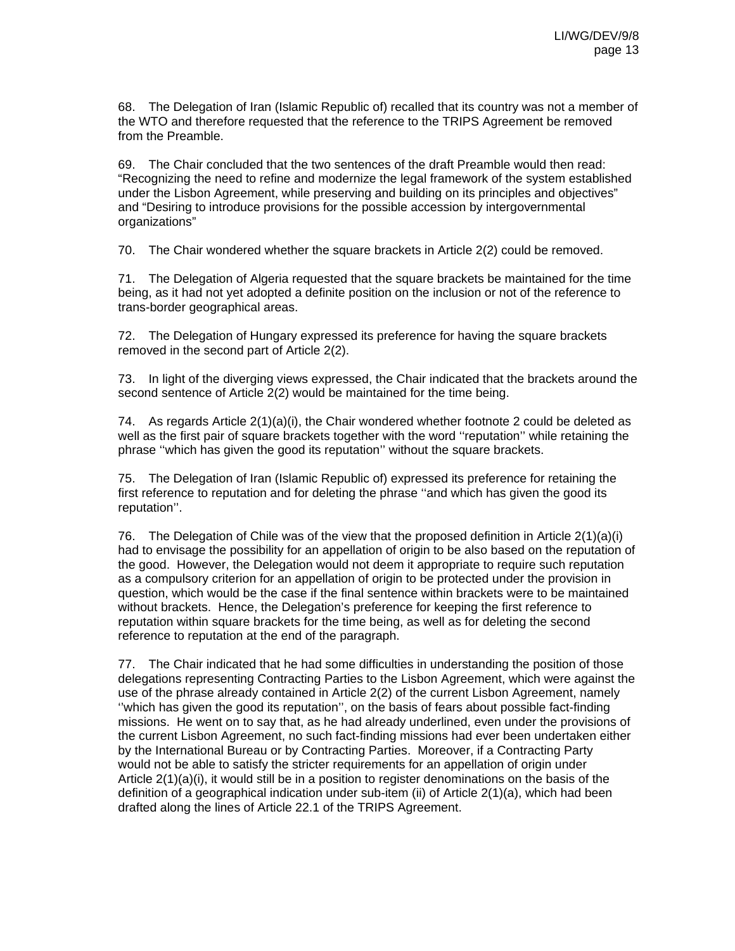68. The Delegation of Iran (Islamic Republic of) recalled that its country was not a member of the WTO and therefore requested that the reference to the TRIPS Agreement be removed from the Preamble.

69. The Chair concluded that the two sentences of the draft Preamble would then read: "Recognizing the need to refine and modernize the legal framework of the system established under the Lisbon Agreement, while preserving and building on its principles and objectives" and "Desiring to introduce provisions for the possible accession by intergovernmental organizations"

70. The Chair wondered whether the square brackets in Article 2(2) could be removed.

71. The Delegation of Algeria requested that the square brackets be maintained for the time being, as it had not yet adopted a definite position on the inclusion or not of the reference to trans-border geographical areas.

72. The Delegation of Hungary expressed its preference for having the square brackets removed in the second part of Article 2(2).

73. In light of the diverging views expressed, the Chair indicated that the brackets around the second sentence of Article 2(2) would be maintained for the time being.

74. As regards Article 2(1)(a)(i), the Chair wondered whether footnote 2 could be deleted as well as the first pair of square brackets together with the word ''reputation'' while retaining the phrase ''which has given the good its reputation'' without the square brackets.

75. The Delegation of Iran (Islamic Republic of) expressed its preference for retaining the first reference to reputation and for deleting the phrase ''and which has given the good its reputation''.

76. The Delegation of Chile was of the view that the proposed definition in Article 2(1)(a)(i) had to envisage the possibility for an appellation of origin to be also based on the reputation of the good. However, the Delegation would not deem it appropriate to require such reputation as a compulsory criterion for an appellation of origin to be protected under the provision in question, which would be the case if the final sentence within brackets were to be maintained without brackets. Hence, the Delegation's preference for keeping the first reference to reputation within square brackets for the time being, as well as for deleting the second reference to reputation at the end of the paragraph.

77. The Chair indicated that he had some difficulties in understanding the position of those delegations representing Contracting Parties to the Lisbon Agreement, which were against the use of the phrase already contained in Article 2(2) of the current Lisbon Agreement, namely ''which has given the good its reputation'', on the basis of fears about possible fact-finding missions. He went on to say that, as he had already underlined, even under the provisions of the current Lisbon Agreement, no such fact-finding missions had ever been undertaken either by the International Bureau or by Contracting Parties. Moreover, if a Contracting Party would not be able to satisfy the stricter requirements for an appellation of origin under Article 2(1)(a)(i), it would still be in a position to register denominations on the basis of the definition of a geographical indication under sub-item (ii) of Article 2(1)(a), which had been drafted along the lines of Article 22.1 of the TRIPS Agreement.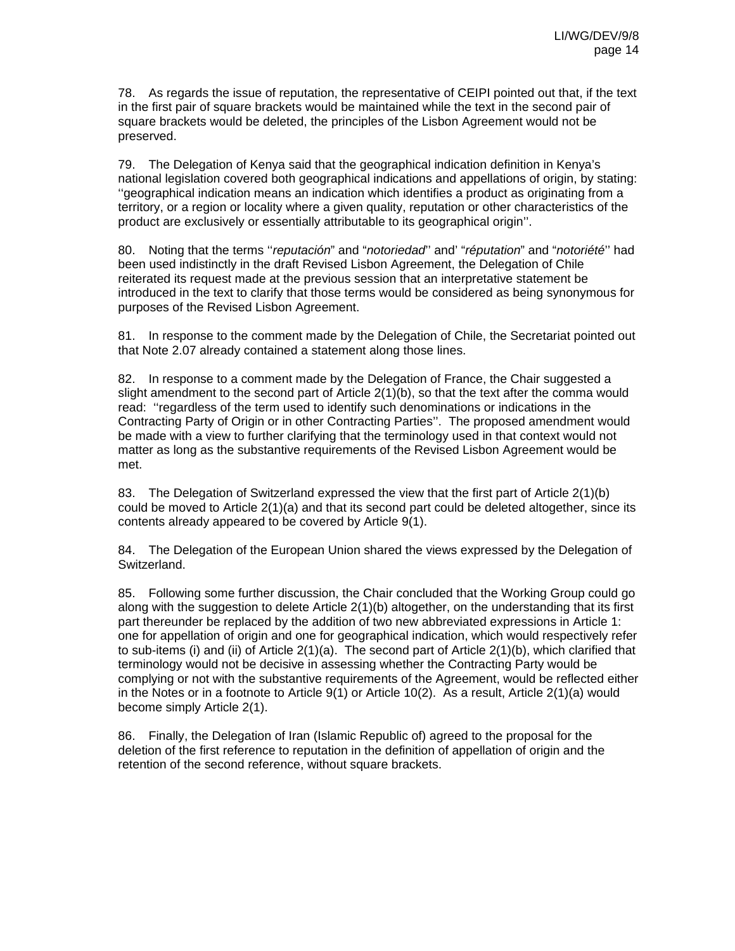78. As regards the issue of reputation, the representative of CEIPI pointed out that, if the text in the first pair of square brackets would be maintained while the text in the second pair of square brackets would be deleted, the principles of the Lisbon Agreement would not be preserved.

79. The Delegation of Kenya said that the geographical indication definition in Kenya's national legislation covered both geographical indications and appellations of origin, by stating: ''geographical indication means an indication which identifies a product as originating from a territory, or a region or locality where a given quality, reputation or other characteristics of the product are exclusively or essentially attributable to its geographical origin''.

80. Noting that the terms ''*reputación*" and "*notoriedad*'' and' "*réputation*" and "*notoriété*'' had been used indistinctly in the draft Revised Lisbon Agreement, the Delegation of Chile reiterated its request made at the previous session that an interpretative statement be introduced in the text to clarify that those terms would be considered as being synonymous for purposes of the Revised Lisbon Agreement.

81. In response to the comment made by the Delegation of Chile, the Secretariat pointed out that Note 2.07 already contained a statement along those lines.

82. In response to a comment made by the Delegation of France, the Chair suggested a slight amendment to the second part of Article 2(1)(b), so that the text after the comma would read: ''regardless of the term used to identify such denominations or indications in the Contracting Party of Origin or in other Contracting Parties''. The proposed amendment would be made with a view to further clarifying that the terminology used in that context would not matter as long as the substantive requirements of the Revised Lisbon Agreement would be met.

83. The Delegation of Switzerland expressed the view that the first part of Article 2(1)(b) could be moved to Article 2(1)(a) and that its second part could be deleted altogether, since its contents already appeared to be covered by Article 9(1).

84. The Delegation of the European Union shared the views expressed by the Delegation of Switzerland.

85. Following some further discussion, the Chair concluded that the Working Group could go along with the suggestion to delete Article 2(1)(b) altogether, on the understanding that its first part thereunder be replaced by the addition of two new abbreviated expressions in Article 1: one for appellation of origin and one for geographical indication, which would respectively refer to sub-items (i) and (ii) of Article 2(1)(a). The second part of Article 2(1)(b), which clarified that terminology would not be decisive in assessing whether the Contracting Party would be complying or not with the substantive requirements of the Agreement, would be reflected either in the Notes or in a footnote to Article 9(1) or Article 10(2). As a result, Article 2(1)(a) would become simply Article 2(1).

86. Finally, the Delegation of Iran (Islamic Republic of) agreed to the proposal for the deletion of the first reference to reputation in the definition of appellation of origin and the retention of the second reference, without square brackets.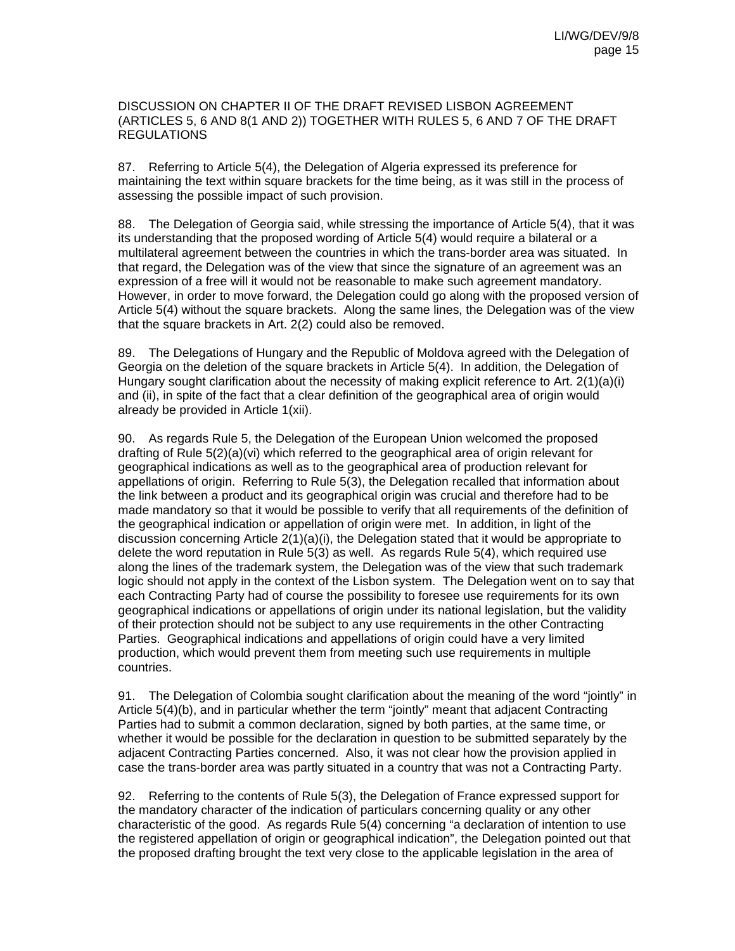DISCUSSION ON CHAPTER II OF THE DRAFT REVISED LISBON AGREEMENT (ARTICLES 5, 6 AND 8(1 AND 2)) TOGETHER WITH RULES 5, 6 AND 7 OF THE DRAFT REGULATIONS

87. Referring to Article 5(4), the Delegation of Algeria expressed its preference for maintaining the text within square brackets for the time being, as it was still in the process of assessing the possible impact of such provision.

88. The Delegation of Georgia said, while stressing the importance of Article 5(4), that it was its understanding that the proposed wording of Article 5(4) would require a bilateral or a multilateral agreement between the countries in which the trans-border area was situated. In that regard, the Delegation was of the view that since the signature of an agreement was an expression of a free will it would not be reasonable to make such agreement mandatory. However, in order to move forward, the Delegation could go along with the proposed version of Article 5(4) without the square brackets. Along the same lines, the Delegation was of the view that the square brackets in Art. 2(2) could also be removed.

89. The Delegations of Hungary and the Republic of Moldova agreed with the Delegation of Georgia on the deletion of the square brackets in Article 5(4). In addition, the Delegation of Hungary sought clarification about the necessity of making explicit reference to Art. 2(1)(a)(i) and (ii), in spite of the fact that a clear definition of the geographical area of origin would already be provided in Article 1(xii).

90. As regards Rule 5, the Delegation of the European Union welcomed the proposed drafting of Rule 5(2)(a)(vi) which referred to the geographical area of origin relevant for geographical indications as well as to the geographical area of production relevant for appellations of origin. Referring to Rule 5(3), the Delegation recalled that information about the link between a product and its geographical origin was crucial and therefore had to be made mandatory so that it would be possible to verify that all requirements of the definition of the geographical indication or appellation of origin were met. In addition, in light of the discussion concerning Article  $2(1)(a)(i)$ , the Delegation stated that it would be appropriate to delete the word reputation in Rule 5(3) as well. As regards Rule 5(4), which required use along the lines of the trademark system, the Delegation was of the view that such trademark logic should not apply in the context of the Lisbon system. The Delegation went on to say that each Contracting Party had of course the possibility to foresee use requirements for its own geographical indications or appellations of origin under its national legislation, but the validity of their protection should not be subject to any use requirements in the other Contracting Parties. Geographical indications and appellations of origin could have a very limited production, which would prevent them from meeting such use requirements in multiple countries.

91. The Delegation of Colombia sought clarification about the meaning of the word "jointly" in Article 5(4)(b), and in particular whether the term "jointly" meant that adjacent Contracting Parties had to submit a common declaration, signed by both parties, at the same time, or whether it would be possible for the declaration in question to be submitted separately by the adjacent Contracting Parties concerned. Also, it was not clear how the provision applied in case the trans-border area was partly situated in a country that was not a Contracting Party.

92. Referring to the contents of Rule 5(3), the Delegation of France expressed support for the mandatory character of the indication of particulars concerning quality or any other characteristic of the good. As regards Rule 5(4) concerning "a declaration of intention to use the registered appellation of origin or geographical indication", the Delegation pointed out that the proposed drafting brought the text very close to the applicable legislation in the area of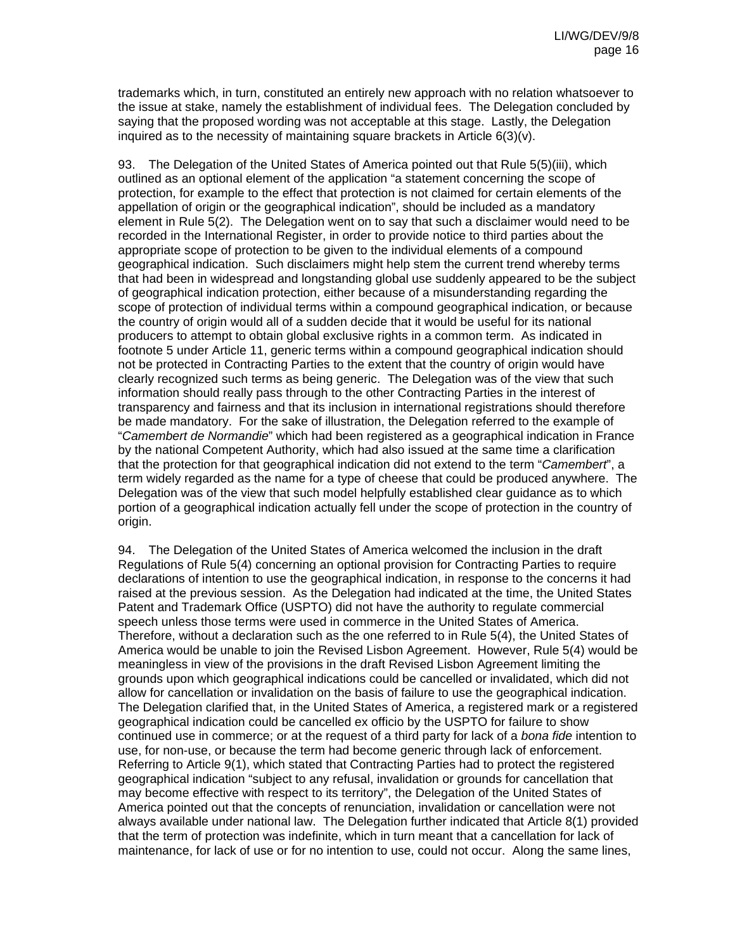trademarks which, in turn, constituted an entirely new approach with no relation whatsoever to the issue at stake, namely the establishment of individual fees. The Delegation concluded by saying that the proposed wording was not acceptable at this stage. Lastly, the Delegation inquired as to the necessity of maintaining square brackets in Article 6(3)(v).

93. The Delegation of the United States of America pointed out that Rule 5(5)(iii), which outlined as an optional element of the application "a statement concerning the scope of protection, for example to the effect that protection is not claimed for certain elements of the appellation of origin or the geographical indication", should be included as a mandatory element in Rule 5(2). The Delegation went on to say that such a disclaimer would need to be recorded in the International Register, in order to provide notice to third parties about the appropriate scope of protection to be given to the individual elements of a compound geographical indication. Such disclaimers might help stem the current trend whereby terms that had been in widespread and longstanding global use suddenly appeared to be the subject of geographical indication protection, either because of a misunderstanding regarding the scope of protection of individual terms within a compound geographical indication, or because the country of origin would all of a sudden decide that it would be useful for its national producers to attempt to obtain global exclusive rights in a common term. As indicated in footnote 5 under Article 11, generic terms within a compound geographical indication should not be protected in Contracting Parties to the extent that the country of origin would have clearly recognized such terms as being generic. The Delegation was of the view that such information should really pass through to the other Contracting Parties in the interest of transparency and fairness and that its inclusion in international registrations should therefore be made mandatory. For the sake of illustration, the Delegation referred to the example of "*Camembert de Normandie*" which had been registered as a geographical indication in France by the national Competent Authority, which had also issued at the same time a clarification that the protection for that geographical indication did not extend to the term "*Camembert*", a term widely regarded as the name for a type of cheese that could be produced anywhere. The Delegation was of the view that such model helpfully established clear guidance as to which portion of a geographical indication actually fell under the scope of protection in the country of origin.

94. The Delegation of the United States of America welcomed the inclusion in the draft Regulations of Rule 5(4) concerning an optional provision for Contracting Parties to require declarations of intention to use the geographical indication, in response to the concerns it had raised at the previous session. As the Delegation had indicated at the time, the United States Patent and Trademark Office (USPTO) did not have the authority to regulate commercial speech unless those terms were used in commerce in the United States of America. Therefore, without a declaration such as the one referred to in Rule 5(4), the United States of America would be unable to join the Revised Lisbon Agreement. However, Rule 5(4) would be meaningless in view of the provisions in the draft Revised Lisbon Agreement limiting the grounds upon which geographical indications could be cancelled or invalidated, which did not allow for cancellation or invalidation on the basis of failure to use the geographical indication. The Delegation clarified that, in the United States of America, a registered mark or a registered geographical indication could be cancelled ex officio by the USPTO for failure to show continued use in commerce; or at the request of a third party for lack of a *bona fide* intention to use, for non-use, or because the term had become generic through lack of enforcement. Referring to Article 9(1), which stated that Contracting Parties had to protect the registered geographical indication "subject to any refusal, invalidation or grounds for cancellation that may become effective with respect to its territory", the Delegation of the United States of America pointed out that the concepts of renunciation, invalidation or cancellation were not always available under national law. The Delegation further indicated that Article 8(1) provided that the term of protection was indefinite, which in turn meant that a cancellation for lack of maintenance, for lack of use or for no intention to use, could not occur. Along the same lines,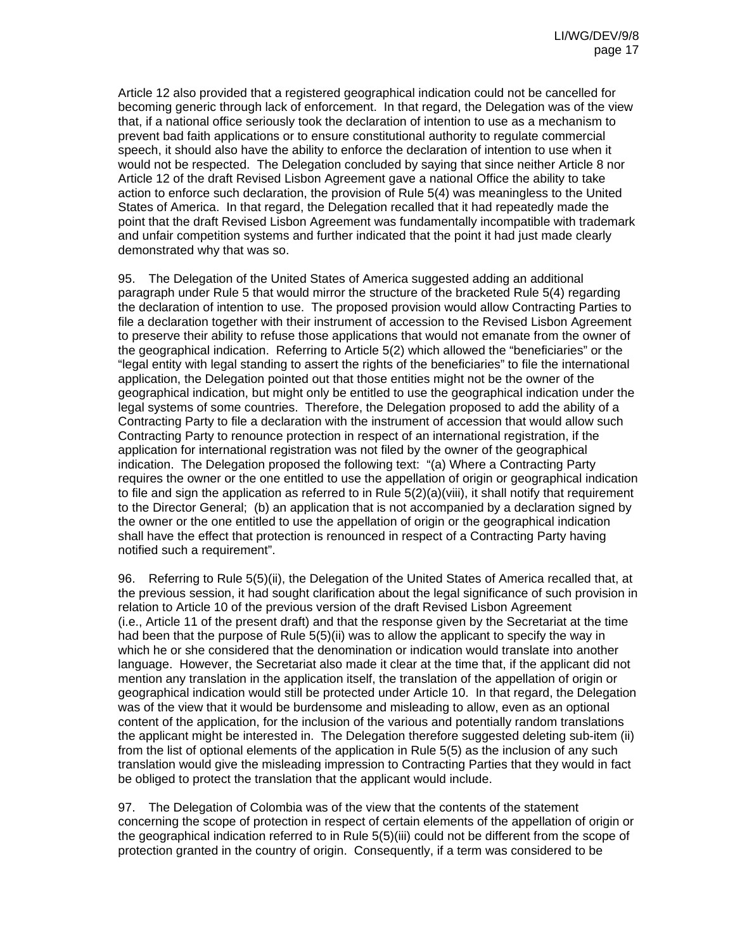Article 12 also provided that a registered geographical indication could not be cancelled for becoming generic through lack of enforcement. In that regard, the Delegation was of the view that, if a national office seriously took the declaration of intention to use as a mechanism to prevent bad faith applications or to ensure constitutional authority to regulate commercial speech, it should also have the ability to enforce the declaration of intention to use when it would not be respected. The Delegation concluded by saying that since neither Article 8 nor Article 12 of the draft Revised Lisbon Agreement gave a national Office the ability to take action to enforce such declaration, the provision of Rule 5(4) was meaningless to the United States of America. In that regard, the Delegation recalled that it had repeatedly made the point that the draft Revised Lisbon Agreement was fundamentally incompatible with trademark and unfair competition systems and further indicated that the point it had just made clearly demonstrated why that was so.

95. The Delegation of the United States of America suggested adding an additional paragraph under Rule 5 that would mirror the structure of the bracketed Rule 5(4) regarding the declaration of intention to use. The proposed provision would allow Contracting Parties to file a declaration together with their instrument of accession to the Revised Lisbon Agreement to preserve their ability to refuse those applications that would not emanate from the owner of the geographical indication. Referring to Article 5(2) which allowed the "beneficiaries" or the "legal entity with legal standing to assert the rights of the beneficiaries" to file the international application, the Delegation pointed out that those entities might not be the owner of the geographical indication, but might only be entitled to use the geographical indication under the legal systems of some countries. Therefore, the Delegation proposed to add the ability of a Contracting Party to file a declaration with the instrument of accession that would allow such Contracting Party to renounce protection in respect of an international registration, if the application for international registration was not filed by the owner of the geographical indication. The Delegation proposed the following text: "(a) Where a Contracting Party requires the owner or the one entitled to use the appellation of origin or geographical indication to file and sign the application as referred to in Rule  $5(2)(a)(viii)$ , it shall notify that requirement to the Director General; (b) an application that is not accompanied by a declaration signed by the owner or the one entitled to use the appellation of origin or the geographical indication shall have the effect that protection is renounced in respect of a Contracting Party having notified such a requirement".

96. Referring to Rule 5(5)(ii), the Delegation of the United States of America recalled that, at the previous session, it had sought clarification about the legal significance of such provision in relation to Article 10 of the previous version of the draft Revised Lisbon Agreement (i.e., Article 11 of the present draft) and that the response given by the Secretariat at the time had been that the purpose of Rule 5(5)(ii) was to allow the applicant to specify the way in which he or she considered that the denomination or indication would translate into another language. However, the Secretariat also made it clear at the time that, if the applicant did not mention any translation in the application itself, the translation of the appellation of origin or geographical indication would still be protected under Article 10. In that regard, the Delegation was of the view that it would be burdensome and misleading to allow, even as an optional content of the application, for the inclusion of the various and potentially random translations the applicant might be interested in. The Delegation therefore suggested deleting sub-item (ii) from the list of optional elements of the application in Rule 5(5) as the inclusion of any such translation would give the misleading impression to Contracting Parties that they would in fact be obliged to protect the translation that the applicant would include.

97. The Delegation of Colombia was of the view that the contents of the statement concerning the scope of protection in respect of certain elements of the appellation of origin or the geographical indication referred to in Rule 5(5)(iii) could not be different from the scope of protection granted in the country of origin. Consequently, if a term was considered to be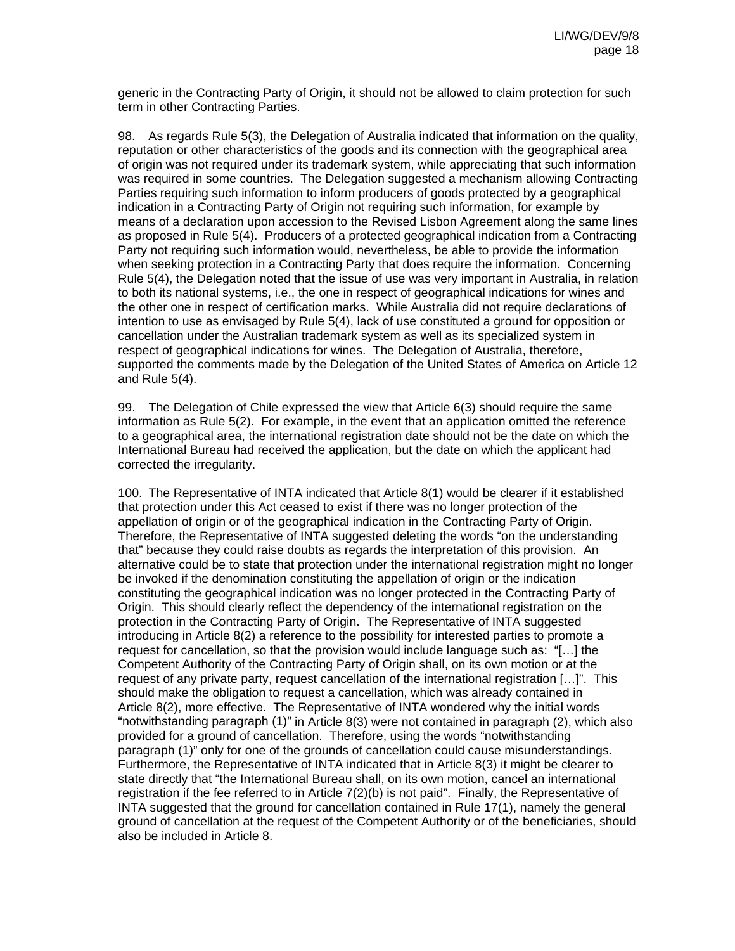generic in the Contracting Party of Origin, it should not be allowed to claim protection for such term in other Contracting Parties.

98. As regards Rule 5(3), the Delegation of Australia indicated that information on the quality, reputation or other characteristics of the goods and its connection with the geographical area of origin was not required under its trademark system, while appreciating that such information was required in some countries. The Delegation suggested a mechanism allowing Contracting Parties requiring such information to inform producers of goods protected by a geographical indication in a Contracting Party of Origin not requiring such information, for example by means of a declaration upon accession to the Revised Lisbon Agreement along the same lines as proposed in Rule 5(4). Producers of a protected geographical indication from a Contracting Party not requiring such information would, nevertheless, be able to provide the information when seeking protection in a Contracting Party that does require the information. Concerning Rule 5(4), the Delegation noted that the issue of use was very important in Australia, in relation to both its national systems, i.e., the one in respect of geographical indications for wines and the other one in respect of certification marks. While Australia did not require declarations of intention to use as envisaged by Rule 5(4), lack of use constituted a ground for opposition or cancellation under the Australian trademark system as well as its specialized system in respect of geographical indications for wines. The Delegation of Australia, therefore, supported the comments made by the Delegation of the United States of America on Article 12 and Rule 5(4).

99. The Delegation of Chile expressed the view that Article 6(3) should require the same information as Rule 5(2). For example, in the event that an application omitted the reference to a geographical area, the international registration date should not be the date on which the International Bureau had received the application, but the date on which the applicant had corrected the irregularity.

100. The Representative of INTA indicated that Article 8(1) would be clearer if it established that protection under this Act ceased to exist if there was no longer protection of the appellation of origin or of the geographical indication in the Contracting Party of Origin. Therefore, the Representative of INTA suggested deleting the words "on the understanding that" because they could raise doubts as regards the interpretation of this provision. An alternative could be to state that protection under the international registration might no longer be invoked if the denomination constituting the appellation of origin or the indication constituting the geographical indication was no longer protected in the Contracting Party of Origin. This should clearly reflect the dependency of the international registration on the protection in the Contracting Party of Origin. The Representative of INTA suggested introducing in Article 8(2) a reference to the possibility for interested parties to promote a request for cancellation, so that the provision would include language such as: "[…] the Competent Authority of the Contracting Party of Origin shall, on its own motion or at the request of any private party, request cancellation of the international registration […]". This should make the obligation to request a cancellation, which was already contained in Article 8(2), more effective. The Representative of INTA wondered why the initial words "notwithstanding paragraph (1)" in Article 8(3) were not contained in paragraph (2), which also provided for a ground of cancellation. Therefore, using the words "notwithstanding paragraph (1)" only for one of the grounds of cancellation could cause misunderstandings. Furthermore, the Representative of INTA indicated that in Article 8(3) it might be clearer to state directly that "the International Bureau shall, on its own motion, cancel an international registration if the fee referred to in Article 7(2)(b) is not paid". Finally, the Representative of INTA suggested that the ground for cancellation contained in Rule 17(1), namely the general ground of cancellation at the request of the Competent Authority or of the beneficiaries, should also be included in Article 8.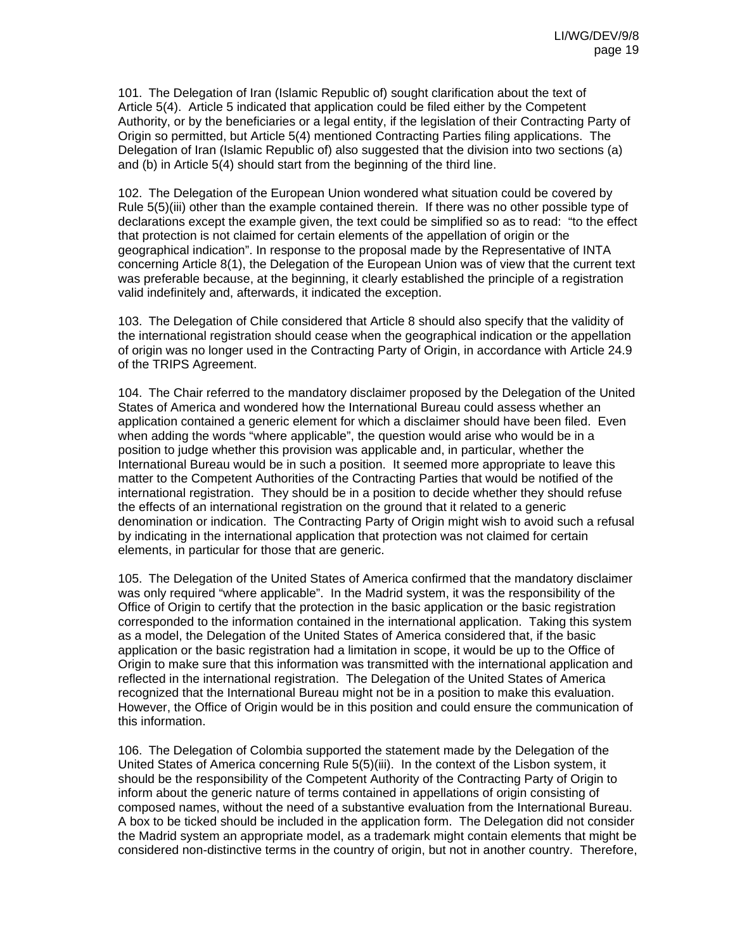101. The Delegation of Iran (Islamic Republic of) sought clarification about the text of Article 5(4). Article 5 indicated that application could be filed either by the Competent Authority, or by the beneficiaries or a legal entity, if the legislation of their Contracting Party of Origin so permitted, but Article 5(4) mentioned Contracting Parties filing applications. The Delegation of Iran (Islamic Republic of) also suggested that the division into two sections (a) and (b) in Article 5(4) should start from the beginning of the third line.

102. The Delegation of the European Union wondered what situation could be covered by Rule 5(5)(iii) other than the example contained therein. If there was no other possible type of declarations except the example given, the text could be simplified so as to read: "to the effect that protection is not claimed for certain elements of the appellation of origin or the geographical indication". In response to the proposal made by the Representative of INTA concerning Article 8(1), the Delegation of the European Union was of view that the current text was preferable because, at the beginning, it clearly established the principle of a registration valid indefinitely and, afterwards, it indicated the exception.

103. The Delegation of Chile considered that Article 8 should also specify that the validity of the international registration should cease when the geographical indication or the appellation of origin was no longer used in the Contracting Party of Origin, in accordance with Article 24.9 of the TRIPS Agreement.

104. The Chair referred to the mandatory disclaimer proposed by the Delegation of the United States of America and wondered how the International Bureau could assess whether an application contained a generic element for which a disclaimer should have been filed. Even when adding the words "where applicable", the question would arise who would be in a position to judge whether this provision was applicable and, in particular, whether the International Bureau would be in such a position. It seemed more appropriate to leave this matter to the Competent Authorities of the Contracting Parties that would be notified of the international registration. They should be in a position to decide whether they should refuse the effects of an international registration on the ground that it related to a generic denomination or indication. The Contracting Party of Origin might wish to avoid such a refusal by indicating in the international application that protection was not claimed for certain elements, in particular for those that are generic.

105. The Delegation of the United States of America confirmed that the mandatory disclaimer was only required "where applicable". In the Madrid system, it was the responsibility of the Office of Origin to certify that the protection in the basic application or the basic registration corresponded to the information contained in the international application. Taking this system as a model, the Delegation of the United States of America considered that, if the basic application or the basic registration had a limitation in scope, it would be up to the Office of Origin to make sure that this information was transmitted with the international application and reflected in the international registration. The Delegation of the United States of America recognized that the International Bureau might not be in a position to make this evaluation. However, the Office of Origin would be in this position and could ensure the communication of this information.

106. The Delegation of Colombia supported the statement made by the Delegation of the United States of America concerning Rule 5(5)(iii). In the context of the Lisbon system, it should be the responsibility of the Competent Authority of the Contracting Party of Origin to inform about the generic nature of terms contained in appellations of origin consisting of composed names, without the need of a substantive evaluation from the International Bureau. A box to be ticked should be included in the application form. The Delegation did not consider the Madrid system an appropriate model, as a trademark might contain elements that might be considered non-distinctive terms in the country of origin, but not in another country. Therefore,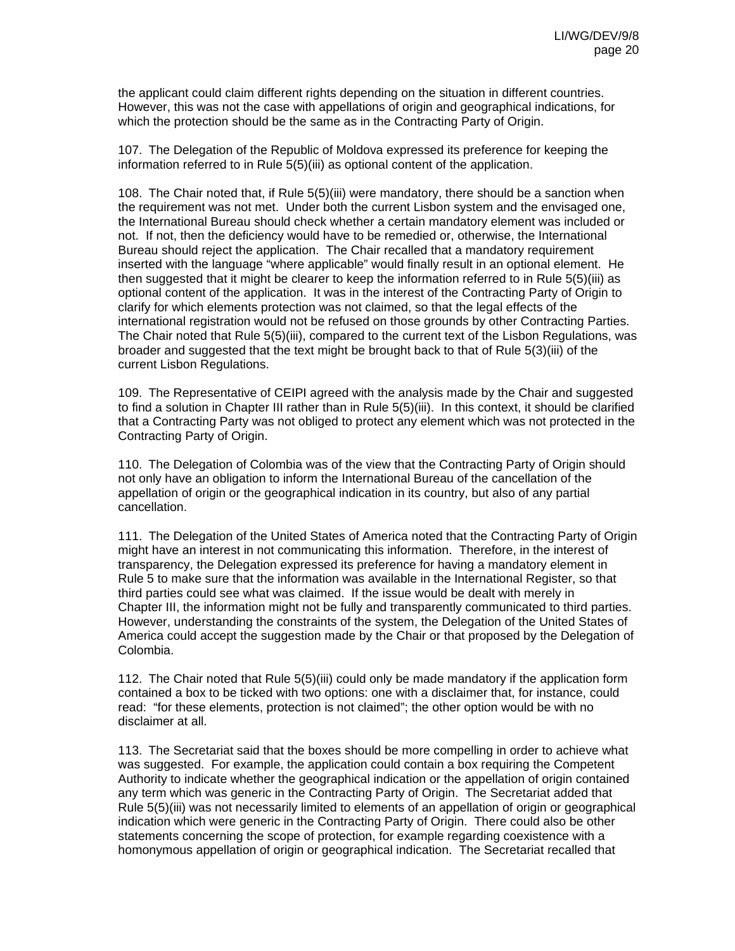the applicant could claim different rights depending on the situation in different countries. However, this was not the case with appellations of origin and geographical indications, for which the protection should be the same as in the Contracting Party of Origin.

107. The Delegation of the Republic of Moldova expressed its preference for keeping the information referred to in Rule 5(5)(iii) as optional content of the application.

108. The Chair noted that, if Rule 5(5)(iii) were mandatory, there should be a sanction when the requirement was not met. Under both the current Lisbon system and the envisaged one, the International Bureau should check whether a certain mandatory element was included or not. If not, then the deficiency would have to be remedied or, otherwise, the International Bureau should reject the application. The Chair recalled that a mandatory requirement inserted with the language "where applicable" would finally result in an optional element. He then suggested that it might be clearer to keep the information referred to in Rule 5(5)(iii) as optional content of the application. It was in the interest of the Contracting Party of Origin to clarify for which elements protection was not claimed, so that the legal effects of the international registration would not be refused on those grounds by other Contracting Parties. The Chair noted that Rule 5(5)(iii), compared to the current text of the Lisbon Regulations, was broader and suggested that the text might be brought back to that of Rule 5(3)(iii) of the current Lisbon Regulations.

109. The Representative of CEIPI agreed with the analysis made by the Chair and suggested to find a solution in Chapter III rather than in Rule 5(5)(iii). In this context, it should be clarified that a Contracting Party was not obliged to protect any element which was not protected in the Contracting Party of Origin.

110. The Delegation of Colombia was of the view that the Contracting Party of Origin should not only have an obligation to inform the International Bureau of the cancellation of the appellation of origin or the geographical indication in its country, but also of any partial cancellation.

111. The Delegation of the United States of America noted that the Contracting Party of Origin might have an interest in not communicating this information. Therefore, in the interest of transparency, the Delegation expressed its preference for having a mandatory element in Rule 5 to make sure that the information was available in the International Register, so that third parties could see what was claimed. If the issue would be dealt with merely in Chapter III, the information might not be fully and transparently communicated to third parties. However, understanding the constraints of the system, the Delegation of the United States of America could accept the suggestion made by the Chair or that proposed by the Delegation of Colombia.

112. The Chair noted that Rule 5(5)(iii) could only be made mandatory if the application form contained a box to be ticked with two options: one with a disclaimer that, for instance, could read: "for these elements, protection is not claimed"; the other option would be with no disclaimer at all.

113. The Secretariat said that the boxes should be more compelling in order to achieve what was suggested. For example, the application could contain a box requiring the Competent Authority to indicate whether the geographical indication or the appellation of origin contained any term which was generic in the Contracting Party of Origin. The Secretariat added that Rule 5(5)(iii) was not necessarily limited to elements of an appellation of origin or geographical indication which were generic in the Contracting Party of Origin. There could also be other statements concerning the scope of protection, for example regarding coexistence with a homonymous appellation of origin or geographical indication. The Secretariat recalled that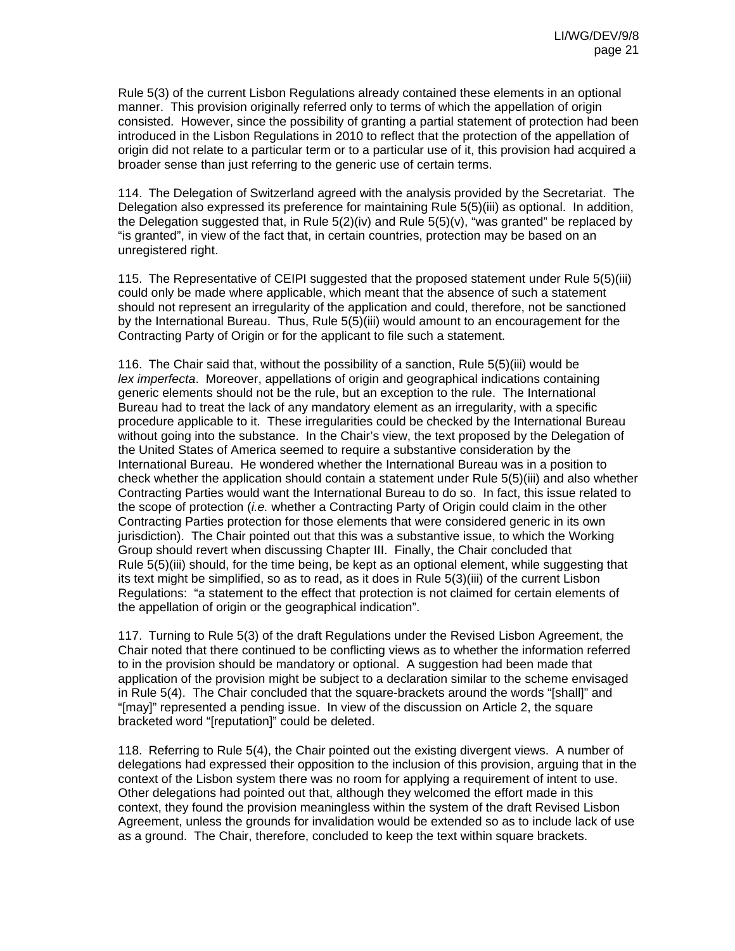Rule 5(3) of the current Lisbon Regulations already contained these elements in an optional manner. This provision originally referred only to terms of which the appellation of origin consisted. However, since the possibility of granting a partial statement of protection had been introduced in the Lisbon Regulations in 2010 to reflect that the protection of the appellation of origin did not relate to a particular term or to a particular use of it, this provision had acquired a broader sense than just referring to the generic use of certain terms.

114. The Delegation of Switzerland agreed with the analysis provided by the Secretariat. The Delegation also expressed its preference for maintaining Rule 5(5)(iii) as optional. In addition, the Delegation suggested that, in Rule  $5(2)(iv)$  and Rule  $5(5)(v)$ , "was granted" be replaced by "is granted", in view of the fact that, in certain countries, protection may be based on an unregistered right.

115. The Representative of CEIPI suggested that the proposed statement under Rule 5(5)(iii) could only be made where applicable, which meant that the absence of such a statement should not represent an irregularity of the application and could, therefore, not be sanctioned by the International Bureau. Thus, Rule 5(5)(iii) would amount to an encouragement for the Contracting Party of Origin or for the applicant to file such a statement.

116. The Chair said that, without the possibility of a sanction, Rule 5(5)(iii) would be *lex imperfecta*. Moreover, appellations of origin and geographical indications containing generic elements should not be the rule, but an exception to the rule. The International Bureau had to treat the lack of any mandatory element as an irregularity, with a specific procedure applicable to it. These irregularities could be checked by the International Bureau without going into the substance. In the Chair's view, the text proposed by the Delegation of the United States of America seemed to require a substantive consideration by the International Bureau. He wondered whether the International Bureau was in a position to check whether the application should contain a statement under Rule 5(5)(iii) and also whether Contracting Parties would want the International Bureau to do so. In fact, this issue related to the scope of protection (*i.e.* whether a Contracting Party of Origin could claim in the other Contracting Parties protection for those elements that were considered generic in its own jurisdiction). The Chair pointed out that this was a substantive issue, to which the Working Group should revert when discussing Chapter III. Finally, the Chair concluded that Rule 5(5)(iii) should, for the time being, be kept as an optional element, while suggesting that its text might be simplified, so as to read, as it does in Rule 5(3)(iii) of the current Lisbon Regulations: "a statement to the effect that protection is not claimed for certain elements of the appellation of origin or the geographical indication".

117. Turning to Rule 5(3) of the draft Regulations under the Revised Lisbon Agreement, the Chair noted that there continued to be conflicting views as to whether the information referred to in the provision should be mandatory or optional. A suggestion had been made that application of the provision might be subject to a declaration similar to the scheme envisaged in Rule 5(4). The Chair concluded that the square-brackets around the words "[shall]" and "[may]" represented a pending issue. In view of the discussion on Article 2, the square bracketed word "[reputation]" could be deleted.

118. Referring to Rule 5(4), the Chair pointed out the existing divergent views. A number of delegations had expressed their opposition to the inclusion of this provision, arguing that in the context of the Lisbon system there was no room for applying a requirement of intent to use. Other delegations had pointed out that, although they welcomed the effort made in this context, they found the provision meaningless within the system of the draft Revised Lisbon Agreement, unless the grounds for invalidation would be extended so as to include lack of use as a ground. The Chair, therefore, concluded to keep the text within square brackets.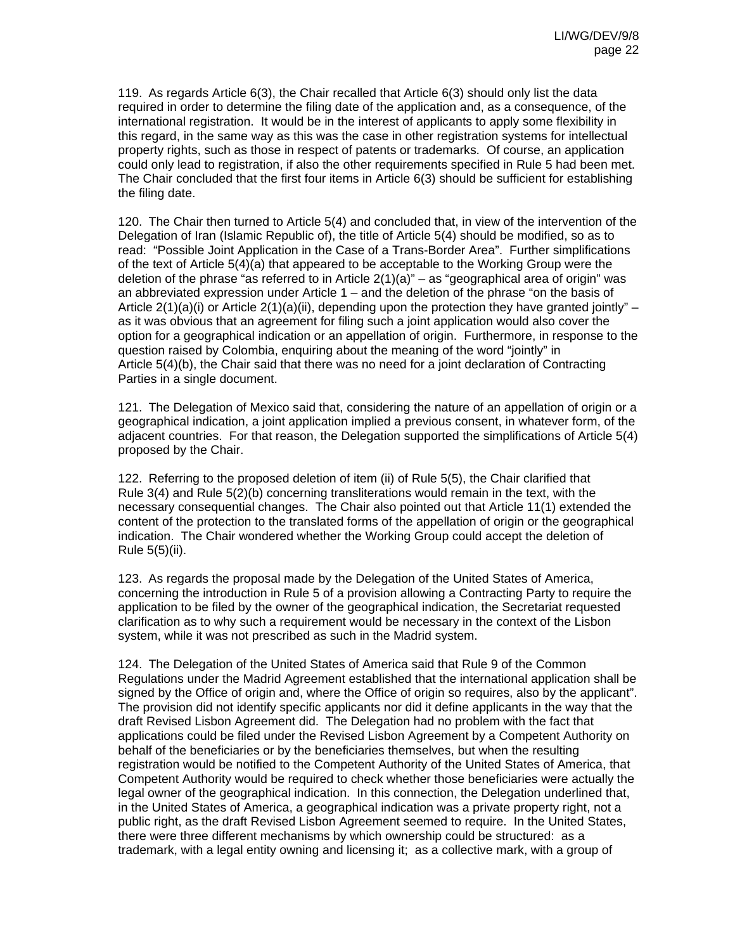119. As regards Article 6(3), the Chair recalled that Article 6(3) should only list the data required in order to determine the filing date of the application and, as a consequence, of the international registration. It would be in the interest of applicants to apply some flexibility in this regard, in the same way as this was the case in other registration systems for intellectual property rights, such as those in respect of patents or trademarks. Of course, an application could only lead to registration, if also the other requirements specified in Rule 5 had been met. The Chair concluded that the first four items in Article 6(3) should be sufficient for establishing the filing date.

120. The Chair then turned to Article 5(4) and concluded that, in view of the intervention of the Delegation of Iran (Islamic Republic of), the title of Article 5(4) should be modified, so as to read: "Possible Joint Application in the Case of a Trans-Border Area". Further simplifications of the text of Article 5(4)(a) that appeared to be acceptable to the Working Group were the deletion of the phrase "as referred to in Article  $2(1)(a)$ " – as "geographical area of origin" was an abbreviated expression under Article 1 – and the deletion of the phrase "on the basis of Article  $2(1)(a)(i)$  or Article  $2(1)(a)(ii)$ , depending upon the protection they have granted jointly" – as it was obvious that an agreement for filing such a joint application would also cover the option for a geographical indication or an appellation of origin. Furthermore, in response to the question raised by Colombia, enquiring about the meaning of the word "jointly" in Article 5(4)(b), the Chair said that there was no need for a joint declaration of Contracting Parties in a single document.

121. The Delegation of Mexico said that, considering the nature of an appellation of origin or a geographical indication, a joint application implied a previous consent, in whatever form, of the adjacent countries. For that reason, the Delegation supported the simplifications of Article 5(4) proposed by the Chair.

122. Referring to the proposed deletion of item (ii) of Rule 5(5), the Chair clarified that Rule 3(4) and Rule 5(2)(b) concerning transliterations would remain in the text, with the necessary consequential changes. The Chair also pointed out that Article 11(1) extended the content of the protection to the translated forms of the appellation of origin or the geographical indication. The Chair wondered whether the Working Group could accept the deletion of Rule 5(5)(ii).

123. As regards the proposal made by the Delegation of the United States of America, concerning the introduction in Rule 5 of a provision allowing a Contracting Party to require the application to be filed by the owner of the geographical indication, the Secretariat requested clarification as to why such a requirement would be necessary in the context of the Lisbon system, while it was not prescribed as such in the Madrid system.

124. The Delegation of the United States of America said that Rule 9 of the Common Regulations under the Madrid Agreement established that the international application shall be signed by the Office of origin and, where the Office of origin so requires, also by the applicant". The provision did not identify specific applicants nor did it define applicants in the way that the draft Revised Lisbon Agreement did. The Delegation had no problem with the fact that applications could be filed under the Revised Lisbon Agreement by a Competent Authority on behalf of the beneficiaries or by the beneficiaries themselves, but when the resulting registration would be notified to the Competent Authority of the United States of America, that Competent Authority would be required to check whether those beneficiaries were actually the legal owner of the geographical indication. In this connection, the Delegation underlined that, in the United States of America, a geographical indication was a private property right, not a public right, as the draft Revised Lisbon Agreement seemed to require. In the United States, there were three different mechanisms by which ownership could be structured: as a trademark, with a legal entity owning and licensing it; as a collective mark, with a group of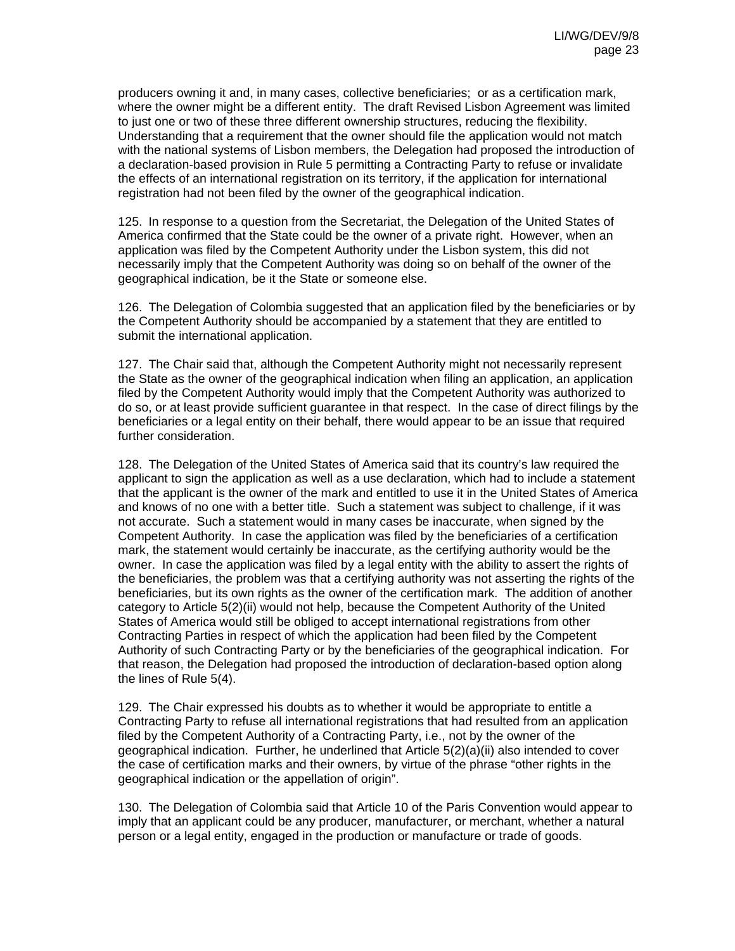producers owning it and, in many cases, collective beneficiaries; or as a certification mark, where the owner might be a different entity. The draft Revised Lisbon Agreement was limited to just one or two of these three different ownership structures, reducing the flexibility. Understanding that a requirement that the owner should file the application would not match with the national systems of Lisbon members, the Delegation had proposed the introduction of a declaration-based provision in Rule 5 permitting a Contracting Party to refuse or invalidate the effects of an international registration on its territory, if the application for international registration had not been filed by the owner of the geographical indication.

125. In response to a question from the Secretariat, the Delegation of the United States of America confirmed that the State could be the owner of a private right. However, when an application was filed by the Competent Authority under the Lisbon system, this did not necessarily imply that the Competent Authority was doing so on behalf of the owner of the geographical indication, be it the State or someone else.

126. The Delegation of Colombia suggested that an application filed by the beneficiaries or by the Competent Authority should be accompanied by a statement that they are entitled to submit the international application.

127. The Chair said that, although the Competent Authority might not necessarily represent the State as the owner of the geographical indication when filing an application, an application filed by the Competent Authority would imply that the Competent Authority was authorized to do so, or at least provide sufficient guarantee in that respect. In the case of direct filings by the beneficiaries or a legal entity on their behalf, there would appear to be an issue that required further consideration.

128. The Delegation of the United States of America said that its country's law required the applicant to sign the application as well as a use declaration, which had to include a statement that the applicant is the owner of the mark and entitled to use it in the United States of America and knows of no one with a better title. Such a statement was subject to challenge, if it was not accurate. Such a statement would in many cases be inaccurate, when signed by the Competent Authority. In case the application was filed by the beneficiaries of a certification mark, the statement would certainly be inaccurate, as the certifying authority would be the owner. In case the application was filed by a legal entity with the ability to assert the rights of the beneficiaries, the problem was that a certifying authority was not asserting the rights of the beneficiaries, but its own rights as the owner of the certification mark. The addition of another category to Article 5(2)(ii) would not help, because the Competent Authority of the United States of America would still be obliged to accept international registrations from other Contracting Parties in respect of which the application had been filed by the Competent Authority of such Contracting Party or by the beneficiaries of the geographical indication. For that reason, the Delegation had proposed the introduction of declaration-based option along the lines of Rule 5(4).

129. The Chair expressed his doubts as to whether it would be appropriate to entitle a Contracting Party to refuse all international registrations that had resulted from an application filed by the Competent Authority of a Contracting Party, i.e., not by the owner of the geographical indication. Further, he underlined that Article 5(2)(a)(ii) also intended to cover the case of certification marks and their owners, by virtue of the phrase "other rights in the geographical indication or the appellation of origin".

130. The Delegation of Colombia said that Article 10 of the Paris Convention would appear to imply that an applicant could be any producer, manufacturer, or merchant, whether a natural person or a legal entity, engaged in the production or manufacture or trade of goods.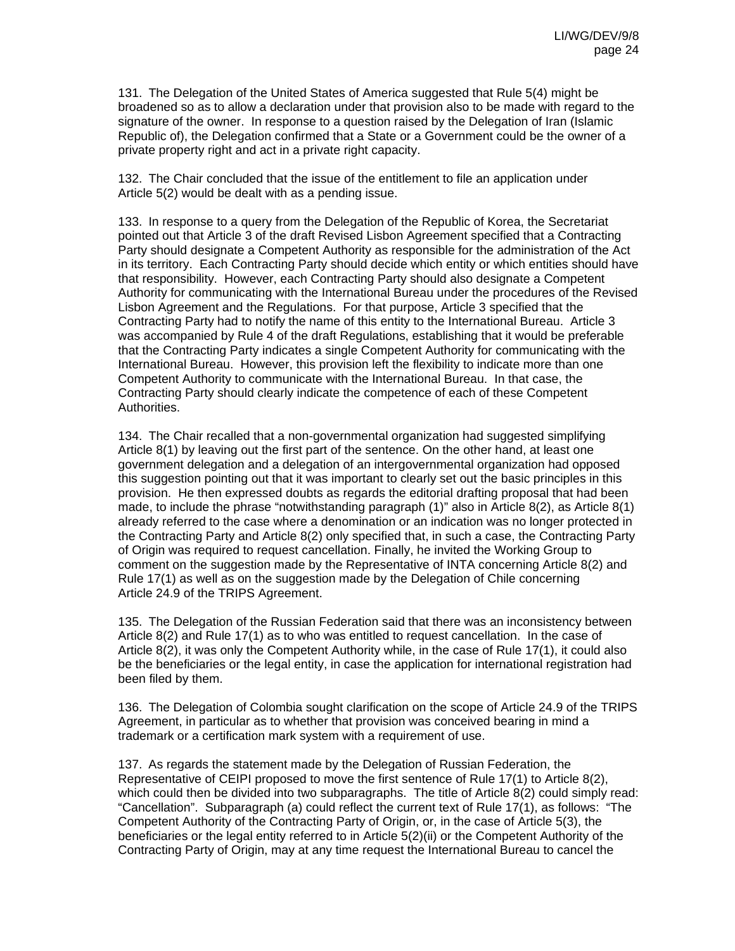131. The Delegation of the United States of America suggested that Rule 5(4) might be broadened so as to allow a declaration under that provision also to be made with regard to the signature of the owner. In response to a question raised by the Delegation of Iran (Islamic Republic of), the Delegation confirmed that a State or a Government could be the owner of a private property right and act in a private right capacity.

132. The Chair concluded that the issue of the entitlement to file an application under Article 5(2) would be dealt with as a pending issue.

133. In response to a query from the Delegation of the Republic of Korea, the Secretariat pointed out that Article 3 of the draft Revised Lisbon Agreement specified that a Contracting Party should designate a Competent Authority as responsible for the administration of the Act in its territory. Each Contracting Party should decide which entity or which entities should have that responsibility. However, each Contracting Party should also designate a Competent Authority for communicating with the International Bureau under the procedures of the Revised Lisbon Agreement and the Regulations. For that purpose, Article 3 specified that the Contracting Party had to notify the name of this entity to the International Bureau. Article 3 was accompanied by Rule 4 of the draft Regulations, establishing that it would be preferable that the Contracting Party indicates a single Competent Authority for communicating with the International Bureau. However, this provision left the flexibility to indicate more than one Competent Authority to communicate with the International Bureau. In that case, the Contracting Party should clearly indicate the competence of each of these Competent Authorities.

134. The Chair recalled that a non-governmental organization had suggested simplifying Article 8(1) by leaving out the first part of the sentence. On the other hand, at least one government delegation and a delegation of an intergovernmental organization had opposed this suggestion pointing out that it was important to clearly set out the basic principles in this provision. He then expressed doubts as regards the editorial drafting proposal that had been made, to include the phrase "notwithstanding paragraph (1)" also in Article 8(2), as Article 8(1) already referred to the case where a denomination or an indication was no longer protected in the Contracting Party and Article 8(2) only specified that, in such a case, the Contracting Party of Origin was required to request cancellation. Finally, he invited the Working Group to comment on the suggestion made by the Representative of INTA concerning Article 8(2) and Rule 17(1) as well as on the suggestion made by the Delegation of Chile concerning Article 24.9 of the TRIPS Agreement.

135. The Delegation of the Russian Federation said that there was an inconsistency between Article 8(2) and Rule 17(1) as to who was entitled to request cancellation. In the case of Article 8(2), it was only the Competent Authority while, in the case of Rule 17(1), it could also be the beneficiaries or the legal entity, in case the application for international registration had been filed by them.

136. The Delegation of Colombia sought clarification on the scope of Article 24.9 of the TRIPS Agreement, in particular as to whether that provision was conceived bearing in mind a trademark or a certification mark system with a requirement of use.

137. As regards the statement made by the Delegation of Russian Federation, the Representative of CEIPI proposed to move the first sentence of Rule 17(1) to Article 8(2), which could then be divided into two subparagraphs. The title of Article 8(2) could simply read: "Cancellation". Subparagraph (a) could reflect the current text of Rule 17(1), as follows: "The Competent Authority of the Contracting Party of Origin, or, in the case of Article 5(3), the beneficiaries or the legal entity referred to in Article 5(2)(ii) or the Competent Authority of the Contracting Party of Origin, may at any time request the International Bureau to cancel the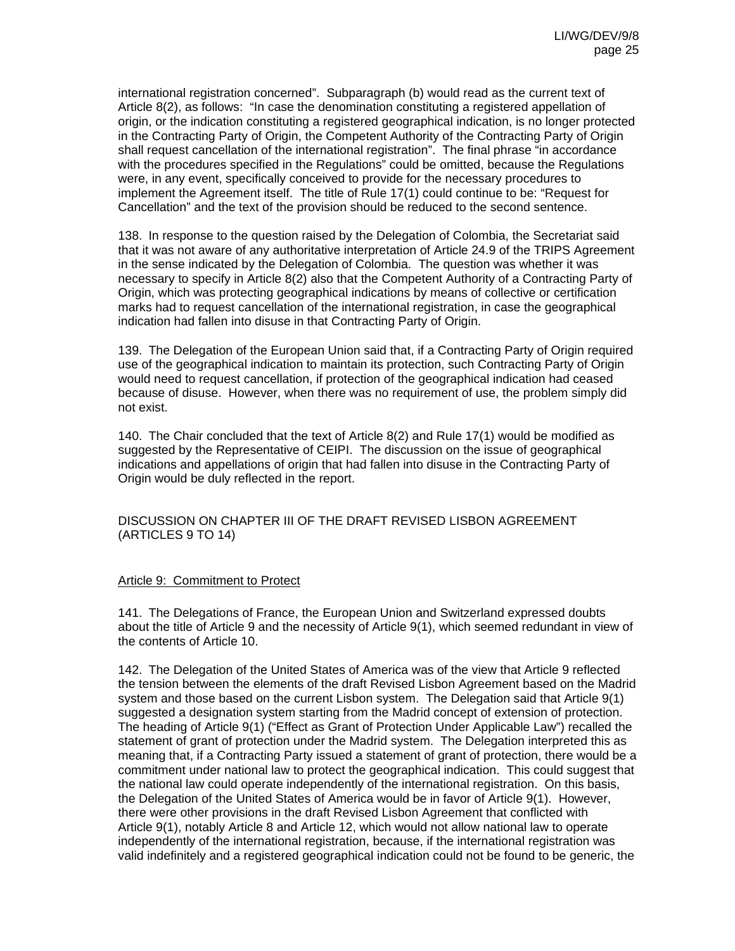international registration concerned". Subparagraph (b) would read as the current text of Article 8(2), as follows: "In case the denomination constituting a registered appellation of origin, or the indication constituting a registered geographical indication, is no longer protected in the Contracting Party of Origin, the Competent Authority of the Contracting Party of Origin shall request cancellation of the international registration". The final phrase "in accordance with the procedures specified in the Regulations" could be omitted, because the Regulations were, in any event, specifically conceived to provide for the necessary procedures to implement the Agreement itself. The title of Rule 17(1) could continue to be: "Request for Cancellation" and the text of the provision should be reduced to the second sentence.

138. In response to the question raised by the Delegation of Colombia, the Secretariat said that it was not aware of any authoritative interpretation of Article 24.9 of the TRIPS Agreement in the sense indicated by the Delegation of Colombia. The question was whether it was necessary to specify in Article 8(2) also that the Competent Authority of a Contracting Party of Origin, which was protecting geographical indications by means of collective or certification marks had to request cancellation of the international registration, in case the geographical indication had fallen into disuse in that Contracting Party of Origin.

139. The Delegation of the European Union said that, if a Contracting Party of Origin required use of the geographical indication to maintain its protection, such Contracting Party of Origin would need to request cancellation, if protection of the geographical indication had ceased because of disuse. However, when there was no requirement of use, the problem simply did not exist.

140. The Chair concluded that the text of Article 8(2) and Rule 17(1) would be modified as suggested by the Representative of CEIPI. The discussion on the issue of geographical indications and appellations of origin that had fallen into disuse in the Contracting Party of Origin would be duly reflected in the report.

DISCUSSION ON CHAPTER III OF THE DRAFT REVISED LISBON AGREEMENT (ARTICLES 9 TO 14)

#### Article 9: Commitment to Protect

141. The Delegations of France, the European Union and Switzerland expressed doubts about the title of Article 9 and the necessity of Article 9(1), which seemed redundant in view of the contents of Article 10.

142. The Delegation of the United States of America was of the view that Article 9 reflected the tension between the elements of the draft Revised Lisbon Agreement based on the Madrid system and those based on the current Lisbon system. The Delegation said that Article 9(1) suggested a designation system starting from the Madrid concept of extension of protection. The heading of Article 9(1) ("Effect as Grant of Protection Under Applicable Law") recalled the statement of grant of protection under the Madrid system. The Delegation interpreted this as meaning that, if a Contracting Party issued a statement of grant of protection, there would be a commitment under national law to protect the geographical indication. This could suggest that the national law could operate independently of the international registration. On this basis, the Delegation of the United States of America would be in favor of Article 9(1). However, there were other provisions in the draft Revised Lisbon Agreement that conflicted with Article 9(1), notably Article 8 and Article 12, which would not allow national law to operate independently of the international registration, because, if the international registration was valid indefinitely and a registered geographical indication could not be found to be generic, the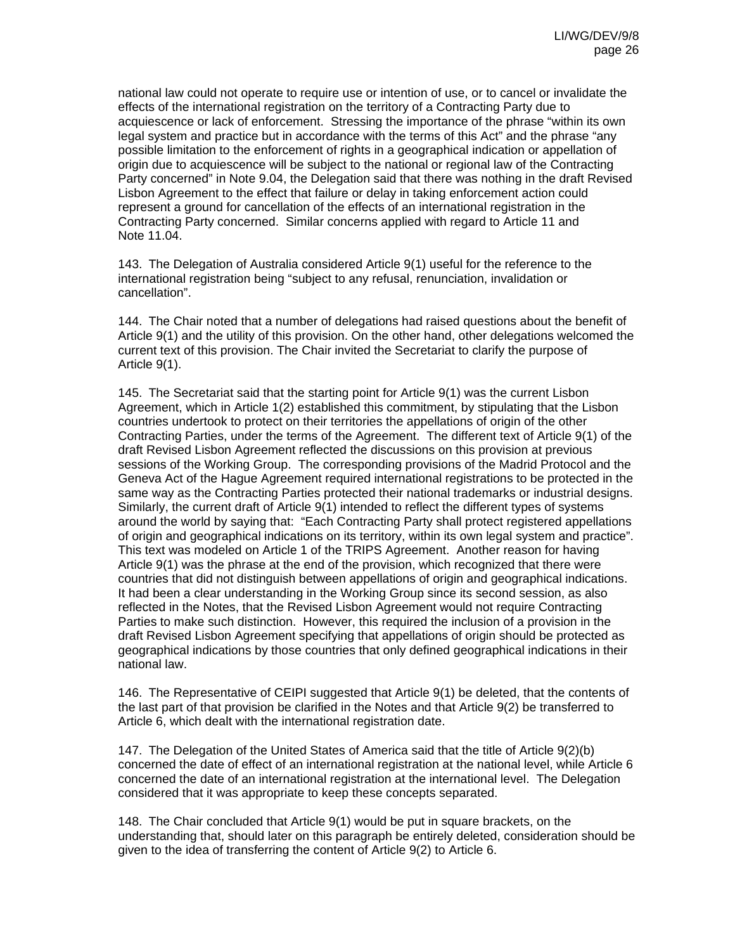national law could not operate to require use or intention of use, or to cancel or invalidate the effects of the international registration on the territory of a Contracting Party due to acquiescence or lack of enforcement. Stressing the importance of the phrase "within its own legal system and practice but in accordance with the terms of this Act" and the phrase "any possible limitation to the enforcement of rights in a geographical indication or appellation of origin due to acquiescence will be subject to the national or regional law of the Contracting Party concerned" in Note 9.04, the Delegation said that there was nothing in the draft Revised Lisbon Agreement to the effect that failure or delay in taking enforcement action could represent a ground for cancellation of the effects of an international registration in the Contracting Party concerned. Similar concerns applied with regard to Article 11 and Note 11.04.

143. The Delegation of Australia considered Article 9(1) useful for the reference to the international registration being "subject to any refusal, renunciation, invalidation or cancellation".

144. The Chair noted that a number of delegations had raised questions about the benefit of Article 9(1) and the utility of this provision. On the other hand, other delegations welcomed the current text of this provision. The Chair invited the Secretariat to clarify the purpose of Article 9(1).

145. The Secretariat said that the starting point for Article 9(1) was the current Lisbon Agreement, which in Article 1(2) established this commitment, by stipulating that the Lisbon countries undertook to protect on their territories the appellations of origin of the other Contracting Parties, under the terms of the Agreement. The different text of Article 9(1) of the draft Revised Lisbon Agreement reflected the discussions on this provision at previous sessions of the Working Group. The corresponding provisions of the Madrid Protocol and the Geneva Act of the Hague Agreement required international registrations to be protected in the same way as the Contracting Parties protected their national trademarks or industrial designs. Similarly, the current draft of Article 9(1) intended to reflect the different types of systems around the world by saying that: "Each Contracting Party shall protect registered appellations of origin and geographical indications on its territory, within its own legal system and practice". This text was modeled on Article 1 of the TRIPS Agreement. Another reason for having Article 9(1) was the phrase at the end of the provision, which recognized that there were countries that did not distinguish between appellations of origin and geographical indications. It had been a clear understanding in the Working Group since its second session, as also reflected in the Notes, that the Revised Lisbon Agreement would not require Contracting Parties to make such distinction. However, this required the inclusion of a provision in the draft Revised Lisbon Agreement specifying that appellations of origin should be protected as geographical indications by those countries that only defined geographical indications in their national law.

146. The Representative of CEIPI suggested that Article 9(1) be deleted, that the contents of the last part of that provision be clarified in the Notes and that Article 9(2) be transferred to Article 6, which dealt with the international registration date.

147. The Delegation of the United States of America said that the title of Article 9(2)(b) concerned the date of effect of an international registration at the national level, while Article 6 concerned the date of an international registration at the international level. The Delegation considered that it was appropriate to keep these concepts separated.

148. The Chair concluded that Article 9(1) would be put in square brackets, on the understanding that, should later on this paragraph be entirely deleted, consideration should be given to the idea of transferring the content of Article 9(2) to Article 6.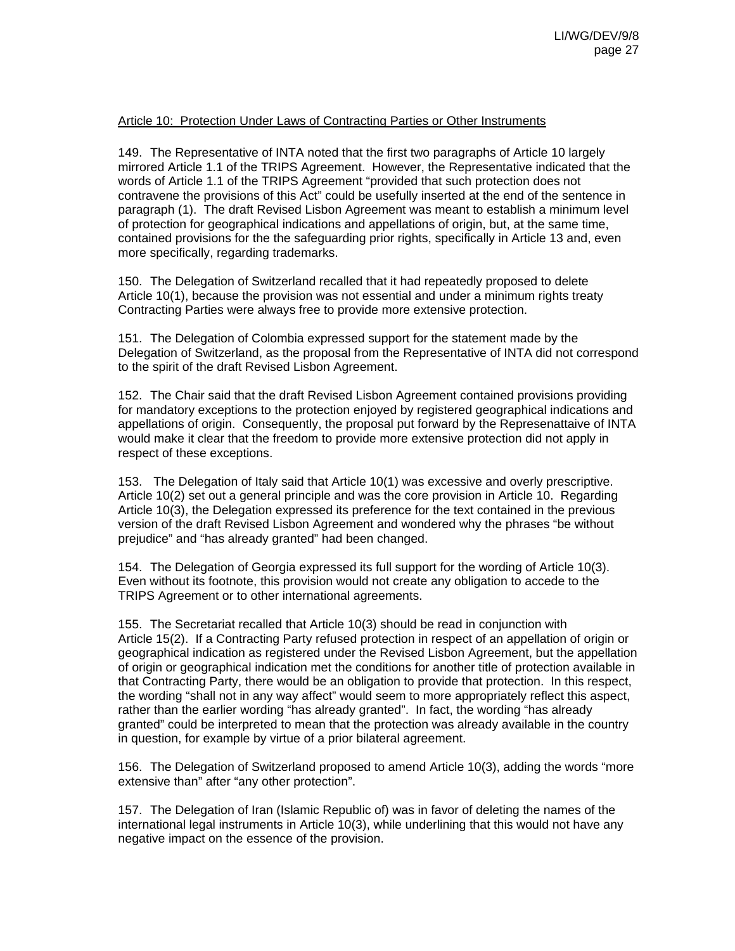#### Article 10: Protection Under Laws of Contracting Parties or Other Instruments

149. The Representative of INTA noted that the first two paragraphs of Article 10 largely mirrored Article 1.1 of the TRIPS Agreement. However, the Representative indicated that the words of Article 1.1 of the TRIPS Agreement "provided that such protection does not contravene the provisions of this Act" could be usefully inserted at the end of the sentence in paragraph (1). The draft Revised Lisbon Agreement was meant to establish a minimum level of protection for geographical indications and appellations of origin, but, at the same time, contained provisions for the the safeguarding prior rights, specifically in Article 13 and, even more specifically, regarding trademarks.

150. The Delegation of Switzerland recalled that it had repeatedly proposed to delete Article 10(1), because the provision was not essential and under a minimum rights treaty Contracting Parties were always free to provide more extensive protection.

151. The Delegation of Colombia expressed support for the statement made by the Delegation of Switzerland, as the proposal from the Representative of INTA did not correspond to the spirit of the draft Revised Lisbon Agreement.

152. The Chair said that the draft Revised Lisbon Agreement contained provisions providing for mandatory exceptions to the protection enjoyed by registered geographical indications and appellations of origin. Consequently, the proposal put forward by the Represenattaive of INTA would make it clear that the freedom to provide more extensive protection did not apply in respect of these exceptions.

153. The Delegation of Italy said that Article 10(1) was excessive and overly prescriptive. Article 10(2) set out a general principle and was the core provision in Article 10. Regarding Article 10(3), the Delegation expressed its preference for the text contained in the previous version of the draft Revised Lisbon Agreement and wondered why the phrases "be without prejudice" and "has already granted" had been changed.

154. The Delegation of Georgia expressed its full support for the wording of Article 10(3). Even without its footnote, this provision would not create any obligation to accede to the TRIPS Agreement or to other international agreements.

155. The Secretariat recalled that Article 10(3) should be read in conjunction with Article 15(2). If a Contracting Party refused protection in respect of an appellation of origin or geographical indication as registered under the Revised Lisbon Agreement, but the appellation of origin or geographical indication met the conditions for another title of protection available in that Contracting Party, there would be an obligation to provide that protection. In this respect, the wording "shall not in any way affect" would seem to more appropriately reflect this aspect, rather than the earlier wording "has already granted". In fact, the wording "has already granted" could be interpreted to mean that the protection was already available in the country in question, for example by virtue of a prior bilateral agreement.

156. The Delegation of Switzerland proposed to amend Article 10(3), adding the words "more extensive than" after "any other protection".

157. The Delegation of Iran (Islamic Republic of) was in favor of deleting the names of the international legal instruments in Article 10(3), while underlining that this would not have any negative impact on the essence of the provision.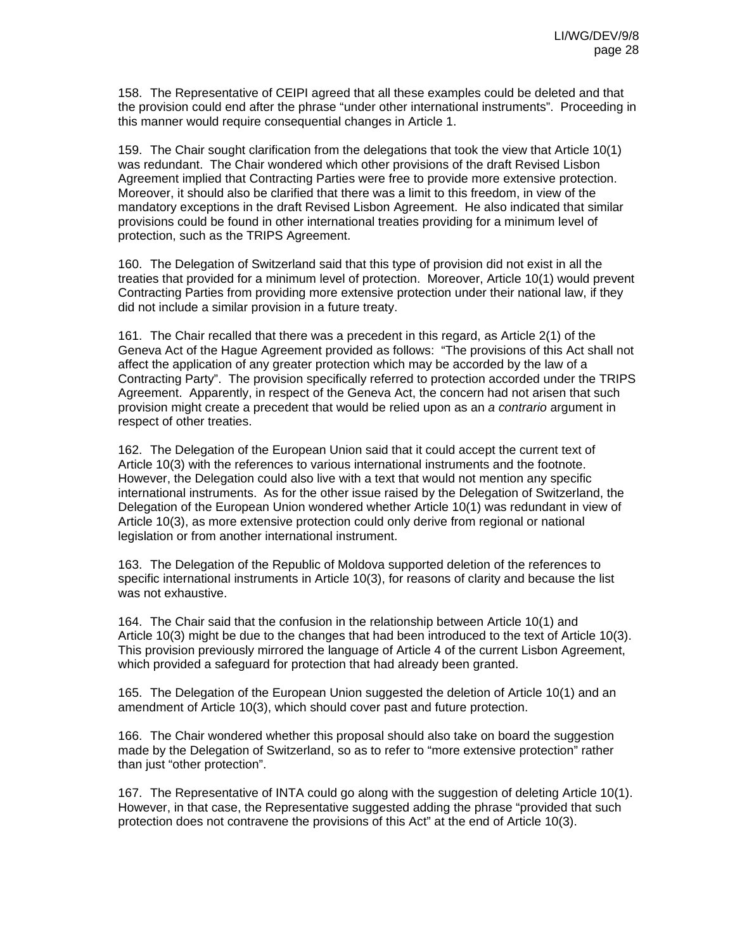158. The Representative of CEIPI agreed that all these examples could be deleted and that the provision could end after the phrase "under other international instruments". Proceeding in this manner would require consequential changes in Article 1.

159. The Chair sought clarification from the delegations that took the view that Article 10(1) was redundant. The Chair wondered which other provisions of the draft Revised Lisbon Agreement implied that Contracting Parties were free to provide more extensive protection. Moreover, it should also be clarified that there was a limit to this freedom, in view of the mandatory exceptions in the draft Revised Lisbon Agreement. He also indicated that similar provisions could be found in other international treaties providing for a minimum level of protection, such as the TRIPS Agreement.

160. The Delegation of Switzerland said that this type of provision did not exist in all the treaties that provided for a minimum level of protection. Moreover, Article 10(1) would prevent Contracting Parties from providing more extensive protection under their national law, if they did not include a similar provision in a future treaty.

161. The Chair recalled that there was a precedent in this regard, as Article 2(1) of the Geneva Act of the Hague Agreement provided as follows: "The provisions of this Act shall not affect the application of any greater protection which may be accorded by the law of a Contracting Party". The provision specifically referred to protection accorded under the TRIPS Agreement. Apparently, in respect of the Geneva Act, the concern had not arisen that such provision might create a precedent that would be relied upon as an *a contrario* argument in respect of other treaties.

162. The Delegation of the European Union said that it could accept the current text of Article 10(3) with the references to various international instruments and the footnote. However, the Delegation could also live with a text that would not mention any specific international instruments. As for the other issue raised by the Delegation of Switzerland, the Delegation of the European Union wondered whether Article 10(1) was redundant in view of Article 10(3), as more extensive protection could only derive from regional or national legislation or from another international instrument.

163. The Delegation of the Republic of Moldova supported deletion of the references to specific international instruments in Article 10(3), for reasons of clarity and because the list was not exhaustive.

164. The Chair said that the confusion in the relationship between Article 10(1) and Article 10(3) might be due to the changes that had been introduced to the text of Article 10(3). This provision previously mirrored the language of Article 4 of the current Lisbon Agreement, which provided a safeguard for protection that had already been granted.

165. The Delegation of the European Union suggested the deletion of Article 10(1) and an amendment of Article 10(3), which should cover past and future protection.

166. The Chair wondered whether this proposal should also take on board the suggestion made by the Delegation of Switzerland, so as to refer to "more extensive protection" rather than just "other protection".

167. The Representative of INTA could go along with the suggestion of deleting Article 10(1). However, in that case, the Representative suggested adding the phrase "provided that such protection does not contravene the provisions of this Act" at the end of Article 10(3).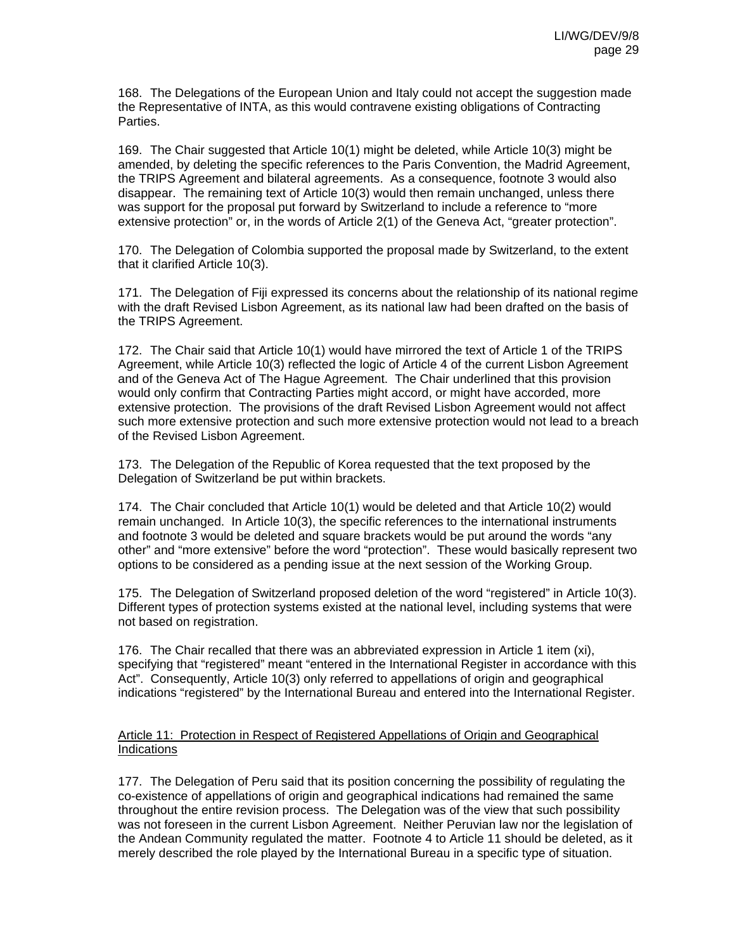168. The Delegations of the European Union and Italy could not accept the suggestion made the Representative of INTA, as this would contravene existing obligations of Contracting Parties.

169. The Chair suggested that Article 10(1) might be deleted, while Article 10(3) might be amended, by deleting the specific references to the Paris Convention, the Madrid Agreement, the TRIPS Agreement and bilateral agreements. As a consequence, footnote 3 would also disappear. The remaining text of Article 10(3) would then remain unchanged, unless there was support for the proposal put forward by Switzerland to include a reference to "more extensive protection" or, in the words of Article 2(1) of the Geneva Act, "greater protection".

170. The Delegation of Colombia supported the proposal made by Switzerland, to the extent that it clarified Article 10(3).

171. The Delegation of Fiji expressed its concerns about the relationship of its national regime with the draft Revised Lisbon Agreement, as its national law had been drafted on the basis of the TRIPS Agreement.

172. The Chair said that Article 10(1) would have mirrored the text of Article 1 of the TRIPS Agreement, while Article 10(3) reflected the logic of Article 4 of the current Lisbon Agreement and of the Geneva Act of The Hague Agreement. The Chair underlined that this provision would only confirm that Contracting Parties might accord, or might have accorded, more extensive protection. The provisions of the draft Revised Lisbon Agreement would not affect such more extensive protection and such more extensive protection would not lead to a breach of the Revised Lisbon Agreement.

173. The Delegation of the Republic of Korea requested that the text proposed by the Delegation of Switzerland be put within brackets.

174. The Chair concluded that Article 10(1) would be deleted and that Article 10(2) would remain unchanged. In Article 10(3), the specific references to the international instruments and footnote 3 would be deleted and square brackets would be put around the words "any other" and "more extensive" before the word "protection". These would basically represent two options to be considered as a pending issue at the next session of the Working Group.

175. The Delegation of Switzerland proposed deletion of the word "registered" in Article 10(3). Different types of protection systems existed at the national level, including systems that were not based on registration.

176. The Chair recalled that there was an abbreviated expression in Article 1 item (xi), specifying that "registered" meant "entered in the International Register in accordance with this Act". Consequently, Article 10(3) only referred to appellations of origin and geographical indications "registered" by the International Bureau and entered into the International Register.

## Article 11: Protection in Respect of Registered Appellations of Origin and Geographical Indications

177. The Delegation of Peru said that its position concerning the possibility of regulating the co-existence of appellations of origin and geographical indications had remained the same throughout the entire revision process. The Delegation was of the view that such possibility was not foreseen in the current Lisbon Agreement. Neither Peruvian law nor the legislation of the Andean Community regulated the matter. Footnote 4 to Article 11 should be deleted, as it merely described the role played by the International Bureau in a specific type of situation.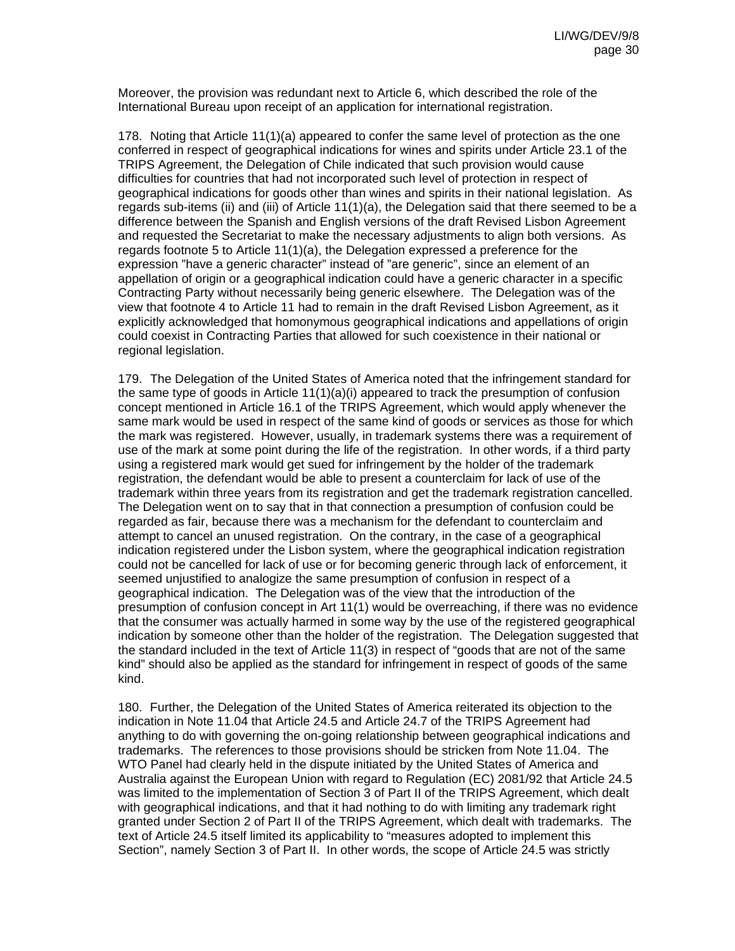Moreover, the provision was redundant next to Article 6, which described the role of the International Bureau upon receipt of an application for international registration.

178. Noting that Article 11(1)(a) appeared to confer the same level of protection as the one conferred in respect of geographical indications for wines and spirits under Article 23.1 of the TRIPS Agreement, the Delegation of Chile indicated that such provision would cause difficulties for countries that had not incorporated such level of protection in respect of geographical indications for goods other than wines and spirits in their national legislation. As regards sub-items (ii) and (iii) of Article 11(1)(a), the Delegation said that there seemed to be a difference between the Spanish and English versions of the draft Revised Lisbon Agreement and requested the Secretariat to make the necessary adjustments to align both versions. As regards footnote 5 to Article 11(1)(a), the Delegation expressed a preference for the expression "have a generic character" instead of "are generic", since an element of an appellation of origin or a geographical indication could have a generic character in a specific Contracting Party without necessarily being generic elsewhere. The Delegation was of the view that footnote 4 to Article 11 had to remain in the draft Revised Lisbon Agreement, as it explicitly acknowledged that homonymous geographical indications and appellations of origin could coexist in Contracting Parties that allowed for such coexistence in their national or regional legislation.

179. The Delegation of the United States of America noted that the infringement standard for the same type of goods in Article  $11(1)(a)(i)$  appeared to track the presumption of confusion concept mentioned in Article 16.1 of the TRIPS Agreement, which would apply whenever the same mark would be used in respect of the same kind of goods or services as those for which the mark was registered. However, usually, in trademark systems there was a requirement of use of the mark at some point during the life of the registration. In other words, if a third party using a registered mark would get sued for infringement by the holder of the trademark registration, the defendant would be able to present a counterclaim for lack of use of the trademark within three years from its registration and get the trademark registration cancelled. The Delegation went on to say that in that connection a presumption of confusion could be regarded as fair, because there was a mechanism for the defendant to counterclaim and attempt to cancel an unused registration. On the contrary, in the case of a geographical indication registered under the Lisbon system, where the geographical indication registration could not be cancelled for lack of use or for becoming generic through lack of enforcement, it seemed unjustified to analogize the same presumption of confusion in respect of a geographical indication. The Delegation was of the view that the introduction of the presumption of confusion concept in Art 11(1) would be overreaching, if there was no evidence that the consumer was actually harmed in some way by the use of the registered geographical indication by someone other than the holder of the registration. The Delegation suggested that the standard included in the text of Article 11(3) in respect of "goods that are not of the same kind" should also be applied as the standard for infringement in respect of goods of the same kind.

180. Further, the Delegation of the United States of America reiterated its objection to the indication in Note 11.04 that Article 24.5 and Article 24.7 of the TRIPS Agreement had anything to do with governing the on-going relationship between geographical indications and trademarks. The references to those provisions should be stricken from Note 11.04. The WTO Panel had clearly held in the dispute initiated by the United States of America and Australia against the European Union with regard to Regulation (EC) 2081/92 that Article 24.5 was limited to the implementation of Section 3 of Part II of the TRIPS Agreement, which dealt with geographical indications, and that it had nothing to do with limiting any trademark right granted under Section 2 of Part II of the TRIPS Agreement, which dealt with trademarks. The text of Article 24.5 itself limited its applicability to "measures adopted to implement this Section", namely Section 3 of Part II. In other words, the scope of Article 24.5 was strictly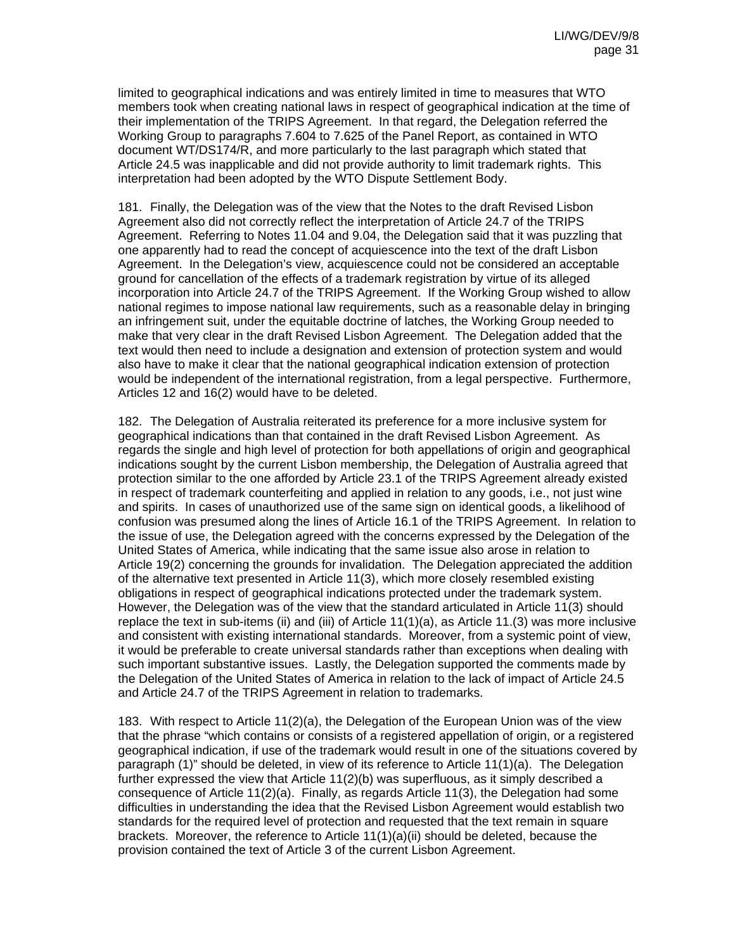limited to geographical indications and was entirely limited in time to measures that WTO members took when creating national laws in respect of geographical indication at the time of their implementation of the TRIPS Agreement. In that regard, the Delegation referred the Working Group to paragraphs 7.604 to 7.625 of the Panel Report, as contained in WTO document WT/DS174/R, and more particularly to the last paragraph which stated that Article 24.5 was inapplicable and did not provide authority to limit trademark rights. This interpretation had been adopted by the WTO Dispute Settlement Body.

181. Finally, the Delegation was of the view that the Notes to the draft Revised Lisbon Agreement also did not correctly reflect the interpretation of Article 24.7 of the TRIPS Agreement. Referring to Notes 11.04 and 9.04, the Delegation said that it was puzzling that one apparently had to read the concept of acquiescence into the text of the draft Lisbon Agreement. In the Delegation's view, acquiescence could not be considered an acceptable ground for cancellation of the effects of a trademark registration by virtue of its alleged incorporation into Article 24.7 of the TRIPS Agreement. If the Working Group wished to allow national regimes to impose national law requirements, such as a reasonable delay in bringing an infringement suit, under the equitable doctrine of latches, the Working Group needed to make that very clear in the draft Revised Lisbon Agreement. The Delegation added that the text would then need to include a designation and extension of protection system and would also have to make it clear that the national geographical indication extension of protection would be independent of the international registration, from a legal perspective. Furthermore, Articles 12 and 16(2) would have to be deleted.

182. The Delegation of Australia reiterated its preference for a more inclusive system for geographical indications than that contained in the draft Revised Lisbon Agreement. As regards the single and high level of protection for both appellations of origin and geographical indications sought by the current Lisbon membership, the Delegation of Australia agreed that protection similar to the one afforded by Article 23.1 of the TRIPS Agreement already existed in respect of trademark counterfeiting and applied in relation to any goods, i.e., not just wine and spirits. In cases of unauthorized use of the same sign on identical goods, a likelihood of confusion was presumed along the lines of Article 16.1 of the TRIPS Agreement. In relation to the issue of use, the Delegation agreed with the concerns expressed by the Delegation of the United States of America, while indicating that the same issue also arose in relation to Article 19(2) concerning the grounds for invalidation. The Delegation appreciated the addition of the alternative text presented in Article 11(3), which more closely resembled existing obligations in respect of geographical indications protected under the trademark system. However, the Delegation was of the view that the standard articulated in Article 11(3) should replace the text in sub-items (ii) and (iii) of Article 11(1)(a), as Article 11.(3) was more inclusive and consistent with existing international standards. Moreover, from a systemic point of view, it would be preferable to create universal standards rather than exceptions when dealing with such important substantive issues. Lastly, the Delegation supported the comments made by the Delegation of the United States of America in relation to the lack of impact of Article 24.5 and Article 24.7 of the TRIPS Agreement in relation to trademarks.

183. With respect to Article 11(2)(a), the Delegation of the European Union was of the view that the phrase "which contains or consists of a registered appellation of origin, or a registered geographical indication, if use of the trademark would result in one of the situations covered by paragraph (1)" should be deleted, in view of its reference to Article 11(1)(a). The Delegation further expressed the view that Article 11(2)(b) was superfluous, as it simply described a consequence of Article 11(2)(a). Finally, as regards Article 11(3), the Delegation had some difficulties in understanding the idea that the Revised Lisbon Agreement would establish two standards for the required level of protection and requested that the text remain in square brackets. Moreover, the reference to Article  $11(1)(a)(ii)$  should be deleted, because the provision contained the text of Article 3 of the current Lisbon Agreement.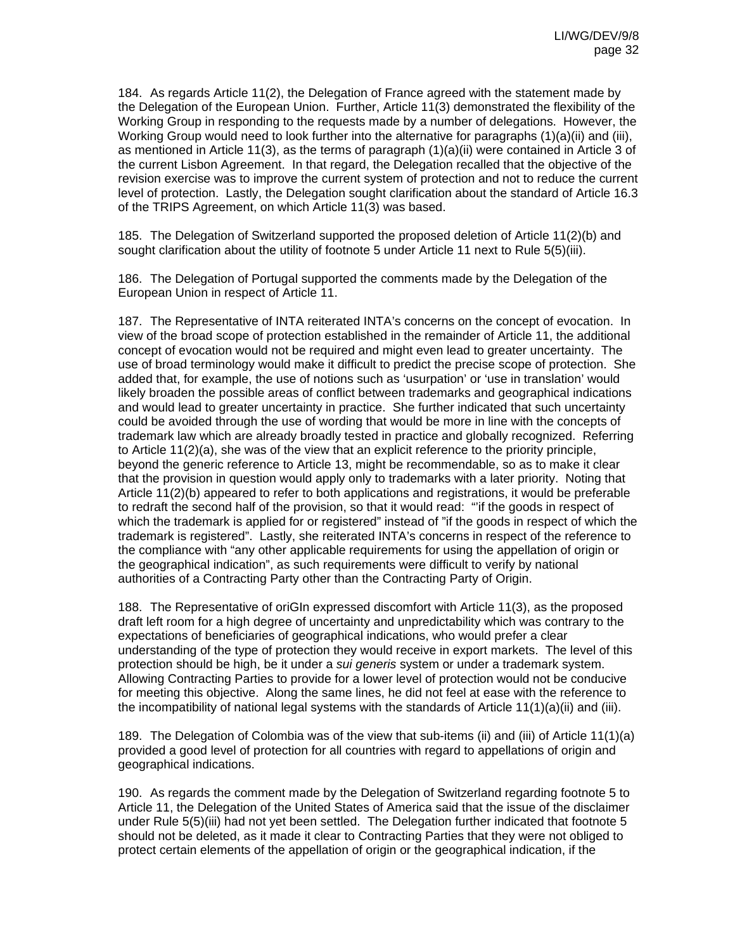184. As regards Article 11(2), the Delegation of France agreed with the statement made by the Delegation of the European Union. Further, Article 11(3) demonstrated the flexibility of the Working Group in responding to the requests made by a number of delegations. However, the Working Group would need to look further into the alternative for paragraphs (1)(a)(ii) and (iii), as mentioned in Article 11(3), as the terms of paragraph (1)(a)(ii) were contained in Article 3 of the current Lisbon Agreement. In that regard, the Delegation recalled that the objective of the revision exercise was to improve the current system of protection and not to reduce the current level of protection. Lastly, the Delegation sought clarification about the standard of Article 16.3 of the TRIPS Agreement, on which Article 11(3) was based.

185. The Delegation of Switzerland supported the proposed deletion of Article 11(2)(b) and sought clarification about the utility of footnote 5 under Article 11 next to Rule 5(5)(iii).

186. The Delegation of Portugal supported the comments made by the Delegation of the European Union in respect of Article 11.

187. The Representative of INTA reiterated INTA's concerns on the concept of evocation. In view of the broad scope of protection established in the remainder of Article 11, the additional concept of evocation would not be required and might even lead to greater uncertainty. The use of broad terminology would make it difficult to predict the precise scope of protection. She added that, for example, the use of notions such as 'usurpation' or 'use in translation' would likely broaden the possible areas of conflict between trademarks and geographical indications and would lead to greater uncertainty in practice. She further indicated that such uncertainty could be avoided through the use of wording that would be more in line with the concepts of trademark law which are already broadly tested in practice and globally recognized. Referring to Article 11(2)(a), she was of the view that an explicit reference to the priority principle, beyond the generic reference to Article 13, might be recommendable, so as to make it clear that the provision in question would apply only to trademarks with a later priority. Noting that Article 11(2)(b) appeared to refer to both applications and registrations, it would be preferable to redraft the second half of the provision, so that it would read: "'if the goods in respect of which the trademark is applied for or registered" instead of "if the goods in respect of which the trademark is registered". Lastly, she reiterated INTA's concerns in respect of the reference to the compliance with "any other applicable requirements for using the appellation of origin or the geographical indication", as such requirements were difficult to verify by national authorities of a Contracting Party other than the Contracting Party of Origin.

188. The Representative of oriGIn expressed discomfort with Article 11(3), as the proposed draft left room for a high degree of uncertainty and unpredictability which was contrary to the expectations of beneficiaries of geographical indications, who would prefer a clear understanding of the type of protection they would receive in export markets. The level of this protection should be high, be it under a *sui generis* system or under a trademark system. Allowing Contracting Parties to provide for a lower level of protection would not be conducive for meeting this objective. Along the same lines, he did not feel at ease with the reference to the incompatibility of national legal systems with the standards of Article 11(1)(a)(ii) and (iii).

189. The Delegation of Colombia was of the view that sub-items (ii) and (iii) of Article 11(1)(a) provided a good level of protection for all countries with regard to appellations of origin and geographical indications.

190. As regards the comment made by the Delegation of Switzerland regarding footnote 5 to Article 11, the Delegation of the United States of America said that the issue of the disclaimer under Rule 5(5)(iii) had not yet been settled. The Delegation further indicated that footnote 5 should not be deleted, as it made it clear to Contracting Parties that they were not obliged to protect certain elements of the appellation of origin or the geographical indication, if the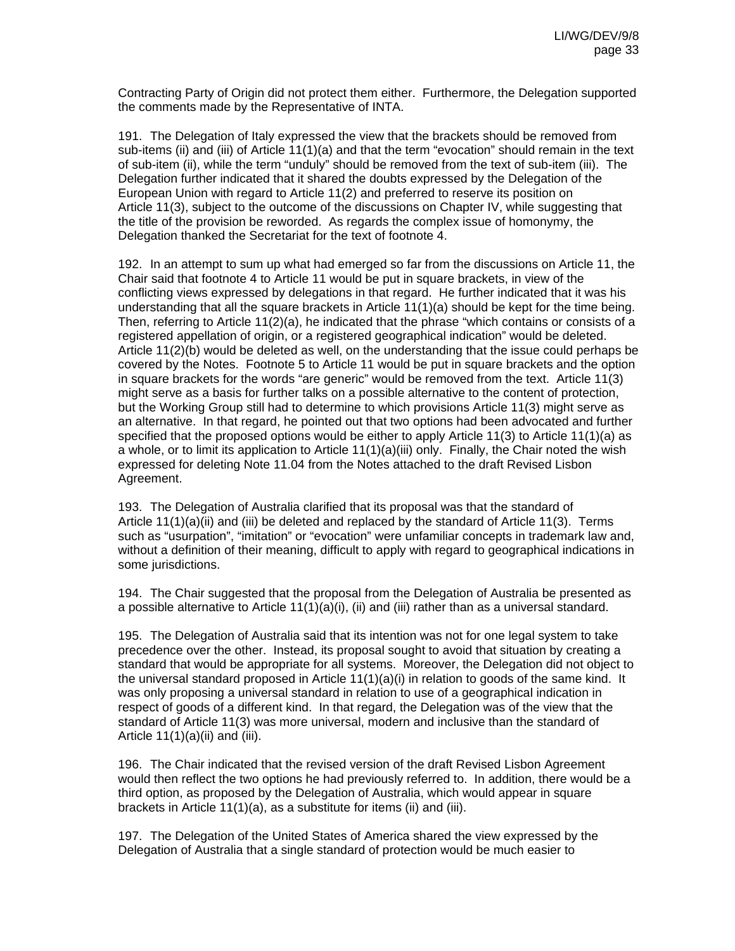Contracting Party of Origin did not protect them either. Furthermore, the Delegation supported the comments made by the Representative of INTA.

191. The Delegation of Italy expressed the view that the brackets should be removed from sub-items (ii) and (iii) of Article 11(1)(a) and that the term "evocation" should remain in the text of sub-item (ii), while the term "unduly" should be removed from the text of sub-item (iii). The Delegation further indicated that it shared the doubts expressed by the Delegation of the European Union with regard to Article 11(2) and preferred to reserve its position on Article 11(3), subject to the outcome of the discussions on Chapter IV, while suggesting that the title of the provision be reworded. As regards the complex issue of homonymy, the Delegation thanked the Secretariat for the text of footnote 4.

192. In an attempt to sum up what had emerged so far from the discussions on Article 11, the Chair said that footnote 4 to Article 11 would be put in square brackets, in view of the conflicting views expressed by delegations in that regard. He further indicated that it was his understanding that all the square brackets in Article 11(1)(a) should be kept for the time being. Then, referring to Article 11(2)(a), he indicated that the phrase "which contains or consists of a registered appellation of origin, or a registered geographical indication" would be deleted. Article 11(2)(b) would be deleted as well, on the understanding that the issue could perhaps be covered by the Notes. Footnote 5 to Article 11 would be put in square brackets and the option in square brackets for the words "are generic" would be removed from the text. Article 11(3) might serve as a basis for further talks on a possible alternative to the content of protection, but the Working Group still had to determine to which provisions Article 11(3) might serve as an alternative. In that regard, he pointed out that two options had been advocated and further specified that the proposed options would be either to apply Article 11(3) to Article 11(1)(a) as a whole, or to limit its application to Article 11(1)(a)(iii) only. Finally, the Chair noted the wish expressed for deleting Note 11.04 from the Notes attached to the draft Revised Lisbon Agreement.

193. The Delegation of Australia clarified that its proposal was that the standard of Article 11(1)(a)(ii) and (iii) be deleted and replaced by the standard of Article 11(3). Terms such as "usurpation", "imitation" or "evocation" were unfamiliar concepts in trademark law and, without a definition of their meaning, difficult to apply with regard to geographical indications in some jurisdictions.

194. The Chair suggested that the proposal from the Delegation of Australia be presented as a possible alternative to Article 11(1)(a)(i), (ii) and (iii) rather than as a universal standard.

195. The Delegation of Australia said that its intention was not for one legal system to take precedence over the other. Instead, its proposal sought to avoid that situation by creating a standard that would be appropriate for all systems. Moreover, the Delegation did not object to the universal standard proposed in Article 11(1)(a)(i) in relation to goods of the same kind. It was only proposing a universal standard in relation to use of a geographical indication in respect of goods of a different kind. In that regard, the Delegation was of the view that the standard of Article 11(3) was more universal, modern and inclusive than the standard of Article  $11(1)(a)(ii)$  and (iii).

196. The Chair indicated that the revised version of the draft Revised Lisbon Agreement would then reflect the two options he had previously referred to. In addition, there would be a third option, as proposed by the Delegation of Australia, which would appear in square brackets in Article 11(1)(a), as a substitute for items (ii) and (iii).

197. The Delegation of the United States of America shared the view expressed by the Delegation of Australia that a single standard of protection would be much easier to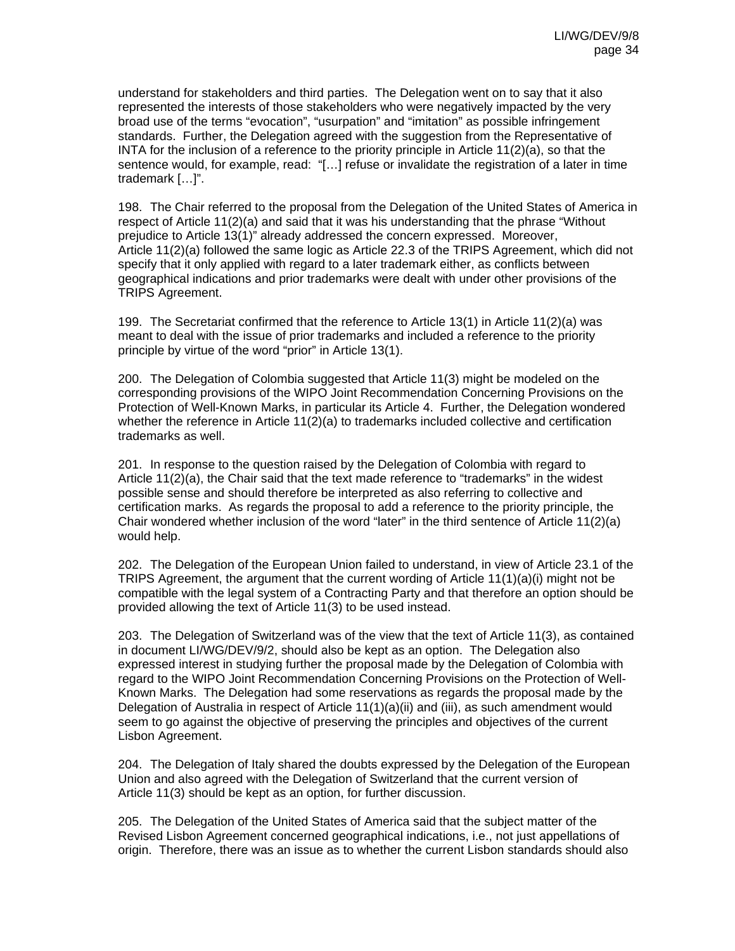understand for stakeholders and third parties. The Delegation went on to say that it also represented the interests of those stakeholders who were negatively impacted by the very broad use of the terms "evocation", "usurpation" and "imitation" as possible infringement standards. Further, the Delegation agreed with the suggestion from the Representative of INTA for the inclusion of a reference to the priority principle in Article 11(2)(a), so that the sentence would, for example, read: "[…] refuse or invalidate the registration of a later in time trademark […]".

198. The Chair referred to the proposal from the Delegation of the United States of America in respect of Article 11(2)(a) and said that it was his understanding that the phrase "Without prejudice to Article 13(1)" already addressed the concern expressed. Moreover, Article 11(2)(a) followed the same logic as Article 22.3 of the TRIPS Agreement, which did not specify that it only applied with regard to a later trademark either, as conflicts between geographical indications and prior trademarks were dealt with under other provisions of the TRIPS Agreement.

199. The Secretariat confirmed that the reference to Article 13(1) in Article 11(2)(a) was meant to deal with the issue of prior trademarks and included a reference to the priority principle by virtue of the word "prior" in Article 13(1).

200. The Delegation of Colombia suggested that Article 11(3) might be modeled on the corresponding provisions of the WIPO Joint Recommendation Concerning Provisions on the Protection of Well-Known Marks, in particular its Article 4. Further, the Delegation wondered whether the reference in Article  $11(2)(a)$  to trademarks included collective and certification trademarks as well.

201. In response to the question raised by the Delegation of Colombia with regard to Article 11(2)(a), the Chair said that the text made reference to "trademarks" in the widest possible sense and should therefore be interpreted as also referring to collective and certification marks. As regards the proposal to add a reference to the priority principle, the Chair wondered whether inclusion of the word "later" in the third sentence of Article 11(2)(a) would help.

202. The Delegation of the European Union failed to understand, in view of Article 23.1 of the TRIPS Agreement, the argument that the current wording of Article 11(1)(a)(i) might not be compatible with the legal system of a Contracting Party and that therefore an option should be provided allowing the text of Article 11(3) to be used instead.

203. The Delegation of Switzerland was of the view that the text of Article 11(3), as contained in document LI/WG/DEV/9/2, should also be kept as an option. The Delegation also expressed interest in studying further the proposal made by the Delegation of Colombia with regard to the WIPO Joint Recommendation Concerning Provisions on the Protection of Well-Known Marks. The Delegation had some reservations as regards the proposal made by the Delegation of Australia in respect of Article 11(1)(a)(ii) and (iii), as such amendment would seem to go against the objective of preserving the principles and objectives of the current Lisbon Agreement.

204. The Delegation of Italy shared the doubts expressed by the Delegation of the European Union and also agreed with the Delegation of Switzerland that the current version of Article 11(3) should be kept as an option, for further discussion.

205. The Delegation of the United States of America said that the subject matter of the Revised Lisbon Agreement concerned geographical indications, i.e., not just appellations of origin. Therefore, there was an issue as to whether the current Lisbon standards should also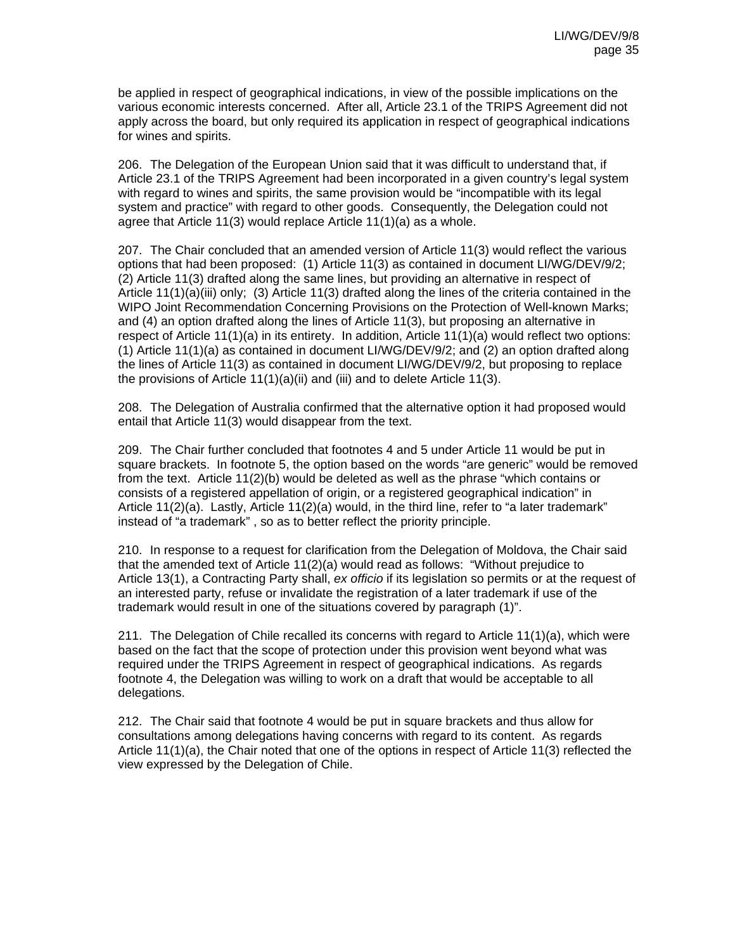be applied in respect of geographical indications, in view of the possible implications on the various economic interests concerned. After all, Article 23.1 of the TRIPS Agreement did not apply across the board, but only required its application in respect of geographical indications for wines and spirits.

206. The Delegation of the European Union said that it was difficult to understand that, if Article 23.1 of the TRIPS Agreement had been incorporated in a given country's legal system with regard to wines and spirits, the same provision would be "incompatible with its legal system and practice" with regard to other goods. Consequently, the Delegation could not agree that Article 11(3) would replace Article 11(1)(a) as a whole.

207. The Chair concluded that an amended version of Article 11(3) would reflect the various options that had been proposed: (1) Article 11(3) as contained in document LI/WG/DEV/9/2; (2) Article 11(3) drafted along the same lines, but providing an alternative in respect of Article 11(1)(a)(iii) only; (3) Article 11(3) drafted along the lines of the criteria contained in the WIPO Joint Recommendation Concerning Provisions on the Protection of Well-known Marks; and (4) an option drafted along the lines of Article 11(3), but proposing an alternative in respect of Article 11(1)(a) in its entirety. In addition, Article 11(1)(a) would reflect two options: (1) Article 11(1)(a) as contained in document LI/WG/DEV/9/2; and (2) an option drafted along the lines of Article 11(3) as contained in document LI/WG/DEV/9/2, but proposing to replace the provisions of Article 11(1)(a)(ii) and (iii) and to delete Article 11(3).

208. The Delegation of Australia confirmed that the alternative option it had proposed would entail that Article 11(3) would disappear from the text.

209. The Chair further concluded that footnotes 4 and 5 under Article 11 would be put in square brackets. In footnote 5, the option based on the words "are generic" would be removed from the text. Article 11(2)(b) would be deleted as well as the phrase "which contains or consists of a registered appellation of origin, or a registered geographical indication" in Article 11(2)(a). Lastly, Article 11(2)(a) would, in the third line, refer to "a later trademark" instead of "a trademark" , so as to better reflect the priority principle.

210. In response to a request for clarification from the Delegation of Moldova, the Chair said that the amended text of Article 11(2)(a) would read as follows: "Without prejudice to Article 13(1), a Contracting Party shall, *ex officio* if its legislation so permits or at the request of an interested party, refuse or invalidate the registration of a later trademark if use of the trademark would result in one of the situations covered by paragraph (1)".

211. The Delegation of Chile recalled its concerns with regard to Article 11(1)(a), which were based on the fact that the scope of protection under this provision went beyond what was required under the TRIPS Agreement in respect of geographical indications. As regards footnote 4, the Delegation was willing to work on a draft that would be acceptable to all delegations.

212. The Chair said that footnote 4 would be put in square brackets and thus allow for consultations among delegations having concerns with regard to its content. As regards Article 11(1)(a), the Chair noted that one of the options in respect of Article 11(3) reflected the view expressed by the Delegation of Chile.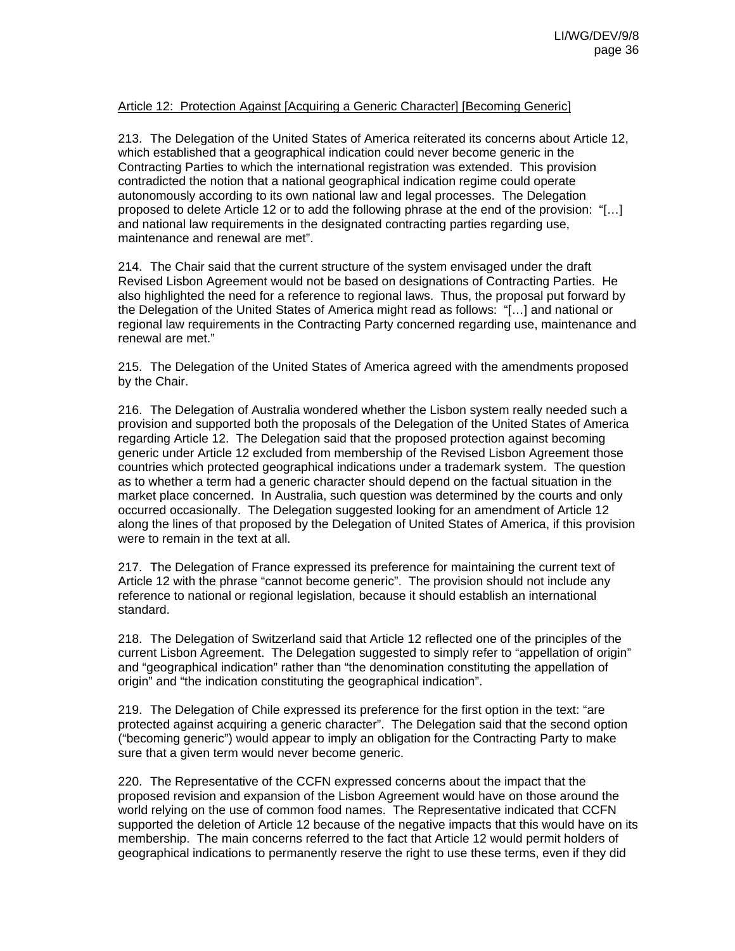## Article 12: Protection Against [Acquiring a Generic Character] [Becoming Generic]

213. The Delegation of the United States of America reiterated its concerns about Article 12, which established that a geographical indication could never become generic in the Contracting Parties to which the international registration was extended. This provision contradicted the notion that a national geographical indication regime could operate autonomously according to its own national law and legal processes. The Delegation proposed to delete Article 12 or to add the following phrase at the end of the provision: "[…] and national law requirements in the designated contracting parties regarding use, maintenance and renewal are met".

214. The Chair said that the current structure of the system envisaged under the draft Revised Lisbon Agreement would not be based on designations of Contracting Parties. He also highlighted the need for a reference to regional laws. Thus, the proposal put forward by the Delegation of the United States of America might read as follows: "[…] and national or regional law requirements in the Contracting Party concerned regarding use, maintenance and renewal are met."

215. The Delegation of the United States of America agreed with the amendments proposed by the Chair.

216. The Delegation of Australia wondered whether the Lisbon system really needed such a provision and supported both the proposals of the Delegation of the United States of America regarding Article 12. The Delegation said that the proposed protection against becoming generic under Article 12 excluded from membership of the Revised Lisbon Agreement those countries which protected geographical indications under a trademark system. The question as to whether a term had a generic character should depend on the factual situation in the market place concerned. In Australia, such question was determined by the courts and only occurred occasionally. The Delegation suggested looking for an amendment of Article 12 along the lines of that proposed by the Delegation of United States of America, if this provision were to remain in the text at all.

217. The Delegation of France expressed its preference for maintaining the current text of Article 12 with the phrase "cannot become generic". The provision should not include any reference to national or regional legislation, because it should establish an international standard.

218. The Delegation of Switzerland said that Article 12 reflected one of the principles of the current Lisbon Agreement. The Delegation suggested to simply refer to "appellation of origin" and "geographical indication" rather than "the denomination constituting the appellation of origin" and "the indication constituting the geographical indication".

219. The Delegation of Chile expressed its preference for the first option in the text: "are protected against acquiring a generic character". The Delegation said that the second option ("becoming generic") would appear to imply an obligation for the Contracting Party to make sure that a given term would never become generic.

220. The Representative of the CCFN expressed concerns about the impact that the proposed revision and expansion of the Lisbon Agreement would have on those around the world relying on the use of common food names. The Representative indicated that CCFN supported the deletion of Article 12 because of the negative impacts that this would have on its membership. The main concerns referred to the fact that Article 12 would permit holders of geographical indications to permanently reserve the right to use these terms, even if they did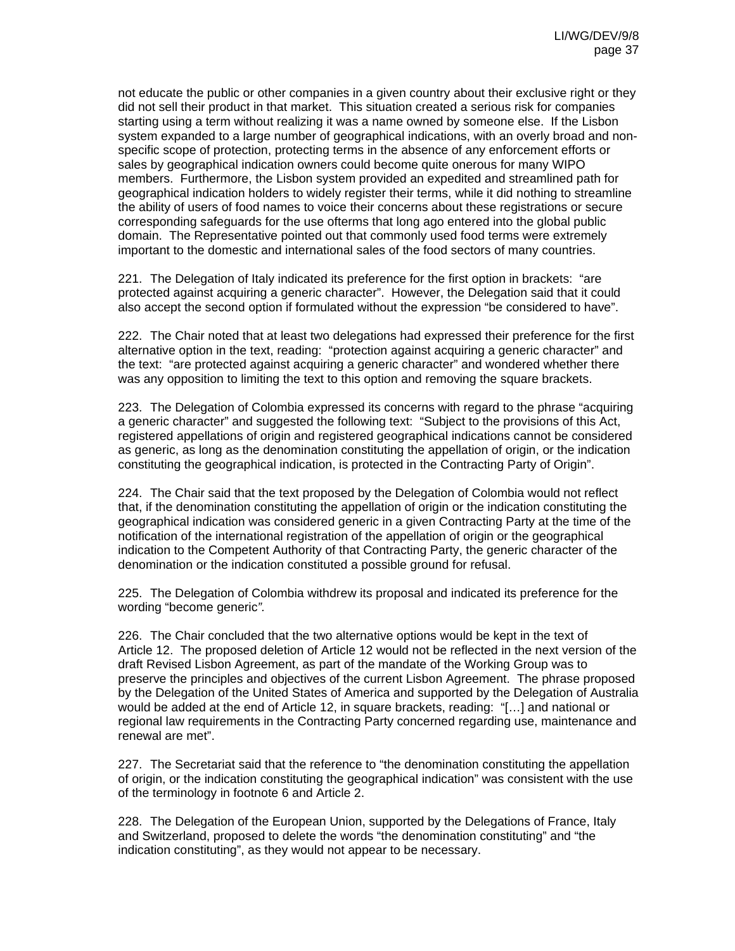not educate the public or other companies in a given country about their exclusive right or they did not sell their product in that market. This situation created a serious risk for companies starting using a term without realizing it was a name owned by someone else. If the Lisbon system expanded to a large number of geographical indications, with an overly broad and nonspecific scope of protection, protecting terms in the absence of any enforcement efforts or sales by geographical indication owners could become quite onerous for many WIPO members. Furthermore, the Lisbon system provided an expedited and streamlined path for geographical indication holders to widely register their terms, while it did nothing to streamline the ability of users of food names to voice their concerns about these registrations or secure corresponding safeguards for the use ofterms that long ago entered into the global public domain. The Representative pointed out that commonly used food terms were extremely important to the domestic and international sales of the food sectors of many countries.

221. The Delegation of Italy indicated its preference for the first option in brackets: "are protected against acquiring a generic character". However, the Delegation said that it could also accept the second option if formulated without the expression "be considered to have".

222. The Chair noted that at least two delegations had expressed their preference for the first alternative option in the text, reading: "protection against acquiring a generic character" and the text: "are protected against acquiring a generic character" and wondered whether there was any opposition to limiting the text to this option and removing the square brackets.

223. The Delegation of Colombia expressed its concerns with regard to the phrase "acquiring a generic character" and suggested the following text: "Subject to the provisions of this Act, registered appellations of origin and registered geographical indications cannot be considered as generic, as long as the denomination constituting the appellation of origin, or the indication constituting the geographical indication, is protected in the Contracting Party of Origin".

224. The Chair said that the text proposed by the Delegation of Colombia would not reflect that, if the denomination constituting the appellation of origin or the indication constituting the geographical indication was considered generic in a given Contracting Party at the time of the notification of the international registration of the appellation of origin or the geographical indication to the Competent Authority of that Contracting Party, the generic character of the denomination or the indication constituted a possible ground for refusal.

225. The Delegation of Colombia withdrew its proposal and indicated its preference for the wording "become generic*".* 

226. The Chair concluded that the two alternative options would be kept in the text of Article 12. The proposed deletion of Article 12 would not be reflected in the next version of the draft Revised Lisbon Agreement, as part of the mandate of the Working Group was to preserve the principles and objectives of the current Lisbon Agreement. The phrase proposed by the Delegation of the United States of America and supported by the Delegation of Australia would be added at the end of Article 12, in square brackets, reading: "[…] and national or regional law requirements in the Contracting Party concerned regarding use, maintenance and renewal are met".

227. The Secretariat said that the reference to "the denomination constituting the appellation of origin, or the indication constituting the geographical indication" was consistent with the use of the terminology in footnote 6 and Article 2.

228. The Delegation of the European Union, supported by the Delegations of France, Italy and Switzerland, proposed to delete the words "the denomination constituting" and "the indication constituting", as they would not appear to be necessary.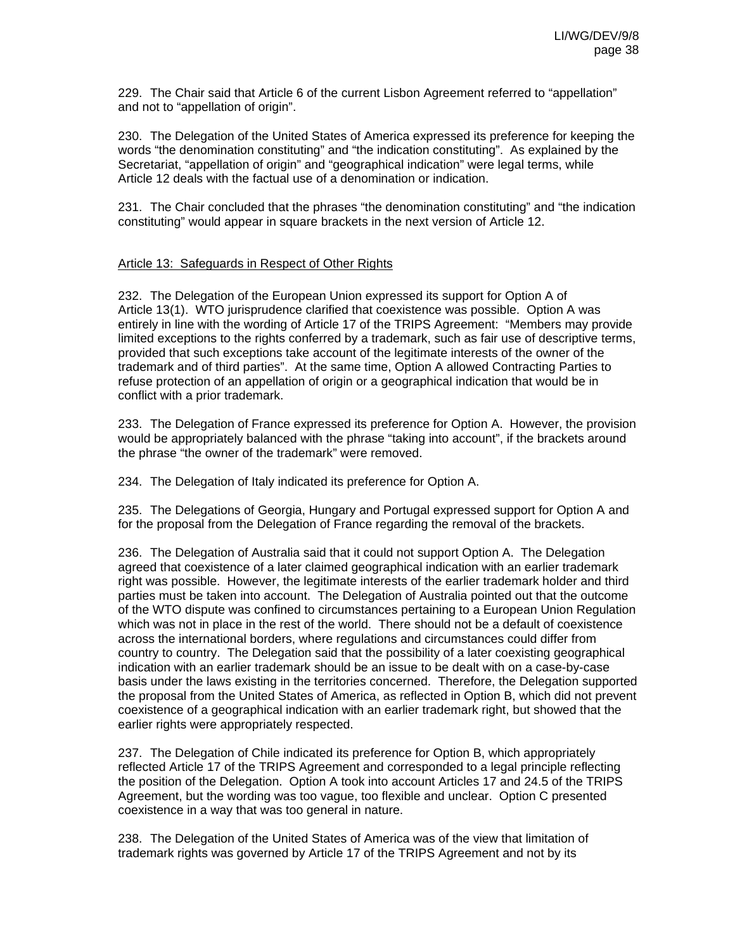229. The Chair said that Article 6 of the current Lisbon Agreement referred to "appellation" and not to "appellation of origin".

230. The Delegation of the United States of America expressed its preference for keeping the words "the denomination constituting" and "the indication constituting". As explained by the Secretariat, "appellation of origin" and "geographical indication" were legal terms, while Article 12 deals with the factual use of a denomination or indication.

231. The Chair concluded that the phrases "the denomination constituting" and "the indication constituting" would appear in square brackets in the next version of Article 12.

## Article 13: Safeguards in Respect of Other Rights

232. The Delegation of the European Union expressed its support for Option A of Article 13(1). WTO jurisprudence clarified that coexistence was possible. Option A was entirely in line with the wording of Article 17 of the TRIPS Agreement: "Members may provide limited exceptions to the rights conferred by a trademark, such as fair use of descriptive terms, provided that such exceptions take account of the legitimate interests of the owner of the trademark and of third parties". At the same time, Option A allowed Contracting Parties to refuse protection of an appellation of origin or a geographical indication that would be in conflict with a prior trademark.

233. The Delegation of France expressed its preference for Option A. However, the provision would be appropriately balanced with the phrase "taking into account", if the brackets around the phrase "the owner of the trademark" were removed.

234. The Delegation of Italy indicated its preference for Option A.

235. The Delegations of Georgia, Hungary and Portugal expressed support for Option A and for the proposal from the Delegation of France regarding the removal of the brackets.

236. The Delegation of Australia said that it could not support Option A. The Delegation agreed that coexistence of a later claimed geographical indication with an earlier trademark right was possible. However, the legitimate interests of the earlier trademark holder and third parties must be taken into account. The Delegation of Australia pointed out that the outcome of the WTO dispute was confined to circumstances pertaining to a European Union Regulation which was not in place in the rest of the world. There should not be a default of coexistence across the international borders, where regulations and circumstances could differ from country to country. The Delegation said that the possibility of a later coexisting geographical indication with an earlier trademark should be an issue to be dealt with on a case-by-case basis under the laws existing in the territories concerned. Therefore, the Delegation supported the proposal from the United States of America, as reflected in Option B, which did not prevent coexistence of a geographical indication with an earlier trademark right, but showed that the earlier rights were appropriately respected.

237. The Delegation of Chile indicated its preference for Option B, which appropriately reflected Article 17 of the TRIPS Agreement and corresponded to a legal principle reflecting the position of the Delegation. Option A took into account Articles 17 and 24.5 of the TRIPS Agreement, but the wording was too vague, too flexible and unclear. Option C presented coexistence in a way that was too general in nature.

238. The Delegation of the United States of America was of the view that limitation of trademark rights was governed by Article 17 of the TRIPS Agreement and not by its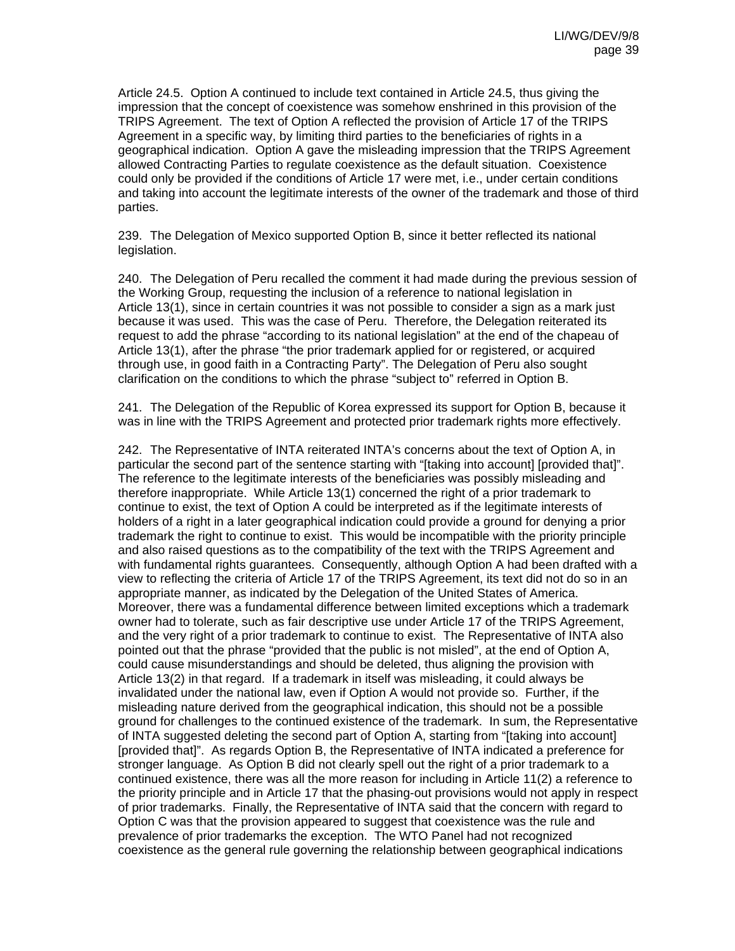Article 24.5. Option A continued to include text contained in Article 24.5, thus giving the impression that the concept of coexistence was somehow enshrined in this provision of the TRIPS Agreement. The text of Option A reflected the provision of Article 17 of the TRIPS Agreement in a specific way, by limiting third parties to the beneficiaries of rights in a geographical indication. Option A gave the misleading impression that the TRIPS Agreement allowed Contracting Parties to regulate coexistence as the default situation. Coexistence could only be provided if the conditions of Article 17 were met, i.e., under certain conditions and taking into account the legitimate interests of the owner of the trademark and those of third parties.

239. The Delegation of Mexico supported Option B, since it better reflected its national legislation.

240. The Delegation of Peru recalled the comment it had made during the previous session of the Working Group, requesting the inclusion of a reference to national legislation in Article 13(1), since in certain countries it was not possible to consider a sign as a mark just because it was used. This was the case of Peru. Therefore, the Delegation reiterated its request to add the phrase "according to its national legislation" at the end of the chapeau of Article 13(1), after the phrase "the prior trademark applied for or registered, or acquired through use, in good faith in a Contracting Party". The Delegation of Peru also sought clarification on the conditions to which the phrase "subject to" referred in Option B.

241. The Delegation of the Republic of Korea expressed its support for Option B, because it was in line with the TRIPS Agreement and protected prior trademark rights more effectively.

242. The Representative of INTA reiterated INTA's concerns about the text of Option A, in particular the second part of the sentence starting with "[taking into account] [provided that]". The reference to the legitimate interests of the beneficiaries was possibly misleading and therefore inappropriate. While Article 13(1) concerned the right of a prior trademark to continue to exist, the text of Option A could be interpreted as if the legitimate interests of holders of a right in a later geographical indication could provide a ground for denying a prior trademark the right to continue to exist. This would be incompatible with the priority principle and also raised questions as to the compatibility of the text with the TRIPS Agreement and with fundamental rights guarantees. Consequently, although Option A had been drafted with a view to reflecting the criteria of Article 17 of the TRIPS Agreement, its text did not do so in an appropriate manner, as indicated by the Delegation of the United States of America. Moreover, there was a fundamental difference between limited exceptions which a trademark owner had to tolerate, such as fair descriptive use under Article 17 of the TRIPS Agreement, and the very right of a prior trademark to continue to exist. The Representative of INTA also pointed out that the phrase "provided that the public is not misled", at the end of Option A, could cause misunderstandings and should be deleted, thus aligning the provision with Article 13(2) in that regard. If a trademark in itself was misleading, it could always be invalidated under the national law, even if Option A would not provide so. Further, if the misleading nature derived from the geographical indication, this should not be a possible ground for challenges to the continued existence of the trademark. In sum, the Representative of INTA suggested deleting the second part of Option A, starting from "[taking into account] [provided that]". As regards Option B, the Representative of INTA indicated a preference for stronger language. As Option B did not clearly spell out the right of a prior trademark to a continued existence, there was all the more reason for including in Article 11(2) a reference to the priority principle and in Article 17 that the phasing-out provisions would not apply in respect of prior trademarks. Finally, the Representative of INTA said that the concern with regard to Option C was that the provision appeared to suggest that coexistence was the rule and prevalence of prior trademarks the exception. The WTO Panel had not recognized coexistence as the general rule governing the relationship between geographical indications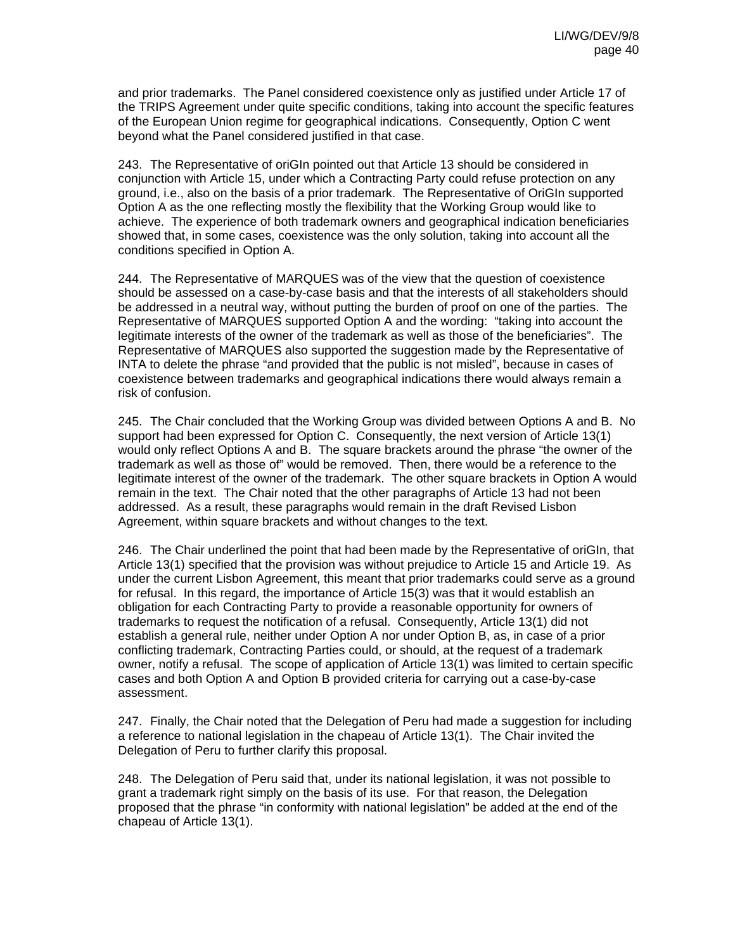and prior trademarks. The Panel considered coexistence only as justified under Article 17 of the TRIPS Agreement under quite specific conditions, taking into account the specific features of the European Union regime for geographical indications. Consequently, Option C went beyond what the Panel considered justified in that case.

243. The Representative of oriGIn pointed out that Article 13 should be considered in conjunction with Article 15, under which a Contracting Party could refuse protection on any ground, i.e., also on the basis of a prior trademark. The Representative of OriGIn supported Option A as the one reflecting mostly the flexibility that the Working Group would like to achieve. The experience of both trademark owners and geographical indication beneficiaries showed that, in some cases, coexistence was the only solution, taking into account all the conditions specified in Option A.

244. The Representative of MARQUES was of the view that the question of coexistence should be assessed on a case-by-case basis and that the interests of all stakeholders should be addressed in a neutral way, without putting the burden of proof on one of the parties. The Representative of MARQUES supported Option A and the wording: "taking into account the legitimate interests of the owner of the trademark as well as those of the beneficiaries". The Representative of MARQUES also supported the suggestion made by the Representative of INTA to delete the phrase "and provided that the public is not misled", because in cases of coexistence between trademarks and geographical indications there would always remain a risk of confusion.

245. The Chair concluded that the Working Group was divided between Options A and B. No support had been expressed for Option C. Consequently, the next version of Article 13(1) would only reflect Options A and B. The square brackets around the phrase "the owner of the trademark as well as those of" would be removed. Then, there would be a reference to the legitimate interest of the owner of the trademark. The other square brackets in Option A would remain in the text. The Chair noted that the other paragraphs of Article 13 had not been addressed. As a result, these paragraphs would remain in the draft Revised Lisbon Agreement, within square brackets and without changes to the text.

246. The Chair underlined the point that had been made by the Representative of oriGIn, that Article 13(1) specified that the provision was without prejudice to Article 15 and Article 19. As under the current Lisbon Agreement, this meant that prior trademarks could serve as a ground for refusal. In this regard, the importance of Article 15(3) was that it would establish an obligation for each Contracting Party to provide a reasonable opportunity for owners of trademarks to request the notification of a refusal. Consequently, Article 13(1) did not establish a general rule, neither under Option A nor under Option B, as, in case of a prior conflicting trademark, Contracting Parties could, or should, at the request of a trademark owner, notify a refusal. The scope of application of Article 13(1) was limited to certain specific cases and both Option A and Option B provided criteria for carrying out a case-by-case assessment.

247. Finally, the Chair noted that the Delegation of Peru had made a suggestion for including a reference to national legislation in the chapeau of Article 13(1). The Chair invited the Delegation of Peru to further clarify this proposal.

248. The Delegation of Peru said that, under its national legislation, it was not possible to grant a trademark right simply on the basis of its use. For that reason, the Delegation proposed that the phrase "in conformity with national legislation" be added at the end of the chapeau of Article 13(1).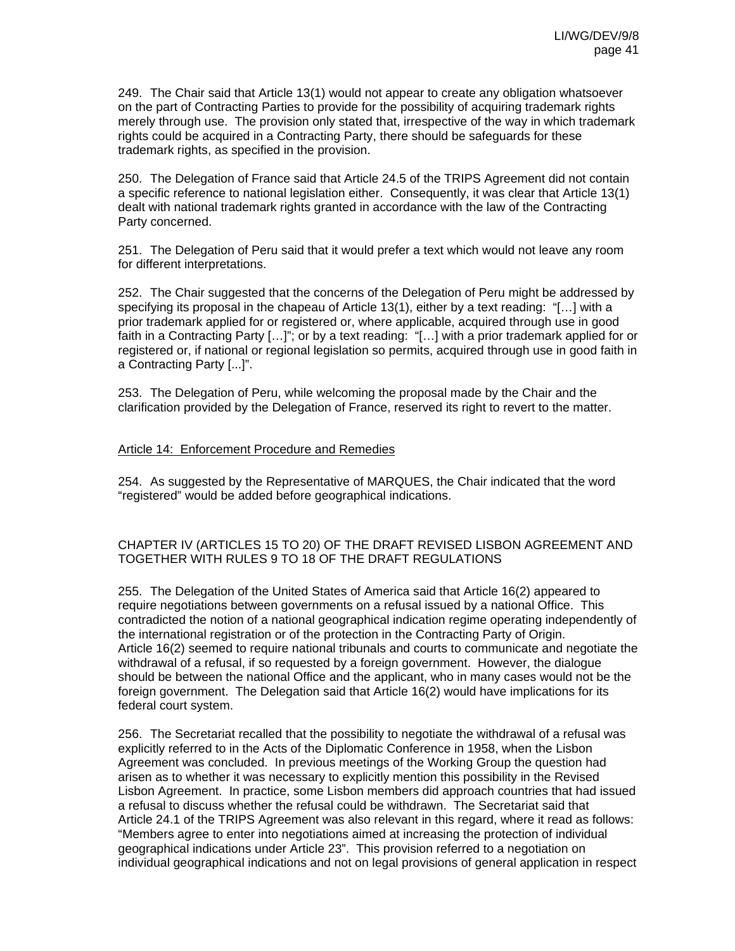249. The Chair said that Article 13(1) would not appear to create any obligation whatsoever on the part of Contracting Parties to provide for the possibility of acquiring trademark rights merely through use. The provision only stated that, irrespective of the way in which trademark rights could be acquired in a Contracting Party, there should be safeguards for these trademark rights, as specified in the provision.

250. The Delegation of France said that Article 24.5 of the TRIPS Agreement did not contain a specific reference to national legislation either. Consequently, it was clear that Article 13(1) dealt with national trademark rights granted in accordance with the law of the Contracting Party concerned.

251. The Delegation of Peru said that it would prefer a text which would not leave any room for different interpretations.

252. The Chair suggested that the concerns of the Delegation of Peru might be addressed by specifying its proposal in the chapeau of Article 13(1), either by a text reading: "[...] with a prior trademark applied for or registered or, where applicable, acquired through use in good faith in a Contracting Party […]"; or by a text reading: "[…] with a prior trademark applied for or registered or, if national or regional legislation so permits, acquired through use in good faith in a Contracting Party [...]".

253. The Delegation of Peru, while welcoming the proposal made by the Chair and the clarification provided by the Delegation of France, reserved its right to revert to the matter.

## Article 14: Enforcement Procedure and Remedies

254. As suggested by the Representative of MARQUES, the Chair indicated that the word "registered" would be added before geographical indications.

## CHAPTER IV (ARTICLES 15 TO 20) OF THE DRAFT REVISED LISBON AGREEMENT AND TOGETHER WITH RULES 9 TO 18 OF THE DRAFT REGULATIONS

255. The Delegation of the United States of America said that Article 16(2) appeared to require negotiations between governments on a refusal issued by a national Office. This contradicted the notion of a national geographical indication regime operating independently of the international registration or of the protection in the Contracting Party of Origin. Article 16(2) seemed to require national tribunals and courts to communicate and negotiate the withdrawal of a refusal, if so requested by a foreign government. However, the dialogue should be between the national Office and the applicant, who in many cases would not be the foreign government. The Delegation said that Article 16(2) would have implications for its federal court system.

256. The Secretariat recalled that the possibility to negotiate the withdrawal of a refusal was explicitly referred to in the Acts of the Diplomatic Conference in 1958, when the Lisbon Agreement was concluded. In previous meetings of the Working Group the question had arisen as to whether it was necessary to explicitly mention this possibility in the Revised Lisbon Agreement. In practice, some Lisbon members did approach countries that had issued a refusal to discuss whether the refusal could be withdrawn. The Secretariat said that Article 24.1 of the TRIPS Agreement was also relevant in this regard, where it read as follows: "Members agree to enter into negotiations aimed at increasing the protection of individual geographical indications under Article 23". This provision referred to a negotiation on individual geographical indications and not on legal provisions of general application in respect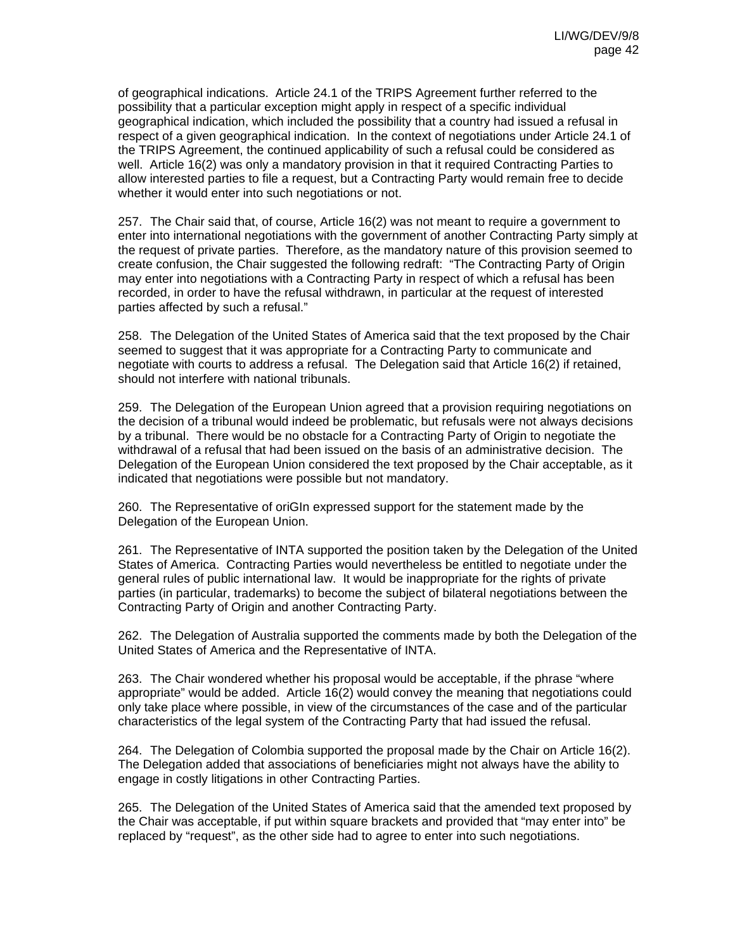of geographical indications. Article 24.1 of the TRIPS Agreement further referred to the possibility that a particular exception might apply in respect of a specific individual geographical indication, which included the possibility that a country had issued a refusal in respect of a given geographical indication. In the context of negotiations under Article 24.1 of the TRIPS Agreement, the continued applicability of such a refusal could be considered as well. Article 16(2) was only a mandatory provision in that it required Contracting Parties to allow interested parties to file a request, but a Contracting Party would remain free to decide whether it would enter into such negotiations or not.

257. The Chair said that, of course, Article 16(2) was not meant to require a government to enter into international negotiations with the government of another Contracting Party simply at the request of private parties. Therefore, as the mandatory nature of this provision seemed to create confusion, the Chair suggested the following redraft: "The Contracting Party of Origin may enter into negotiations with a Contracting Party in respect of which a refusal has been recorded, in order to have the refusal withdrawn, in particular at the request of interested parties affected by such a refusal."

258. The Delegation of the United States of America said that the text proposed by the Chair seemed to suggest that it was appropriate for a Contracting Party to communicate and negotiate with courts to address a refusal. The Delegation said that Article 16(2) if retained, should not interfere with national tribunals.

259. The Delegation of the European Union agreed that a provision requiring negotiations on the decision of a tribunal would indeed be problematic, but refusals were not always decisions by a tribunal. There would be no obstacle for a Contracting Party of Origin to negotiate the withdrawal of a refusal that had been issued on the basis of an administrative decision. The Delegation of the European Union considered the text proposed by the Chair acceptable, as it indicated that negotiations were possible but not mandatory.

260. The Representative of oriGIn expressed support for the statement made by the Delegation of the European Union.

261. The Representative of INTA supported the position taken by the Delegation of the United States of America. Contracting Parties would nevertheless be entitled to negotiate under the general rules of public international law. It would be inappropriate for the rights of private parties (in particular, trademarks) to become the subject of bilateral negotiations between the Contracting Party of Origin and another Contracting Party.

262. The Delegation of Australia supported the comments made by both the Delegation of the United States of America and the Representative of INTA.

263. The Chair wondered whether his proposal would be acceptable, if the phrase "where appropriate" would be added. Article 16(2) would convey the meaning that negotiations could only take place where possible, in view of the circumstances of the case and of the particular characteristics of the legal system of the Contracting Party that had issued the refusal.

264. The Delegation of Colombia supported the proposal made by the Chair on Article 16(2). The Delegation added that associations of beneficiaries might not always have the ability to engage in costly litigations in other Contracting Parties.

265. The Delegation of the United States of America said that the amended text proposed by the Chair was acceptable, if put within square brackets and provided that "may enter into" be replaced by "request", as the other side had to agree to enter into such negotiations.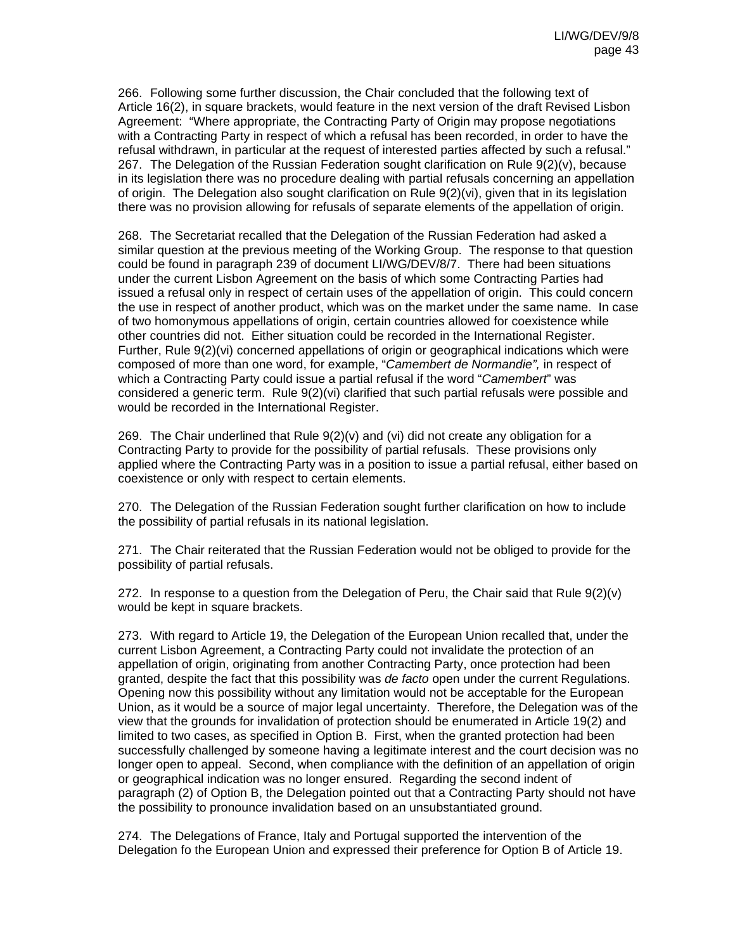266. Following some further discussion, the Chair concluded that the following text of Article 16(2), in square brackets, would feature in the next version of the draft Revised Lisbon Agreement: "Where appropriate, the Contracting Party of Origin may propose negotiations with a Contracting Party in respect of which a refusal has been recorded, in order to have the refusal withdrawn, in particular at the request of interested parties affected by such a refusal." 267. The Delegation of the Russian Federation sought clarification on Rule 9(2)(v), because in its legislation there was no procedure dealing with partial refusals concerning an appellation of origin. The Delegation also sought clarification on Rule 9(2)(vi), given that in its legislation there was no provision allowing for refusals of separate elements of the appellation of origin.

268. The Secretariat recalled that the Delegation of the Russian Federation had asked a similar question at the previous meeting of the Working Group. The response to that question could be found in paragraph 239 of document LI/WG/DEV/8/7. There had been situations under the current Lisbon Agreement on the basis of which some Contracting Parties had issued a refusal only in respect of certain uses of the appellation of origin. This could concern the use in respect of another product, which was on the market under the same name. In case of two homonymous appellations of origin, certain countries allowed for coexistence while other countries did not. Either situation could be recorded in the International Register. Further, Rule 9(2)(vi) concerned appellations of origin or geographical indications which were composed of more than one word, for example, "*Camembert de Normandie",* in respect of which a Contracting Party could issue a partial refusal if the word "*Camembert*" was considered a generic term. Rule 9(2)(vi) clarified that such partial refusals were possible and would be recorded in the International Register.

269. The Chair underlined that Rule  $9(2)(v)$  and (vi) did not create any obligation for a Contracting Party to provide for the possibility of partial refusals. These provisions only applied where the Contracting Party was in a position to issue a partial refusal, either based on coexistence or only with respect to certain elements.

270. The Delegation of the Russian Federation sought further clarification on how to include the possibility of partial refusals in its national legislation.

271. The Chair reiterated that the Russian Federation would not be obliged to provide for the possibility of partial refusals.

272. In response to a question from the Delegation of Peru, the Chair said that Rule  $9(2)(v)$ would be kept in square brackets.

273. With regard to Article 19, the Delegation of the European Union recalled that, under the current Lisbon Agreement, a Contracting Party could not invalidate the protection of an appellation of origin, originating from another Contracting Party, once protection had been granted, despite the fact that this possibility was *de facto* open under the current Regulations. Opening now this possibility without any limitation would not be acceptable for the European Union, as it would be a source of major legal uncertainty. Therefore, the Delegation was of the view that the grounds for invalidation of protection should be enumerated in Article 19(2) and limited to two cases, as specified in Option B. First, when the granted protection had been successfully challenged by someone having a legitimate interest and the court decision was no longer open to appeal. Second, when compliance with the definition of an appellation of origin or geographical indication was no longer ensured. Regarding the second indent of paragraph (2) of Option B, the Delegation pointed out that a Contracting Party should not have the possibility to pronounce invalidation based on an unsubstantiated ground.

274. The Delegations of France, Italy and Portugal supported the intervention of the Delegation fo the European Union and expressed their preference for Option B of Article 19.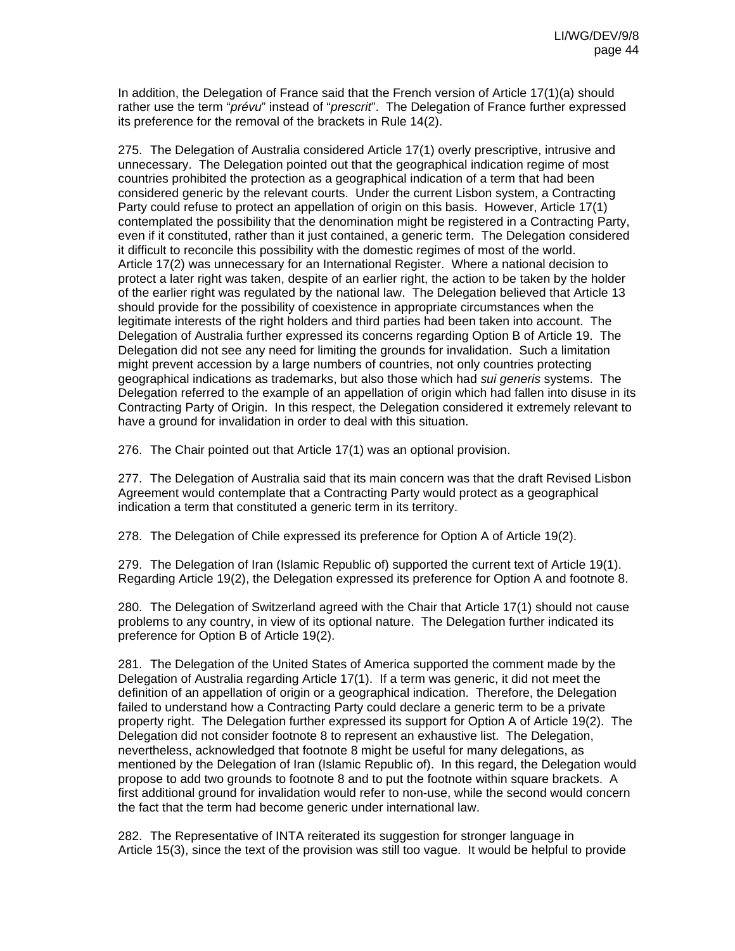In addition, the Delegation of France said that the French version of Article 17(1)(a) should rather use the term "*prévu*" instead of "*prescrit*". The Delegation of France further expressed its preference for the removal of the brackets in Rule 14(2).

275. The Delegation of Australia considered Article 17(1) overly prescriptive, intrusive and unnecessary. The Delegation pointed out that the geographical indication regime of most countries prohibited the protection as a geographical indication of a term that had been considered generic by the relevant courts. Under the current Lisbon system, a Contracting Party could refuse to protect an appellation of origin on this basis. However, Article 17(1) contemplated the possibility that the denomination might be registered in a Contracting Party, even if it constituted, rather than it just contained, a generic term. The Delegation considered it difficult to reconcile this possibility with the domestic regimes of most of the world. Article 17(2) was unnecessary for an International Register. Where a national decision to protect a later right was taken, despite of an earlier right, the action to be taken by the holder of the earlier right was regulated by the national law. The Delegation believed that Article 13 should provide for the possibility of coexistence in appropriate circumstances when the legitimate interests of the right holders and third parties had been taken into account. The Delegation of Australia further expressed its concerns regarding Option B of Article 19. The Delegation did not see any need for limiting the grounds for invalidation. Such a limitation might prevent accession by a large numbers of countries, not only countries protecting geographical indications as trademarks, but also those which had *sui generis* systems. The Delegation referred to the example of an appellation of origin which had fallen into disuse in its Contracting Party of Origin. In this respect, the Delegation considered it extremely relevant to have a ground for invalidation in order to deal with this situation.

276. The Chair pointed out that Article 17(1) was an optional provision.

277. The Delegation of Australia said that its main concern was that the draft Revised Lisbon Agreement would contemplate that a Contracting Party would protect as a geographical indication a term that constituted a generic term in its territory.

278. The Delegation of Chile expressed its preference for Option A of Article 19(2).

279. The Delegation of Iran (Islamic Republic of) supported the current text of Article 19(1). Regarding Article 19(2), the Delegation expressed its preference for Option A and footnote 8.

280. The Delegation of Switzerland agreed with the Chair that Article 17(1) should not cause problems to any country, in view of its optional nature. The Delegation further indicated its preference for Option B of Article 19(2).

281. The Delegation of the United States of America supported the comment made by the Delegation of Australia regarding Article 17(1). If a term was generic, it did not meet the definition of an appellation of origin or a geographical indication. Therefore, the Delegation failed to understand how a Contracting Party could declare a generic term to be a private property right. The Delegation further expressed its support for Option A of Article 19(2). The Delegation did not consider footnote 8 to represent an exhaustive list. The Delegation, nevertheless, acknowledged that footnote 8 might be useful for many delegations, as mentioned by the Delegation of Iran (Islamic Republic of). In this regard, the Delegation would propose to add two grounds to footnote 8 and to put the footnote within square brackets. A first additional ground for invalidation would refer to non-use, while the second would concern the fact that the term had become generic under international law.

282. The Representative of INTA reiterated its suggestion for stronger language in Article 15(3), since the text of the provision was still too vague. It would be helpful to provide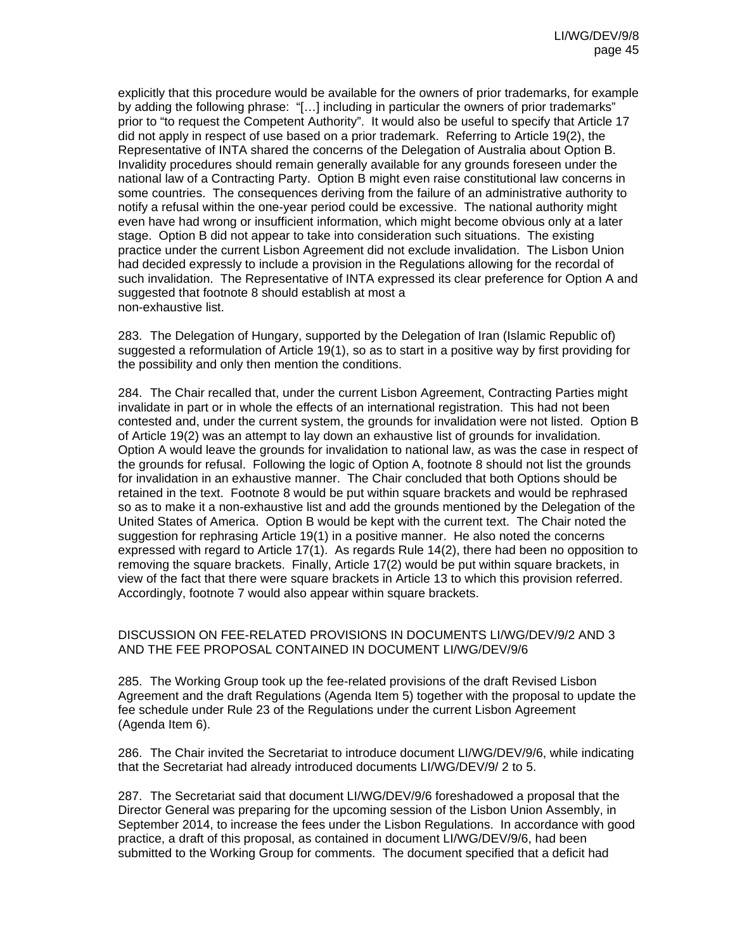explicitly that this procedure would be available for the owners of prior trademarks, for example by adding the following phrase: "[...] including in particular the owners of prior trademarks" prior to "to request the Competent Authority". It would also be useful to specify that Article 17 did not apply in respect of use based on a prior trademark. Referring to Article 19(2), the Representative of INTA shared the concerns of the Delegation of Australia about Option B. Invalidity procedures should remain generally available for any grounds foreseen under the national law of a Contracting Party. Option B might even raise constitutional law concerns in some countries. The consequences deriving from the failure of an administrative authority to notify a refusal within the one-year period could be excessive. The national authority might even have had wrong or insufficient information, which might become obvious only at a later stage. Option B did not appear to take into consideration such situations. The existing practice under the current Lisbon Agreement did not exclude invalidation. The Lisbon Union had decided expressly to include a provision in the Regulations allowing for the recordal of such invalidation. The Representative of INTA expressed its clear preference for Option A and suggested that footnote 8 should establish at most a non-exhaustive list.

283. The Delegation of Hungary, supported by the Delegation of Iran (Islamic Republic of) suggested a reformulation of Article 19(1), so as to start in a positive way by first providing for the possibility and only then mention the conditions.

284. The Chair recalled that, under the current Lisbon Agreement, Contracting Parties might invalidate in part or in whole the effects of an international registration. This had not been contested and, under the current system, the grounds for invalidation were not listed. Option B of Article 19(2) was an attempt to lay down an exhaustive list of grounds for invalidation. Option A would leave the grounds for invalidation to national law, as was the case in respect of the grounds for refusal. Following the logic of Option A, footnote 8 should not list the grounds for invalidation in an exhaustive manner. The Chair concluded that both Options should be retained in the text. Footnote 8 would be put within square brackets and would be rephrased so as to make it a non-exhaustive list and add the grounds mentioned by the Delegation of the United States of America. Option B would be kept with the current text. The Chair noted the suggestion for rephrasing Article 19(1) in a positive manner. He also noted the concerns expressed with regard to Article 17(1). As regards Rule 14(2), there had been no opposition to removing the square brackets. Finally, Article 17(2) would be put within square brackets, in view of the fact that there were square brackets in Article 13 to which this provision referred. Accordingly, footnote 7 would also appear within square brackets.

#### DISCUSSION ON FEE-RELATED PROVISIONS IN DOCUMENTS LI/WG/DEV/9/2 AND 3 AND THE FEE PROPOSAL CONTAINED IN DOCUMENT LI/WG/DEV/9/6

285. The Working Group took up the fee-related provisions of the draft Revised Lisbon Agreement and the draft Regulations (Agenda Item 5) together with the proposal to update the fee schedule under Rule 23 of the Regulations under the current Lisbon Agreement (Agenda Item 6).

286. The Chair invited the Secretariat to introduce document LI/WG/DEV/9/6, while indicating that the Secretariat had already introduced documents LI/WG/DEV/9/ 2 to 5.

287. The Secretariat said that document LI/WG/DEV/9/6 foreshadowed a proposal that the Director General was preparing for the upcoming session of the Lisbon Union Assembly, in September 2014, to increase the fees under the Lisbon Regulations. In accordance with good practice, a draft of this proposal, as contained in document LI/WG/DEV/9/6, had been submitted to the Working Group for comments. The document specified that a deficit had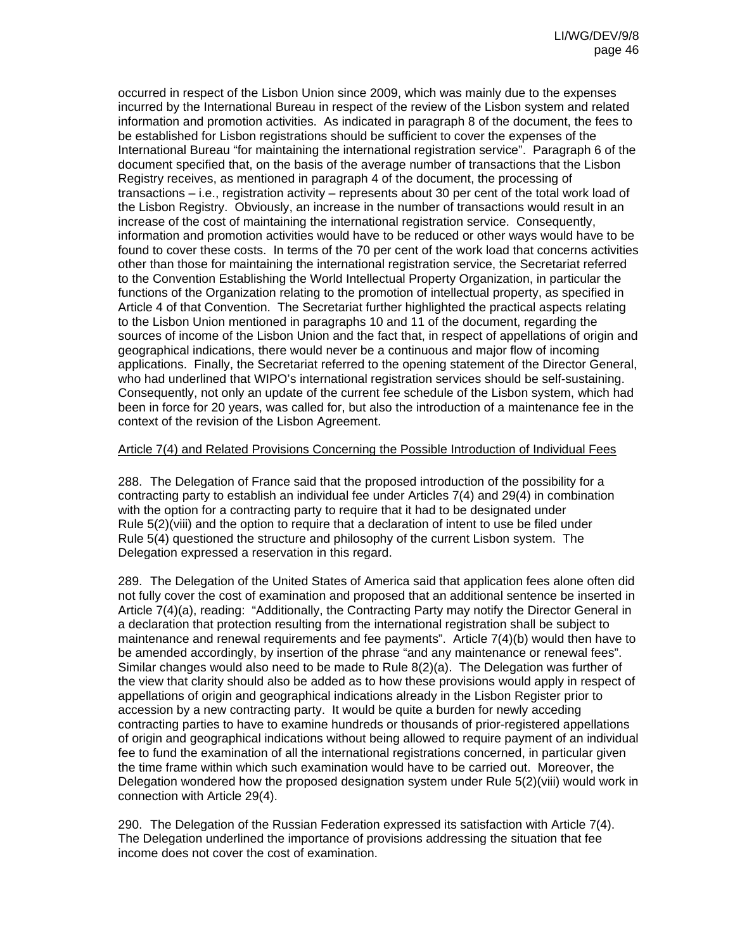occurred in respect of the Lisbon Union since 2009, which was mainly due to the expenses incurred by the International Bureau in respect of the review of the Lisbon system and related information and promotion activities. As indicated in paragraph 8 of the document, the fees to be established for Lisbon registrations should be sufficient to cover the expenses of the International Bureau "for maintaining the international registration service". Paragraph 6 of the document specified that, on the basis of the average number of transactions that the Lisbon Registry receives, as mentioned in paragraph 4 of the document, the processing of transactions – i.e., registration activity – represents about 30 per cent of the total work load of the Lisbon Registry. Obviously, an increase in the number of transactions would result in an increase of the cost of maintaining the international registration service. Consequently, information and promotion activities would have to be reduced or other ways would have to be found to cover these costs. In terms of the 70 per cent of the work load that concerns activities other than those for maintaining the international registration service, the Secretariat referred to the Convention Establishing the World Intellectual Property Organization, in particular the functions of the Organization relating to the promotion of intellectual property, as specified in Article 4 of that Convention. The Secretariat further highlighted the practical aspects relating to the Lisbon Union mentioned in paragraphs 10 and 11 of the document, regarding the sources of income of the Lisbon Union and the fact that, in respect of appellations of origin and geographical indications, there would never be a continuous and major flow of incoming applications. Finally, the Secretariat referred to the opening statement of the Director General, who had underlined that WIPO's international registration services should be self-sustaining. Consequently, not only an update of the current fee schedule of the Lisbon system, which had been in force for 20 years, was called for, but also the introduction of a maintenance fee in the context of the revision of the Lisbon Agreement.

## Article 7(4) and Related Provisions Concerning the Possible Introduction of Individual Fees

288. The Delegation of France said that the proposed introduction of the possibility for a contracting party to establish an individual fee under Articles 7(4) and 29(4) in combination with the option for a contracting party to require that it had to be designated under Rule 5(2)(viii) and the option to require that a declaration of intent to use be filed under Rule 5(4) questioned the structure and philosophy of the current Lisbon system. The Delegation expressed a reservation in this regard.

289. The Delegation of the United States of America said that application fees alone often did not fully cover the cost of examination and proposed that an additional sentence be inserted in Article 7(4)(a), reading: "Additionally, the Contracting Party may notify the Director General in a declaration that protection resulting from the international registration shall be subject to maintenance and renewal requirements and fee payments". Article 7(4)(b) would then have to be amended accordingly, by insertion of the phrase "and any maintenance or renewal fees". Similar changes would also need to be made to Rule 8(2)(a). The Delegation was further of the view that clarity should also be added as to how these provisions would apply in respect of appellations of origin and geographical indications already in the Lisbon Register prior to accession by a new contracting party. It would be quite a burden for newly acceding contracting parties to have to examine hundreds or thousands of prior-registered appellations of origin and geographical indications without being allowed to require payment of an individual fee to fund the examination of all the international registrations concerned, in particular given the time frame within which such examination would have to be carried out. Moreover, the Delegation wondered how the proposed designation system under Rule 5(2)(viii) would work in connection with Article 29(4).

290. The Delegation of the Russian Federation expressed its satisfaction with Article 7(4). The Delegation underlined the importance of provisions addressing the situation that fee income does not cover the cost of examination.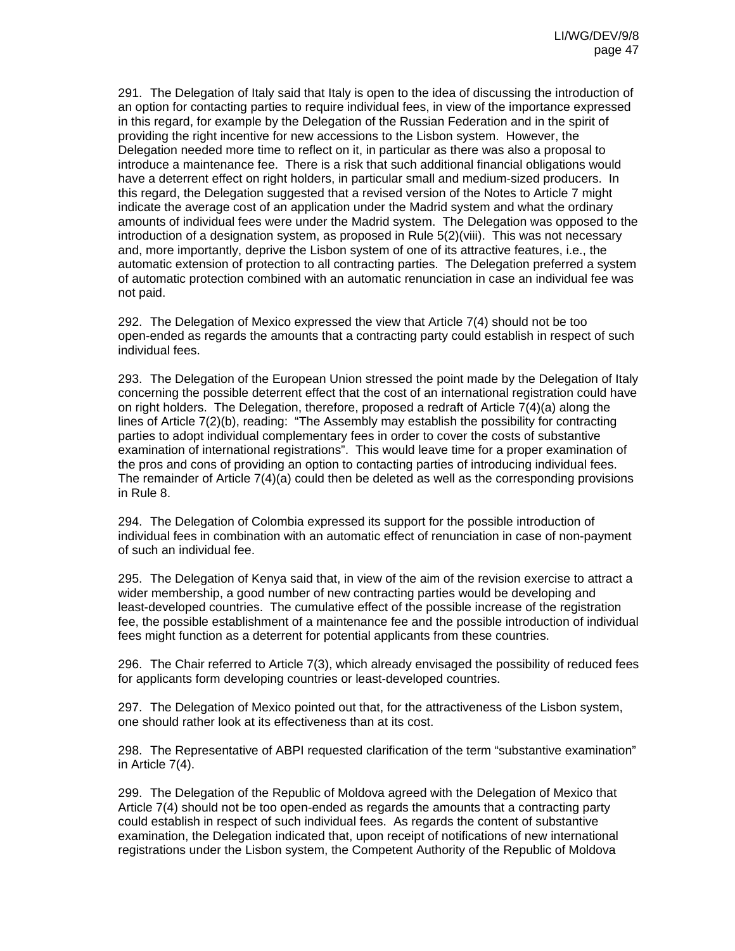291. The Delegation of Italy said that Italy is open to the idea of discussing the introduction of an option for contacting parties to require individual fees, in view of the importance expressed in this regard, for example by the Delegation of the Russian Federation and in the spirit of providing the right incentive for new accessions to the Lisbon system. However, the Delegation needed more time to reflect on it, in particular as there was also a proposal to introduce a maintenance fee. There is a risk that such additional financial obligations would have a deterrent effect on right holders, in particular small and medium-sized producers. In this regard, the Delegation suggested that a revised version of the Notes to Article 7 might indicate the average cost of an application under the Madrid system and what the ordinary amounts of individual fees were under the Madrid system. The Delegation was opposed to the introduction of a designation system, as proposed in Rule 5(2)(viii). This was not necessary and, more importantly, deprive the Lisbon system of one of its attractive features, i.e., the automatic extension of protection to all contracting parties. The Delegation preferred a system of automatic protection combined with an automatic renunciation in case an individual fee was not paid.

292. The Delegation of Mexico expressed the view that Article 7(4) should not be too open-ended as regards the amounts that a contracting party could establish in respect of such individual fees.

293. The Delegation of the European Union stressed the point made by the Delegation of Italy concerning the possible deterrent effect that the cost of an international registration could have on right holders. The Delegation, therefore, proposed a redraft of Article 7(4)(a) along the lines of Article 7(2)(b), reading: "The Assembly may establish the possibility for contracting parties to adopt individual complementary fees in order to cover the costs of substantive examination of international registrations". This would leave time for a proper examination of the pros and cons of providing an option to contacting parties of introducing individual fees. The remainder of Article 7(4)(a) could then be deleted as well as the corresponding provisions in Rule 8.

294. The Delegation of Colombia expressed its support for the possible introduction of individual fees in combination with an automatic effect of renunciation in case of non-payment of such an individual fee.

295. The Delegation of Kenya said that, in view of the aim of the revision exercise to attract a wider membership, a good number of new contracting parties would be developing and least-developed countries. The cumulative effect of the possible increase of the registration fee, the possible establishment of a maintenance fee and the possible introduction of individual fees might function as a deterrent for potential applicants from these countries.

296. The Chair referred to Article 7(3), which already envisaged the possibility of reduced fees for applicants form developing countries or least-developed countries.

297. The Delegation of Mexico pointed out that, for the attractiveness of the Lisbon system, one should rather look at its effectiveness than at its cost.

298. The Representative of ABPI requested clarification of the term "substantive examination" in Article 7(4).

299. The Delegation of the Republic of Moldova agreed with the Delegation of Mexico that Article 7(4) should not be too open-ended as regards the amounts that a contracting party could establish in respect of such individual fees. As regards the content of substantive examination, the Delegation indicated that, upon receipt of notifications of new international registrations under the Lisbon system, the Competent Authority of the Republic of Moldova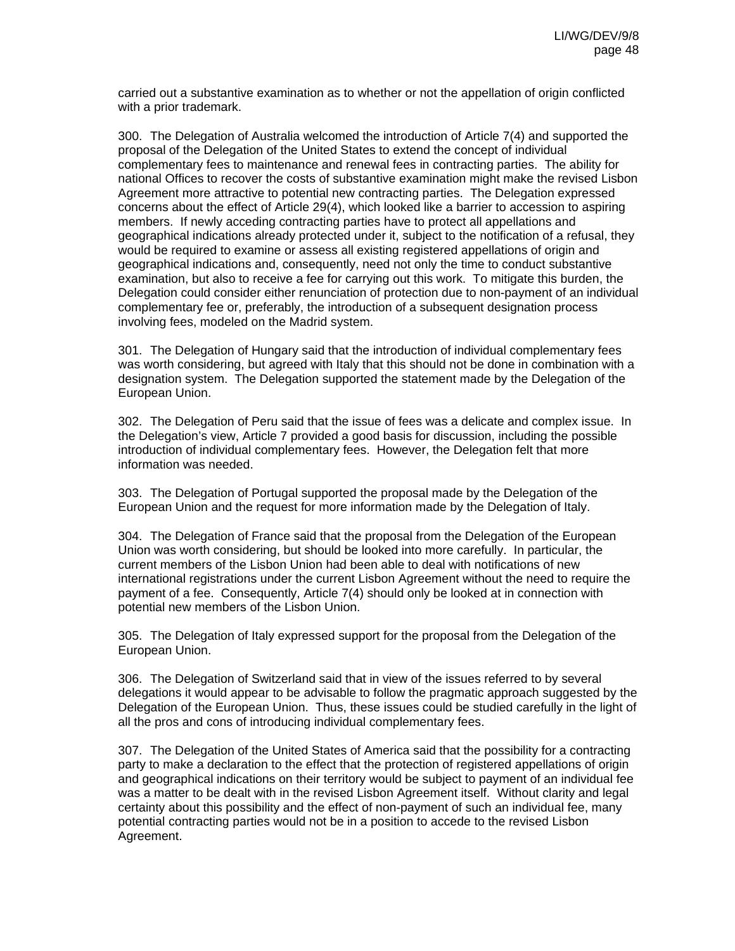carried out a substantive examination as to whether or not the appellation of origin conflicted with a prior trademark.

300. The Delegation of Australia welcomed the introduction of Article 7(4) and supported the proposal of the Delegation of the United States to extend the concept of individual complementary fees to maintenance and renewal fees in contracting parties. The ability for national Offices to recover the costs of substantive examination might make the revised Lisbon Agreement more attractive to potential new contracting parties. The Delegation expressed concerns about the effect of Article 29(4), which looked like a barrier to accession to aspiring members. If newly acceding contracting parties have to protect all appellations and geographical indications already protected under it, subject to the notification of a refusal, they would be required to examine or assess all existing registered appellations of origin and geographical indications and, consequently, need not only the time to conduct substantive examination, but also to receive a fee for carrying out this work. To mitigate this burden, the Delegation could consider either renunciation of protection due to non-payment of an individual complementary fee or, preferably, the introduction of a subsequent designation process involving fees, modeled on the Madrid system.

301. The Delegation of Hungary said that the introduction of individual complementary fees was worth considering, but agreed with Italy that this should not be done in combination with a designation system. The Delegation supported the statement made by the Delegation of the European Union.

302. The Delegation of Peru said that the issue of fees was a delicate and complex issue. In the Delegation's view, Article 7 provided a good basis for discussion, including the possible introduction of individual complementary fees. However, the Delegation felt that more information was needed.

303. The Delegation of Portugal supported the proposal made by the Delegation of the European Union and the request for more information made by the Delegation of Italy.

304. The Delegation of France said that the proposal from the Delegation of the European Union was worth considering, but should be looked into more carefully. In particular, the current members of the Lisbon Union had been able to deal with notifications of new international registrations under the current Lisbon Agreement without the need to require the payment of a fee. Consequently, Article 7(4) should only be looked at in connection with potential new members of the Lisbon Union.

305. The Delegation of Italy expressed support for the proposal from the Delegation of the European Union.

306. The Delegation of Switzerland said that in view of the issues referred to by several delegations it would appear to be advisable to follow the pragmatic approach suggested by the Delegation of the European Union. Thus, these issues could be studied carefully in the light of all the pros and cons of introducing individual complementary fees.

307. The Delegation of the United States of America said that the possibility for a contracting party to make a declaration to the effect that the protection of registered appellations of origin and geographical indications on their territory would be subject to payment of an individual fee was a matter to be dealt with in the revised Lisbon Agreement itself. Without clarity and legal certainty about this possibility and the effect of non-payment of such an individual fee, many potential contracting parties would not be in a position to accede to the revised Lisbon Agreement.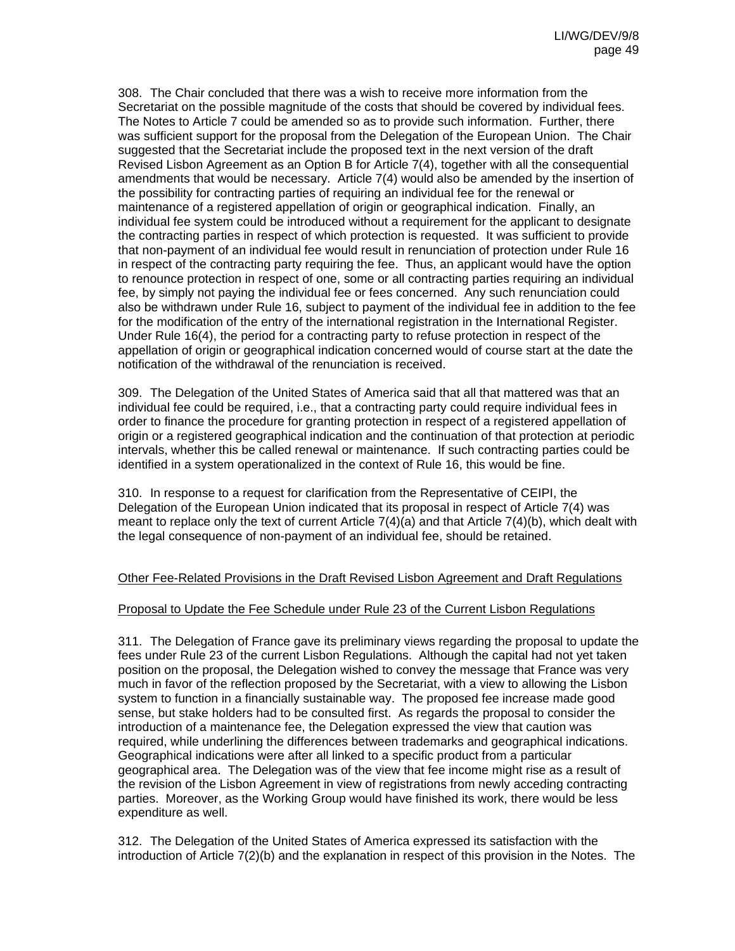308. The Chair concluded that there was a wish to receive more information from the Secretariat on the possible magnitude of the costs that should be covered by individual fees. The Notes to Article 7 could be amended so as to provide such information. Further, there was sufficient support for the proposal from the Delegation of the European Union. The Chair suggested that the Secretariat include the proposed text in the next version of the draft Revised Lisbon Agreement as an Option B for Article 7(4), together with all the consequential amendments that would be necessary. Article 7(4) would also be amended by the insertion of the possibility for contracting parties of requiring an individual fee for the renewal or maintenance of a registered appellation of origin or geographical indication. Finally, an individual fee system could be introduced without a requirement for the applicant to designate the contracting parties in respect of which protection is requested. It was sufficient to provide that non-payment of an individual fee would result in renunciation of protection under Rule 16 in respect of the contracting party requiring the fee. Thus, an applicant would have the option to renounce protection in respect of one, some or all contracting parties requiring an individual fee, by simply not paying the individual fee or fees concerned. Any such renunciation could also be withdrawn under Rule 16, subject to payment of the individual fee in addition to the fee for the modification of the entry of the international registration in the International Register. Under Rule 16(4), the period for a contracting party to refuse protection in respect of the appellation of origin or geographical indication concerned would of course start at the date the notification of the withdrawal of the renunciation is received.

309. The Delegation of the United States of America said that all that mattered was that an individual fee could be required, i.e., that a contracting party could require individual fees in order to finance the procedure for granting protection in respect of a registered appellation of origin or a registered geographical indication and the continuation of that protection at periodic intervals, whether this be called renewal or maintenance. If such contracting parties could be identified in a system operationalized in the context of Rule 16, this would be fine.

310. In response to a request for clarification from the Representative of CEIPI, the Delegation of the European Union indicated that its proposal in respect of Article 7(4) was meant to replace only the text of current Article 7(4)(a) and that Article 7(4)(b), which dealt with the legal consequence of non-payment of an individual fee, should be retained.

## Other Fee-Related Provisions in the Draft Revised Lisbon Agreement and Draft Regulations

#### Proposal to Update the Fee Schedule under Rule 23 of the Current Lisbon Regulations

311. The Delegation of France gave its preliminary views regarding the proposal to update the fees under Rule 23 of the current Lisbon Regulations. Although the capital had not yet taken position on the proposal, the Delegation wished to convey the message that France was very much in favor of the reflection proposed by the Secretariat, with a view to allowing the Lisbon system to function in a financially sustainable way. The proposed fee increase made good sense, but stake holders had to be consulted first. As regards the proposal to consider the introduction of a maintenance fee, the Delegation expressed the view that caution was required, while underlining the differences between trademarks and geographical indications. Geographical indications were after all linked to a specific product from a particular geographical area. The Delegation was of the view that fee income might rise as a result of the revision of the Lisbon Agreement in view of registrations from newly acceding contracting parties. Moreover, as the Working Group would have finished its work, there would be less expenditure as well.

312. The Delegation of the United States of America expressed its satisfaction with the introduction of Article 7(2)(b) and the explanation in respect of this provision in the Notes. The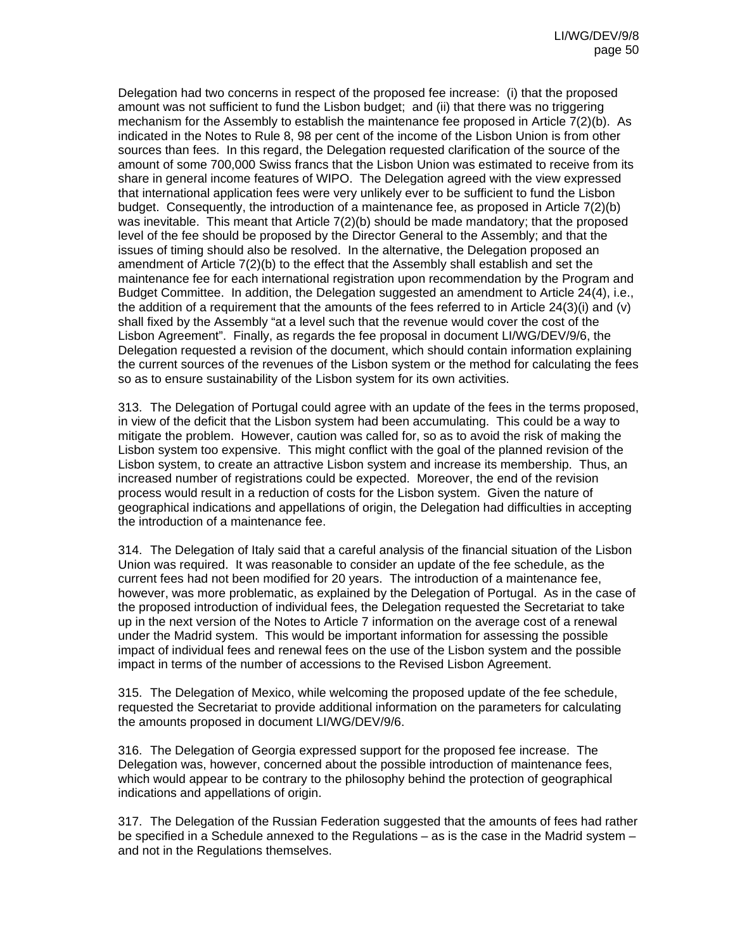Delegation had two concerns in respect of the proposed fee increase: (i) that the proposed amount was not sufficient to fund the Lisbon budget; and (ii) that there was no triggering mechanism for the Assembly to establish the maintenance fee proposed in Article 7(2)(b). As indicated in the Notes to Rule 8, 98 per cent of the income of the Lisbon Union is from other sources than fees. In this regard, the Delegation requested clarification of the source of the amount of some 700,000 Swiss francs that the Lisbon Union was estimated to receive from its share in general income features of WIPO. The Delegation agreed with the view expressed that international application fees were very unlikely ever to be sufficient to fund the Lisbon budget. Consequently, the introduction of a maintenance fee, as proposed in Article 7(2)(b) was inevitable. This meant that Article 7(2)(b) should be made mandatory; that the proposed level of the fee should be proposed by the Director General to the Assembly; and that the issues of timing should also be resolved. In the alternative, the Delegation proposed an amendment of Article 7(2)(b) to the effect that the Assembly shall establish and set the maintenance fee for each international registration upon recommendation by the Program and Budget Committee. In addition, the Delegation suggested an amendment to Article 24(4), i.e., the addition of a requirement that the amounts of the fees referred to in Article 24(3)(i) and (v) shall fixed by the Assembly "at a level such that the revenue would cover the cost of the Lisbon Agreement". Finally, as regards the fee proposal in document LI/WG/DEV/9/6, the Delegation requested a revision of the document, which should contain information explaining the current sources of the revenues of the Lisbon system or the method for calculating the fees so as to ensure sustainability of the Lisbon system for its own activities.

313. The Delegation of Portugal could agree with an update of the fees in the terms proposed, in view of the deficit that the Lisbon system had been accumulating. This could be a way to mitigate the problem. However, caution was called for, so as to avoid the risk of making the Lisbon system too expensive. This might conflict with the goal of the planned revision of the Lisbon system, to create an attractive Lisbon system and increase its membership. Thus, an increased number of registrations could be expected. Moreover, the end of the revision process would result in a reduction of costs for the Lisbon system. Given the nature of geographical indications and appellations of origin, the Delegation had difficulties in accepting the introduction of a maintenance fee.

314. The Delegation of Italy said that a careful analysis of the financial situation of the Lisbon Union was required. It was reasonable to consider an update of the fee schedule, as the current fees had not been modified for 20 years. The introduction of a maintenance fee, however, was more problematic, as explained by the Delegation of Portugal. As in the case of the proposed introduction of individual fees, the Delegation requested the Secretariat to take up in the next version of the Notes to Article 7 information on the average cost of a renewal under the Madrid system. This would be important information for assessing the possible impact of individual fees and renewal fees on the use of the Lisbon system and the possible impact in terms of the number of accessions to the Revised Lisbon Agreement.

315. The Delegation of Mexico, while welcoming the proposed update of the fee schedule, requested the Secretariat to provide additional information on the parameters for calculating the amounts proposed in document LI/WG/DEV/9/6.

316. The Delegation of Georgia expressed support for the proposed fee increase. The Delegation was, however, concerned about the possible introduction of maintenance fees, which would appear to be contrary to the philosophy behind the protection of geographical indications and appellations of origin.

317. The Delegation of the Russian Federation suggested that the amounts of fees had rather be specified in a Schedule annexed to the Regulations – as is the case in the Madrid system – and not in the Regulations themselves.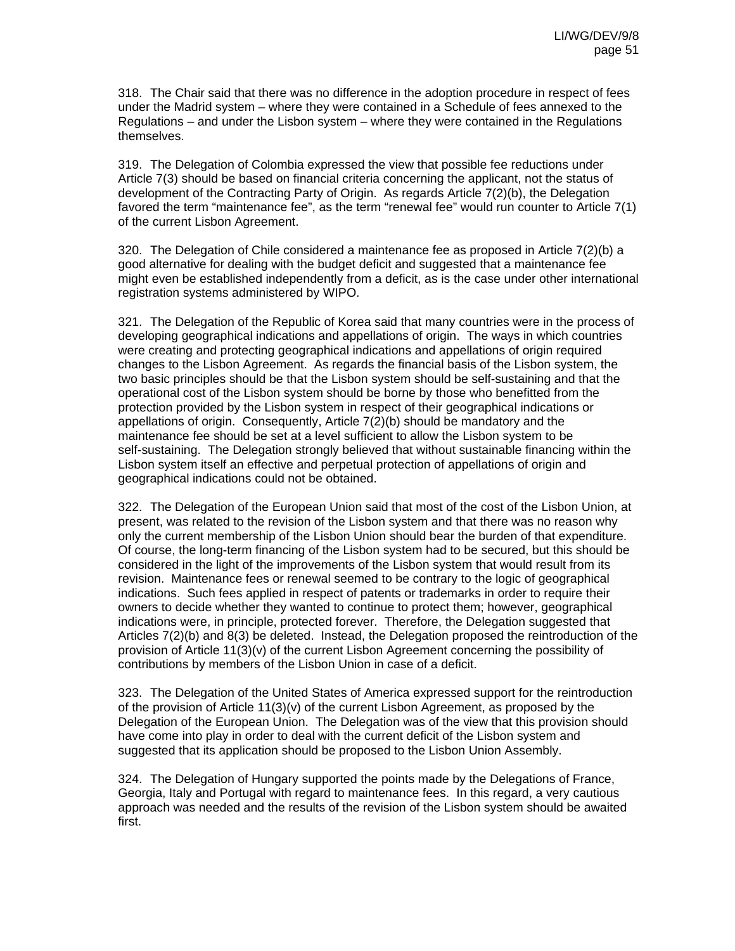318. The Chair said that there was no difference in the adoption procedure in respect of fees under the Madrid system – where they were contained in a Schedule of fees annexed to the Regulations – and under the Lisbon system – where they were contained in the Regulations themselves.

319. The Delegation of Colombia expressed the view that possible fee reductions under Article 7(3) should be based on financial criteria concerning the applicant, not the status of development of the Contracting Party of Origin. As regards Article 7(2)(b), the Delegation favored the term "maintenance fee", as the term "renewal fee" would run counter to Article 7(1) of the current Lisbon Agreement.

320. The Delegation of Chile considered a maintenance fee as proposed in Article 7(2)(b) a good alternative for dealing with the budget deficit and suggested that a maintenance fee might even be established independently from a deficit, as is the case under other international registration systems administered by WIPO.

321. The Delegation of the Republic of Korea said that many countries were in the process of developing geographical indications and appellations of origin. The ways in which countries were creating and protecting geographical indications and appellations of origin required changes to the Lisbon Agreement. As regards the financial basis of the Lisbon system, the two basic principles should be that the Lisbon system should be self-sustaining and that the operational cost of the Lisbon system should be borne by those who benefitted from the protection provided by the Lisbon system in respect of their geographical indications or appellations of origin. Consequently, Article  $7(2)(b)$  should be mandatory and the maintenance fee should be set at a level sufficient to allow the Lisbon system to be self-sustaining. The Delegation strongly believed that without sustainable financing within the Lisbon system itself an effective and perpetual protection of appellations of origin and geographical indications could not be obtained.

322. The Delegation of the European Union said that most of the cost of the Lisbon Union, at present, was related to the revision of the Lisbon system and that there was no reason why only the current membership of the Lisbon Union should bear the burden of that expenditure. Of course, the long-term financing of the Lisbon system had to be secured, but this should be considered in the light of the improvements of the Lisbon system that would result from its revision. Maintenance fees or renewal seemed to be contrary to the logic of geographical indications. Such fees applied in respect of patents or trademarks in order to require their owners to decide whether they wanted to continue to protect them; however, geographical indications were, in principle, protected forever. Therefore, the Delegation suggested that Articles 7(2)(b) and 8(3) be deleted. Instead, the Delegation proposed the reintroduction of the provision of Article 11(3)(v) of the current Lisbon Agreement concerning the possibility of contributions by members of the Lisbon Union in case of a deficit.

323. The Delegation of the United States of America expressed support for the reintroduction of the provision of Article  $11(3)(v)$  of the current Lisbon Agreement, as proposed by the Delegation of the European Union. The Delegation was of the view that this provision should have come into play in order to deal with the current deficit of the Lisbon system and suggested that its application should be proposed to the Lisbon Union Assembly.

324. The Delegation of Hungary supported the points made by the Delegations of France, Georgia, Italy and Portugal with regard to maintenance fees. In this regard, a very cautious approach was needed and the results of the revision of the Lisbon system should be awaited first.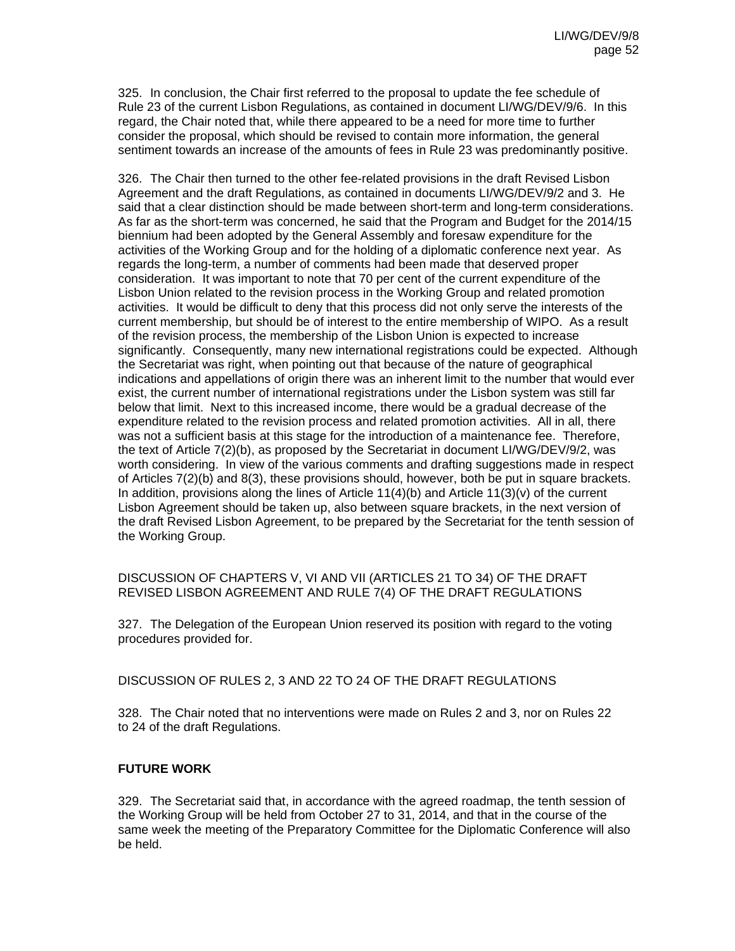325. In conclusion, the Chair first referred to the proposal to update the fee schedule of Rule 23 of the current Lisbon Regulations, as contained in document LI/WG/DEV/9/6. In this regard, the Chair noted that, while there appeared to be a need for more time to further consider the proposal, which should be revised to contain more information, the general sentiment towards an increase of the amounts of fees in Rule 23 was predominantly positive.

326. The Chair then turned to the other fee-related provisions in the draft Revised Lisbon Agreement and the draft Regulations, as contained in documents LI/WG/DEV/9/2 and 3. He said that a clear distinction should be made between short-term and long-term considerations. As far as the short-term was concerned, he said that the Program and Budget for the 2014/15 biennium had been adopted by the General Assembly and foresaw expenditure for the activities of the Working Group and for the holding of a diplomatic conference next year. As regards the long-term, a number of comments had been made that deserved proper consideration. It was important to note that 70 per cent of the current expenditure of the Lisbon Union related to the revision process in the Working Group and related promotion activities. It would be difficult to deny that this process did not only serve the interests of the current membership, but should be of interest to the entire membership of WIPO. As a result of the revision process, the membership of the Lisbon Union is expected to increase significantly. Consequently, many new international registrations could be expected. Although the Secretariat was right, when pointing out that because of the nature of geographical indications and appellations of origin there was an inherent limit to the number that would ever exist, the current number of international registrations under the Lisbon system was still far below that limit. Next to this increased income, there would be a gradual decrease of the expenditure related to the revision process and related promotion activities. All in all, there was not a sufficient basis at this stage for the introduction of a maintenance fee. Therefore, the text of Article 7(2)(b), as proposed by the Secretariat in document LI/WG/DEV/9/2, was worth considering. In view of the various comments and drafting suggestions made in respect of Articles 7(2)(b) and 8(3), these provisions should, however, both be put in square brackets. In addition, provisions along the lines of Article  $11(4)(b)$  and Article  $11(3)(v)$  of the current Lisbon Agreement should be taken up, also between square brackets, in the next version of the draft Revised Lisbon Agreement, to be prepared by the Secretariat for the tenth session of the Working Group.

DISCUSSION OF CHAPTERS V, VI AND VII (ARTICLES 21 TO 34) OF THE DRAFT REVISED LISBON AGREEMENT AND RULE 7(4) OF THE DRAFT REGULATIONS

327. The Delegation of the European Union reserved its position with regard to the voting procedures provided for.

DISCUSSION OF RULES 2, 3 AND 22 TO 24 OF THE DRAFT REGULATIONS

328. The Chair noted that no interventions were made on Rules 2 and 3, nor on Rules 22 to 24 of the draft Regulations.

## **FUTURE WORK**

329. The Secretariat said that, in accordance with the agreed roadmap, the tenth session of the Working Group will be held from October 27 to 31, 2014, and that in the course of the same week the meeting of the Preparatory Committee for the Diplomatic Conference will also be held.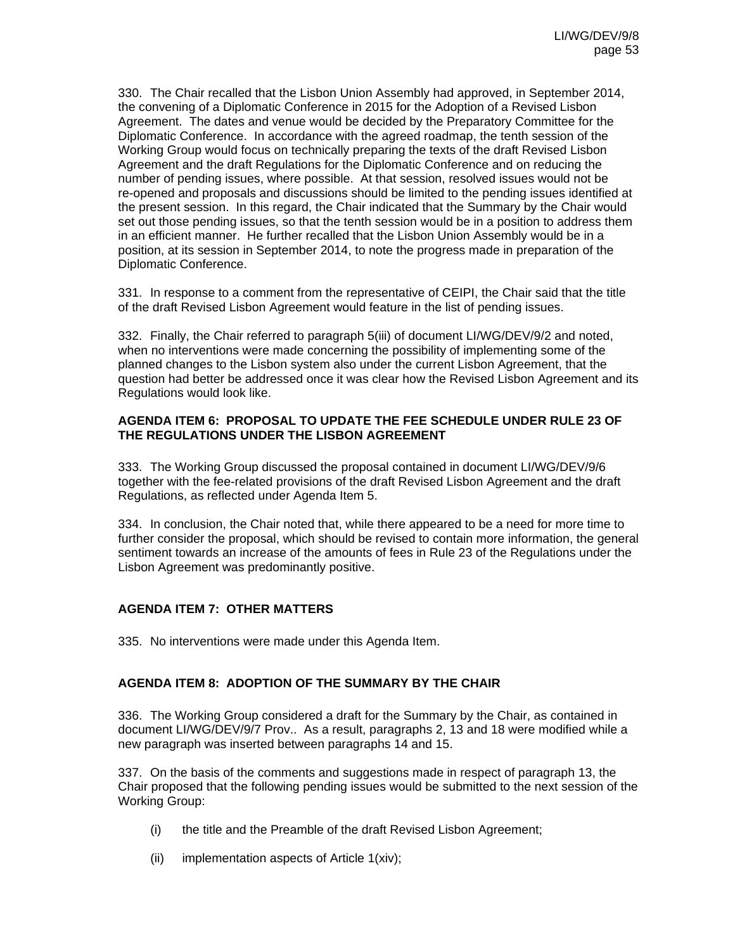330. The Chair recalled that the Lisbon Union Assembly had approved, in September 2014, the convening of a Diplomatic Conference in 2015 for the Adoption of a Revised Lisbon Agreement. The dates and venue would be decided by the Preparatory Committee for the Diplomatic Conference. In accordance with the agreed roadmap, the tenth session of the Working Group would focus on technically preparing the texts of the draft Revised Lisbon Agreement and the draft Regulations for the Diplomatic Conference and on reducing the number of pending issues, where possible. At that session, resolved issues would not be re-opened and proposals and discussions should be limited to the pending issues identified at the present session. In this regard, the Chair indicated that the Summary by the Chair would set out those pending issues, so that the tenth session would be in a position to address them in an efficient manner. He further recalled that the Lisbon Union Assembly would be in a position, at its session in September 2014, to note the progress made in preparation of the Diplomatic Conference.

331. In response to a comment from the representative of CEIPI, the Chair said that the title of the draft Revised Lisbon Agreement would feature in the list of pending issues.

332. Finally, the Chair referred to paragraph 5(iii) of document LI/WG/DEV/9/2 and noted, when no interventions were made concerning the possibility of implementing some of the planned changes to the Lisbon system also under the current Lisbon Agreement, that the question had better be addressed once it was clear how the Revised Lisbon Agreement and its Regulations would look like.

#### **AGENDA ITEM 6: PROPOSAL TO UPDATE THE FEE SCHEDULE UNDER RULE 23 OF THE REGULATIONS UNDER THE LISBON AGREEMENT**

333. The Working Group discussed the proposal contained in document LI/WG/DEV/9/6 together with the fee-related provisions of the draft Revised Lisbon Agreement and the draft Regulations, as reflected under Agenda Item 5.

334. In conclusion, the Chair noted that, while there appeared to be a need for more time to further consider the proposal, which should be revised to contain more information, the general sentiment towards an increase of the amounts of fees in Rule 23 of the Regulations under the Lisbon Agreement was predominantly positive.

## **AGENDA ITEM 7: OTHER MATTERS**

335. No interventions were made under this Agenda Item.

## **AGENDA ITEM 8: ADOPTION OF THE SUMMARY BY THE CHAIR**

336. The Working Group considered a draft for the Summary by the Chair, as contained in document LI/WG/DEV/9/7 Prov.. As a result, paragraphs 2, 13 and 18 were modified while a new paragraph was inserted between paragraphs 14 and 15.

337. On the basis of the comments and suggestions made in respect of paragraph 13, the Chair proposed that the following pending issues would be submitted to the next session of the Working Group:

- (i) the title and the Preamble of the draft Revised Lisbon Agreement;
- (ii) implementation aspects of Article 1(xiv);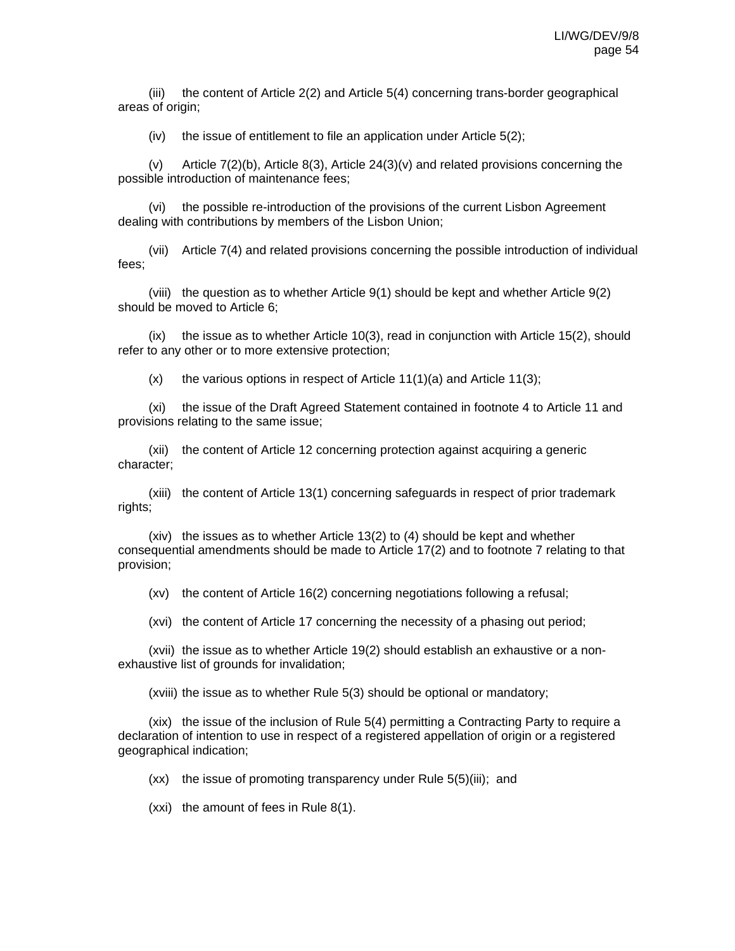(iii) the content of Article 2(2) and Article 5(4) concerning trans-border geographical areas of origin;

(iv) the issue of entitlement to file an application under Article 5(2);

(v) Article 7(2)(b), Article 8(3), Article 24(3)(v) and related provisions concerning the possible introduction of maintenance fees;

(vi) the possible re-introduction of the provisions of the current Lisbon Agreement dealing with contributions by members of the Lisbon Union;

(vii) Article 7(4) and related provisions concerning the possible introduction of individual fees;

(viii) the question as to whether Article 9(1) should be kept and whether Article 9(2) should be moved to Article 6;

(ix) the issue as to whether Article 10(3), read in conjunction with Article 15(2), should refer to any other or to more extensive protection;

 $(x)$  the various options in respect of Article 11(1)(a) and Article 11(3);

(xi) the issue of the Draft Agreed Statement contained in footnote 4 to Article 11 and provisions relating to the same issue;

(xii) the content of Article 12 concerning protection against acquiring a generic character;

(xiii) the content of Article 13(1) concerning safeguards in respect of prior trademark rights;

(xiv) the issues as to whether Article 13(2) to (4) should be kept and whether consequential amendments should be made to Article 17(2) and to footnote 7 relating to that provision;

(xv) the content of Article 16(2) concerning negotiations following a refusal;

(xvi) the content of Article 17 concerning the necessity of a phasing out period;

(xvii) the issue as to whether Article 19(2) should establish an exhaustive or a nonexhaustive list of grounds for invalidation;

(xviii) the issue as to whether Rule 5(3) should be optional or mandatory;

(xix) the issue of the inclusion of Rule 5(4) permitting a Contracting Party to require a declaration of intention to use in respect of a registered appellation of origin or a registered geographical indication;

(xx) the issue of promoting transparency under Rule 5(5)(iii); and

(xxi) the amount of fees in Rule 8(1).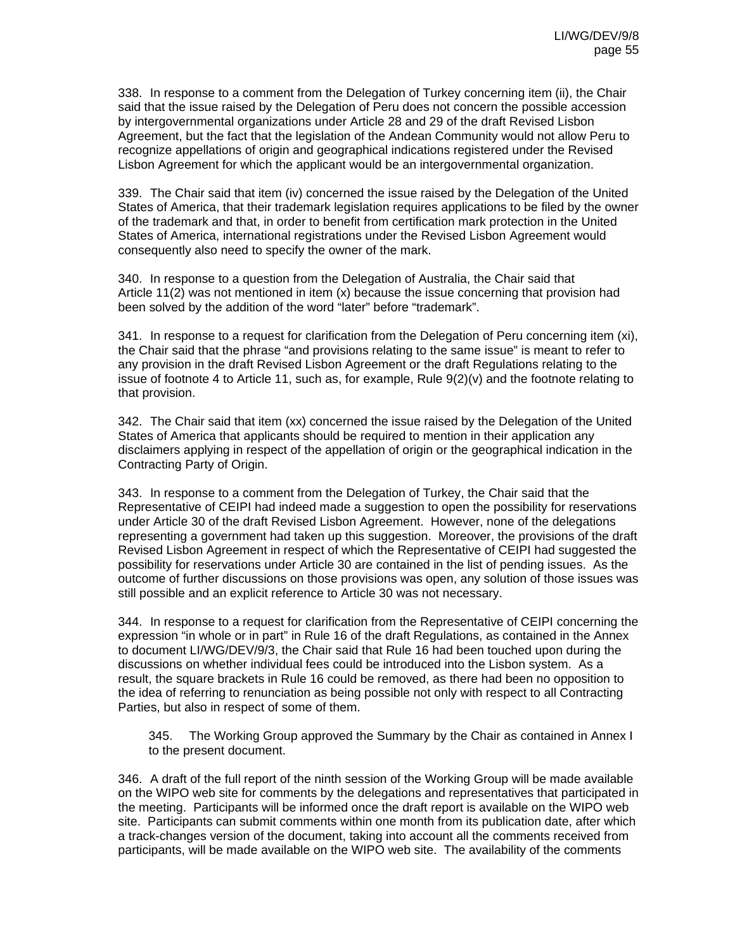338. In response to a comment from the Delegation of Turkey concerning item (ii), the Chair said that the issue raised by the Delegation of Peru does not concern the possible accession by intergovernmental organizations under Article 28 and 29 of the draft Revised Lisbon Agreement, but the fact that the legislation of the Andean Community would not allow Peru to recognize appellations of origin and geographical indications registered under the Revised Lisbon Agreement for which the applicant would be an intergovernmental organization.

339. The Chair said that item (iv) concerned the issue raised by the Delegation of the United States of America, that their trademark legislation requires applications to be filed by the owner of the trademark and that, in order to benefit from certification mark protection in the United States of America, international registrations under the Revised Lisbon Agreement would consequently also need to specify the owner of the mark.

340. In response to a question from the Delegation of Australia, the Chair said that Article 11(2) was not mentioned in item (x) because the issue concerning that provision had been solved by the addition of the word "later" before "trademark".

341. In response to a request for clarification from the Delegation of Peru concerning item (xi), the Chair said that the phrase "and provisions relating to the same issue" is meant to refer to any provision in the draft Revised Lisbon Agreement or the draft Regulations relating to the issue of footnote 4 to Article 11, such as, for example, Rule 9(2)(v) and the footnote relating to that provision.

342. The Chair said that item (xx) concerned the issue raised by the Delegation of the United States of America that applicants should be required to mention in their application any disclaimers applying in respect of the appellation of origin or the geographical indication in the Contracting Party of Origin.

343. In response to a comment from the Delegation of Turkey, the Chair said that the Representative of CEIPI had indeed made a suggestion to open the possibility for reservations under Article 30 of the draft Revised Lisbon Agreement. However, none of the delegations representing a government had taken up this suggestion. Moreover, the provisions of the draft Revised Lisbon Agreement in respect of which the Representative of CEIPI had suggested the possibility for reservations under Article 30 are contained in the list of pending issues. As the outcome of further discussions on those provisions was open, any solution of those issues was still possible and an explicit reference to Article 30 was not necessary.

344. In response to a request for clarification from the Representative of CEIPI concerning the expression "in whole or in part" in Rule 16 of the draft Regulations, as contained in the Annex to document LI/WG/DEV/9/3, the Chair said that Rule 16 had been touched upon during the discussions on whether individual fees could be introduced into the Lisbon system. As a result, the square brackets in Rule 16 could be removed, as there had been no opposition to the idea of referring to renunciation as being possible not only with respect to all Contracting Parties, but also in respect of some of them.

345. The Working Group approved the Summary by the Chair as contained in Annex I to the present document.

346. A draft of the full report of the ninth session of the Working Group will be made available on the WIPO web site for comments by the delegations and representatives that participated in the meeting. Participants will be informed once the draft report is available on the WIPO web site. Participants can submit comments within one month from its publication date, after which a track-changes version of the document, taking into account all the comments received from participants, will be made available on the WIPO web site. The availability of the comments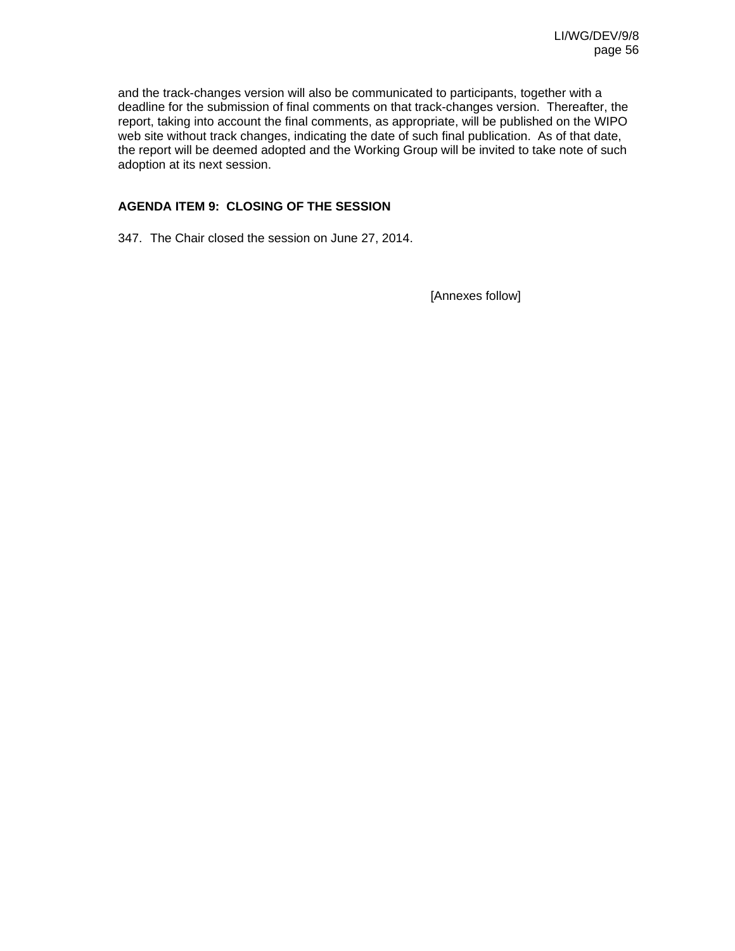and the track-changes version will also be communicated to participants, together with a deadline for the submission of final comments on that track-changes version. Thereafter, the report, taking into account the final comments, as appropriate, will be published on the WIPO web site without track changes, indicating the date of such final publication. As of that date, the report will be deemed adopted and the Working Group will be invited to take note of such adoption at its next session.

## **AGENDA ITEM 9: CLOSING OF THE SESSION**

347. The Chair closed the session on June 27, 2014.

[Annexes follow]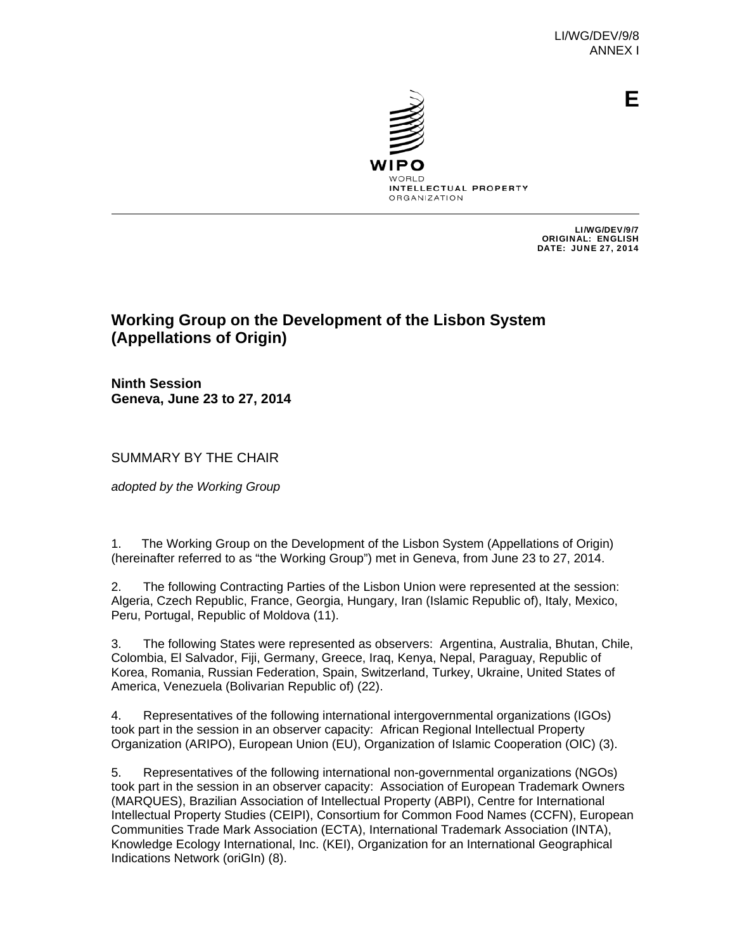

**E**

INTELLECTUAL PROPERTY **ORGANIZATION** 

> LI/WG/DEV/9/7 ORIGINAL: ENGLISH DATE: JUNE 27, 2014

# **Working Group on the Development of the Lisbon System (Appellations of Origin)**

**Ninth Session Geneva, June 23 to 27, 2014** 

SUMMARY BY THE CHAIR

*adopted by the Working Group*

1. The Working Group on the Development of the Lisbon System (Appellations of Origin) (hereinafter referred to as "the Working Group") met in Geneva, from June 23 to 27, 2014.

2. The following Contracting Parties of the Lisbon Union were represented at the session: Algeria, Czech Republic, France, Georgia, Hungary, Iran (Islamic Republic of), Italy, Mexico, Peru, Portugal, Republic of Moldova (11).

3. The following States were represented as observers: Argentina, Australia, Bhutan, Chile, Colombia, El Salvador, Fiji, Germany, Greece, Iraq, Kenya, Nepal, Paraguay, Republic of Korea, Romania, Russian Federation, Spain, Switzerland, Turkey, Ukraine, United States of America, Venezuela (Bolivarian Republic of) (22).

4. Representatives of the following international intergovernmental organizations (IGOs) took part in the session in an observer capacity: African Regional Intellectual Property Organization (ARIPO), European Union (EU), Organization of Islamic Cooperation (OIC) (3).

5. Representatives of the following international non-governmental organizations (NGOs) took part in the session in an observer capacity: Association of European Trademark Owners (MARQUES), Brazilian Association of Intellectual Property (ABPI), Centre for International Intellectual Property Studies (CEIPI), Consortium for Common Food Names (CCFN), European Communities Trade Mark Association (ECTA), International Trademark Association (INTA), Knowledge Ecology International, Inc. (KEI), Organization for an International Geographical Indications Network (oriGIn) (8).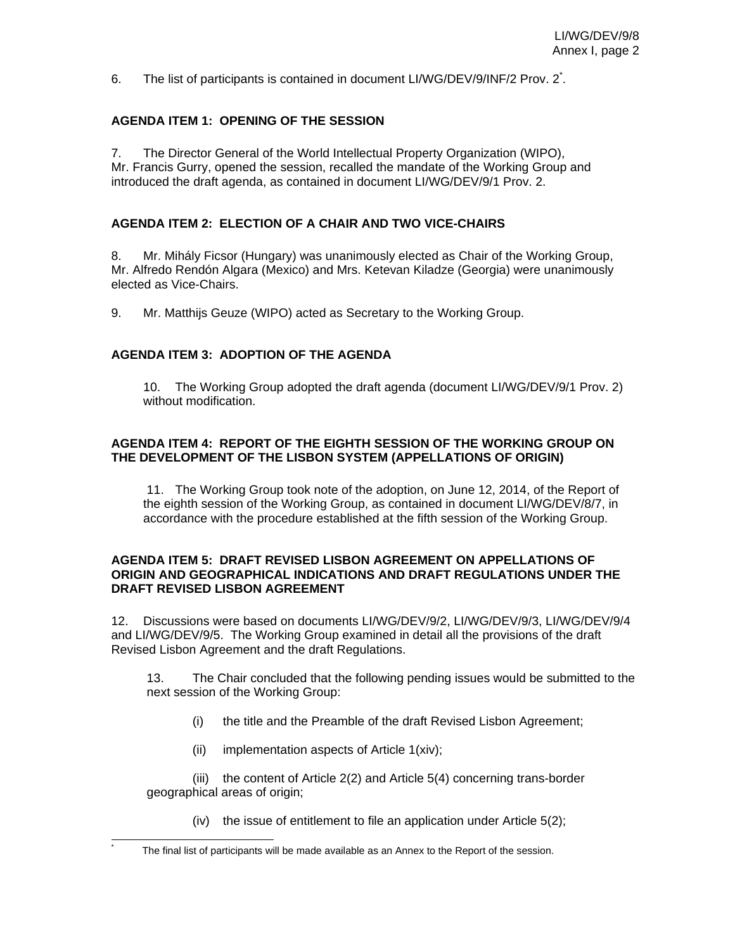6. The list of participants is contained in document LI/WG/DEV/9/INF/2 Prov. 2<sup>\*</sup>.

## **AGENDA ITEM 1: OPENING OF THE SESSION**

7. The Director General of the World Intellectual Property Organization (WIPO), Mr. Francis Gurry, opened the session, recalled the mandate of the Working Group and introduced the draft agenda, as contained in document LI/WG/DEV/9/1 Prov. 2.

## **AGENDA ITEM 2: ELECTION OF A CHAIR AND TWO VICE-CHAIRS**

8. Mr. Mihály Ficsor (Hungary) was unanimously elected as Chair of the Working Group, Mr. Alfredo Rendón Algara (Mexico) and Mrs. Ketevan Kiladze (Georgia) were unanimously elected as Vice-Chairs.

9. Mr. Matthijs Geuze (WIPO) acted as Secretary to the Working Group.

## **AGENDA ITEM 3: ADOPTION OF THE AGENDA**

10. The Working Group adopted the draft agenda (document LI/WG/DEV/9/1 Prov. 2) without modification

## **AGENDA ITEM 4: REPORT OF THE EIGHTH SESSION OF THE WORKING GROUP ON THE DEVELOPMENT OF THE LISBON SYSTEM (APPELLATIONS OF ORIGIN)**

11. The Working Group took note of the adoption, on June 12, 2014, of the Report of the eighth session of the Working Group, as contained in document LI/WG/DEV/8/7, in accordance with the procedure established at the fifth session of the Working Group.

#### **AGENDA ITEM 5: DRAFT REVISED LISBON AGREEMENT ON APPELLATIONS OF ORIGIN AND GEOGRAPHICAL INDICATIONS AND DRAFT REGULATIONS UNDER THE DRAFT REVISED LISBON AGREEMENT**

12. Discussions were based on documents LI/WG/DEV/9/2, LI/WG/DEV/9/3, LI/WG/DEV/9/4 and LI/WG/DEV/9/5. The Working Group examined in detail all the provisions of the draft Revised Lisbon Agreement and the draft Regulations.

 13. The Chair concluded that the following pending issues would be submitted to the next session of the Working Group:

- (i) the title and the Preamble of the draft Revised Lisbon Agreement;
- (ii) implementation aspects of Article 1(xiv);

l \*

(iii) the content of Article 2(2) and Article 5(4) concerning trans-border geographical areas of origin;

(iv) the issue of entitlement to file an application under Article 5(2);

The final list of participants will be made available as an Annex to the Report of the session.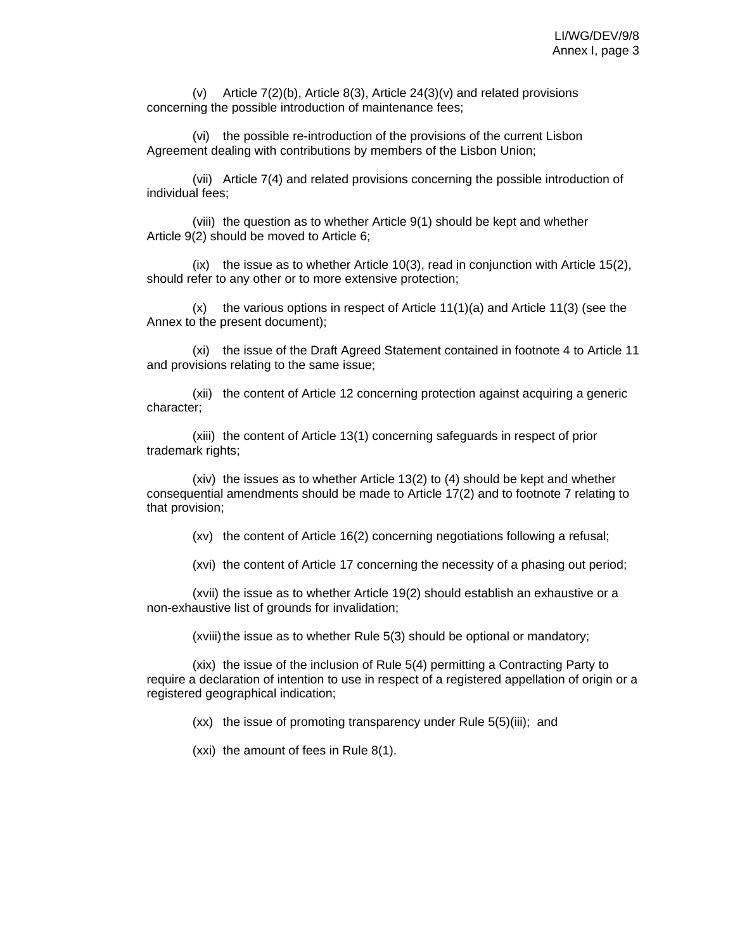(v) Article 7(2)(b), Article 8(3), Article 24(3)(v) and related provisions concerning the possible introduction of maintenance fees;

(vi) the possible re-introduction of the provisions of the current Lisbon Agreement dealing with contributions by members of the Lisbon Union;

(vii) Article 7(4) and related provisions concerning the possible introduction of individual fees;

(viii) the question as to whether Article 9(1) should be kept and whether Article 9(2) should be moved to Article 6;

(ix) the issue as to whether Article 10(3), read in conjunction with Article 15(2), should refer to any other or to more extensive protection;

 $(x)$  the various options in respect of Article 11(1)(a) and Article 11(3) (see the Annex to the present document);

(xi) the issue of the Draft Agreed Statement contained in footnote 4 to Article 11 and provisions relating to the same issue;

(xii) the content of Article 12 concerning protection against acquiring a generic character;

(xiii) the content of Article 13(1) concerning safeguards in respect of prior trademark rights;

(xiv) the issues as to whether Article 13(2) to (4) should be kept and whether consequential amendments should be made to Article 17(2) and to footnote 7 relating to that provision;

(xv) the content of Article 16(2) concerning negotiations following a refusal;

(xvi) the content of Article 17 concerning the necessity of a phasing out period;

(xvii) the issue as to whether Article 19(2) should establish an exhaustive or a non-exhaustive list of grounds for invalidation;

(xviii) the issue as to whether Rule 5(3) should be optional or mandatory;

(xix) the issue of the inclusion of Rule 5(4) permitting a Contracting Party to require a declaration of intention to use in respect of a registered appellation of origin or a registered geographical indication;

(xx) the issue of promoting transparency under Rule 5(5)(iii); and

(xxi) the amount of fees in Rule 8(1).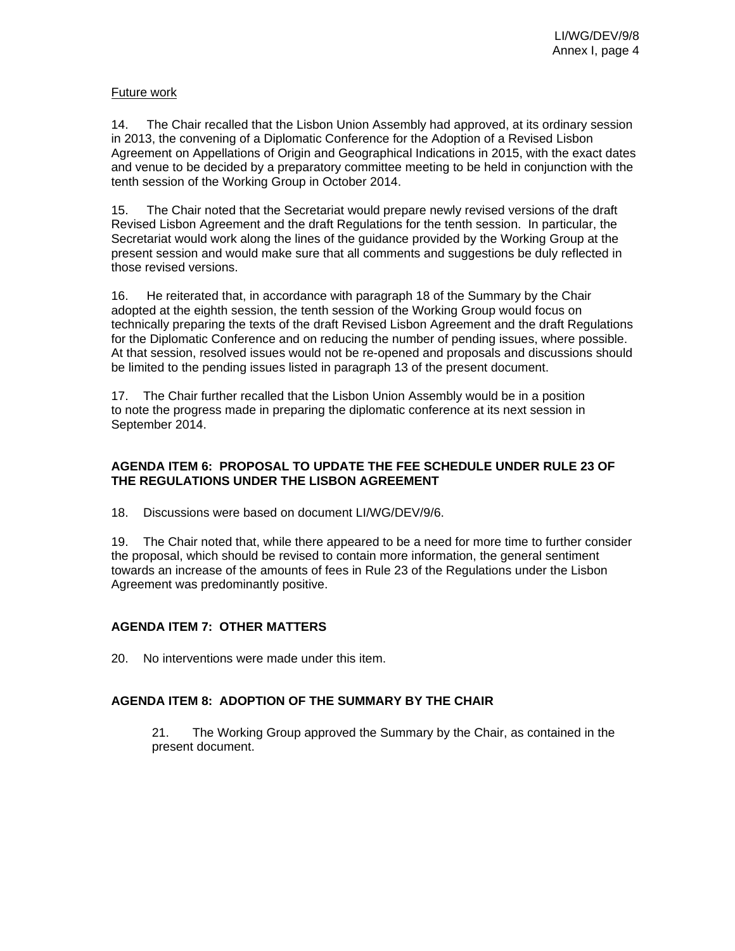## Future work

14. The Chair recalled that the Lisbon Union Assembly had approved, at its ordinary session in 2013, the convening of a Diplomatic Conference for the Adoption of a Revised Lisbon Agreement on Appellations of Origin and Geographical Indications in 2015, with the exact dates and venue to be decided by a preparatory committee meeting to be held in conjunction with the tenth session of the Working Group in October 2014.

15. The Chair noted that the Secretariat would prepare newly revised versions of the draft Revised Lisbon Agreement and the draft Regulations for the tenth session. In particular, the Secretariat would work along the lines of the guidance provided by the Working Group at the present session and would make sure that all comments and suggestions be duly reflected in those revised versions.

16. He reiterated that, in accordance with paragraph 18 of the Summary by the Chair adopted at the eighth session, the tenth session of the Working Group would focus on technically preparing the texts of the draft Revised Lisbon Agreement and the draft Regulations for the Diplomatic Conference and on reducing the number of pending issues, where possible. At that session, resolved issues would not be re-opened and proposals and discussions should be limited to the pending issues listed in paragraph 13 of the present document.

17. The Chair further recalled that the Lisbon Union Assembly would be in a position to note the progress made in preparing the diplomatic conference at its next session in September 2014.

## **AGENDA ITEM 6: PROPOSAL TO UPDATE THE FEE SCHEDULE UNDER RULE 23 OF THE REGULATIONS UNDER THE LISBON AGREEMENT**

18. Discussions were based on document LI/WG/DEV/9/6.

19. The Chair noted that, while there appeared to be a need for more time to further consider the proposal, which should be revised to contain more information, the general sentiment towards an increase of the amounts of fees in Rule 23 of the Regulations under the Lisbon Agreement was predominantly positive.

## **AGENDA ITEM 7: OTHER MATTERS**

20. No interventions were made under this item.

## **AGENDA ITEM 8: ADOPTION OF THE SUMMARY BY THE CHAIR**

21. The Working Group approved the Summary by the Chair, as contained in the present document.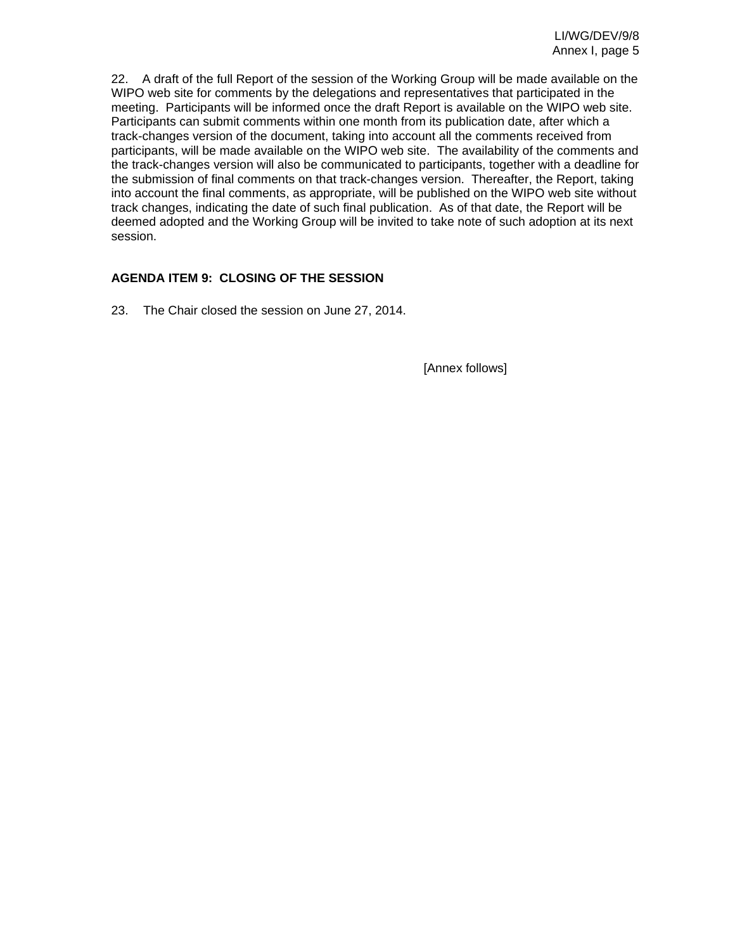22. A draft of the full Report of the session of the Working Group will be made available on the WIPO web site for comments by the delegations and representatives that participated in the meeting. Participants will be informed once the draft Report is available on the WIPO web site. Participants can submit comments within one month from its publication date, after which a track-changes version of the document, taking into account all the comments received from participants, will be made available on the WIPO web site. The availability of the comments and the track-changes version will also be communicated to participants, together with a deadline for the submission of final comments on that track-changes version. Thereafter, the Report, taking into account the final comments, as appropriate, will be published on the WIPO web site without track changes, indicating the date of such final publication. As of that date, the Report will be deemed adopted and the Working Group will be invited to take note of such adoption at its next session.

## **AGENDA ITEM 9: CLOSING OF THE SESSION**

23. The Chair closed the session on June 27, 2014.

[Annex follows]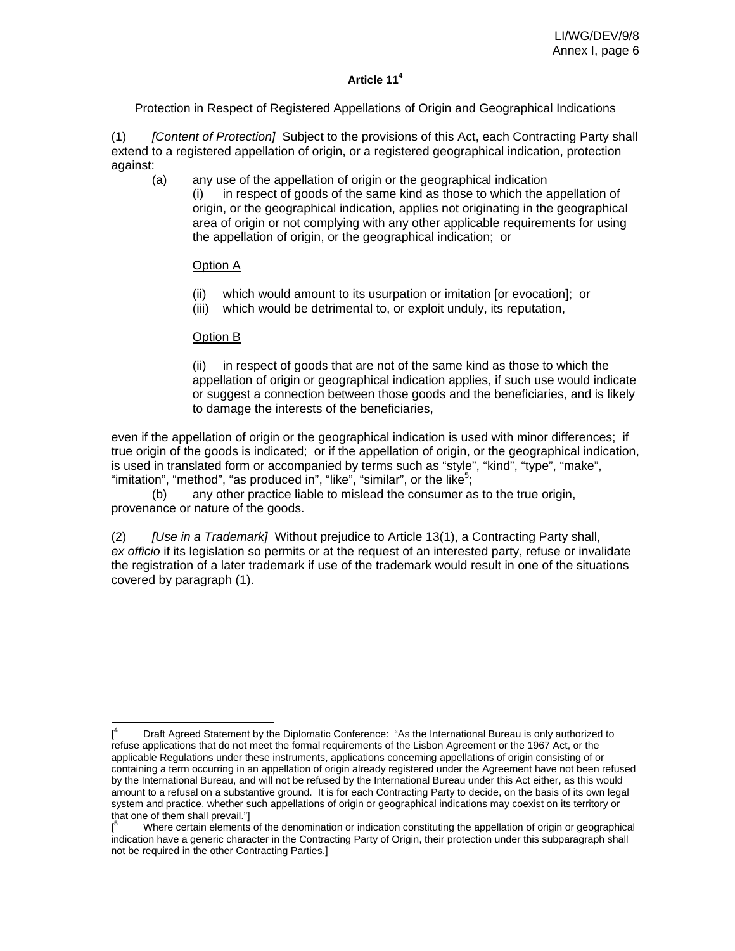## **Article 114**

Protection in Respect of Registered Appellations of Origin and Geographical Indications

(1) *[Content of Protection]* Subject to the provisions of this Act, each Contracting Party shall extend to a registered appellation of origin, or a registered geographical indication, protection against:

(a) any use of the appellation of origin or the geographical indication (i) in respect of goods of the same kind as those to which the appellation of origin, or the geographical indication, applies not originating in the geographical area of origin or not complying with any other applicable requirements for using the appellation of origin, or the geographical indication; or

## Option A

- (ii) which would amount to its usurpation or imitation [or evocation]; or
- (iii) which would be detrimental to, or exploit unduly, its reputation,

## Option B

 $\overline{a}$ 

(ii) in respect of goods that are not of the same kind as those to which the appellation of origin or geographical indication applies, if such use would indicate or suggest a connection between those goods and the beneficiaries, and is likely to damage the interests of the beneficiaries,

even if the appellation of origin or the geographical indication is used with minor differences; if true origin of the goods is indicated; or if the appellation of origin, or the geographical indication, is used in translated form or accompanied by terms such as "style", "kind", "type", "make", "imitation", "method", "as produced in", "like", "similar", or the like<sup>5</sup>;

 (b) any other practice liable to mislead the consumer as to the true origin, provenance or nature of the goods.

(2) *[Use in a Trademark]* Without prejudice to Article 13(1), a Contracting Party shall, *ex officio* if its legislation so permits or at the request of an interested party, refuse or invalidate the registration of a later trademark if use of the trademark would result in one of the situations covered by paragraph (1).

 $[$ <sup>4</sup> Draft Agreed Statement by the Diplomatic Conference: "As the International Bureau is only authorized to refuse applications that do not meet the formal requirements of the Lisbon Agreement or the 1967 Act, or the applicable Regulations under these instruments, applications concerning appellations of origin consisting of or containing a term occurring in an appellation of origin already registered under the Agreement have not been refused by the International Bureau, and will not be refused by the International Bureau under this Act either, as this would amount to a refusal on a substantive ground. It is for each Contracting Party to decide, on the basis of its own legal system and practice, whether such appellations of origin or geographical indications may coexist on its territory or that one of them shall prevail."]

<sup>[</sup> 5 Where certain elements of the denomination or indication constituting the appellation of origin or geographical indication have a generic character in the Contracting Party of Origin, their protection under this subparagraph shall not be required in the other Contracting Parties.]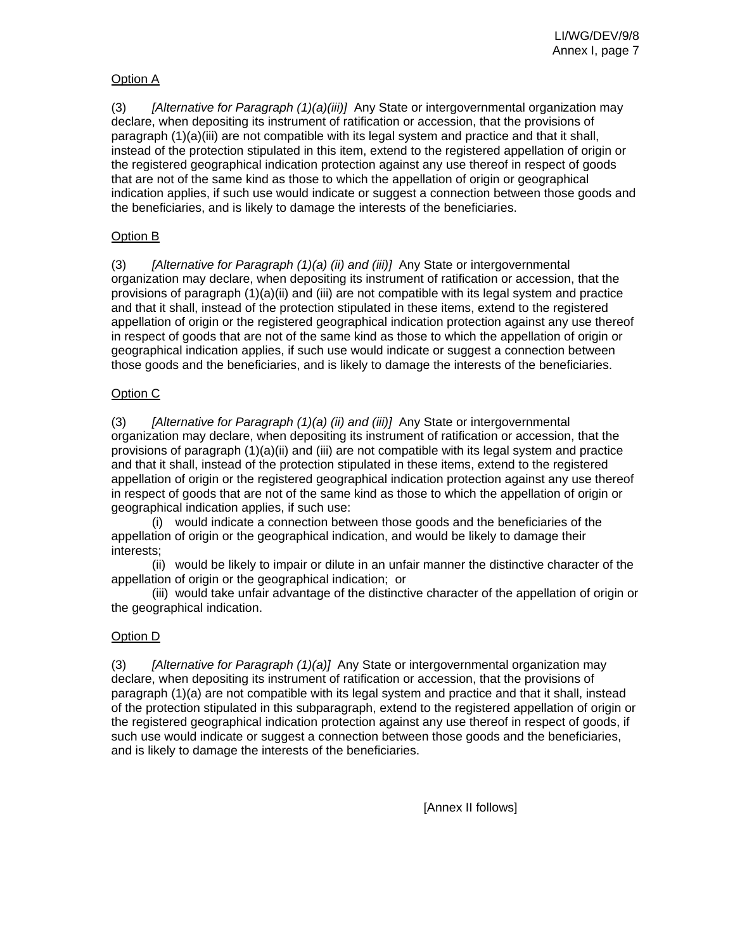## Option A

(3) *[Alternative for Paragraph (1)(a)(iii)]* Any State or intergovernmental organization may declare, when depositing its instrument of ratification or accession, that the provisions of paragraph (1)(a)(iii) are not compatible with its legal system and practice and that it shall, instead of the protection stipulated in this item, extend to the registered appellation of origin or the registered geographical indication protection against any use thereof in respect of goods that are not of the same kind as those to which the appellation of origin or geographical indication applies, if such use would indicate or suggest a connection between those goods and the beneficiaries, and is likely to damage the interests of the beneficiaries.

## Option B

(3) *[Alternative for Paragraph (1)(a) (ii) and (iii)]* Any State or intergovernmental organization may declare, when depositing its instrument of ratification or accession, that the provisions of paragraph (1)(a)(ii) and (iii) are not compatible with its legal system and practice and that it shall, instead of the protection stipulated in these items, extend to the registered appellation of origin or the registered geographical indication protection against any use thereof in respect of goods that are not of the same kind as those to which the appellation of origin or geographical indication applies, if such use would indicate or suggest a connection between those goods and the beneficiaries, and is likely to damage the interests of the beneficiaries.

## Option C

(3) *[Alternative for Paragraph (1)(a) (ii) and (iii)]* Any State or intergovernmental organization may declare, when depositing its instrument of ratification or accession, that the provisions of paragraph  $(1)(a)(ii)$  and  $(iii)$  are not compatible with its legal system and practice and that it shall, instead of the protection stipulated in these items, extend to the registered appellation of origin or the registered geographical indication protection against any use thereof in respect of goods that are not of the same kind as those to which the appellation of origin or geographical indication applies, if such use:

 (i) would indicate a connection between those goods and the beneficiaries of the appellation of origin or the geographical indication, and would be likely to damage their interests;

 (ii) would be likely to impair or dilute in an unfair manner the distinctive character of the appellation of origin or the geographical indication; or

 (iii) would take unfair advantage of the distinctive character of the appellation of origin or the geographical indication.

#### Option D

(3) *[Alternative for Paragraph (1)(a)]* Any State or intergovernmental organization may declare, when depositing its instrument of ratification or accession, that the provisions of paragraph (1)(a) are not compatible with its legal system and practice and that it shall, instead of the protection stipulated in this subparagraph, extend to the registered appellation of origin or the registered geographical indication protection against any use thereof in respect of goods, if such use would indicate or suggest a connection between those goods and the beneficiaries, and is likely to damage the interests of the beneficiaries.

[Annex II follows]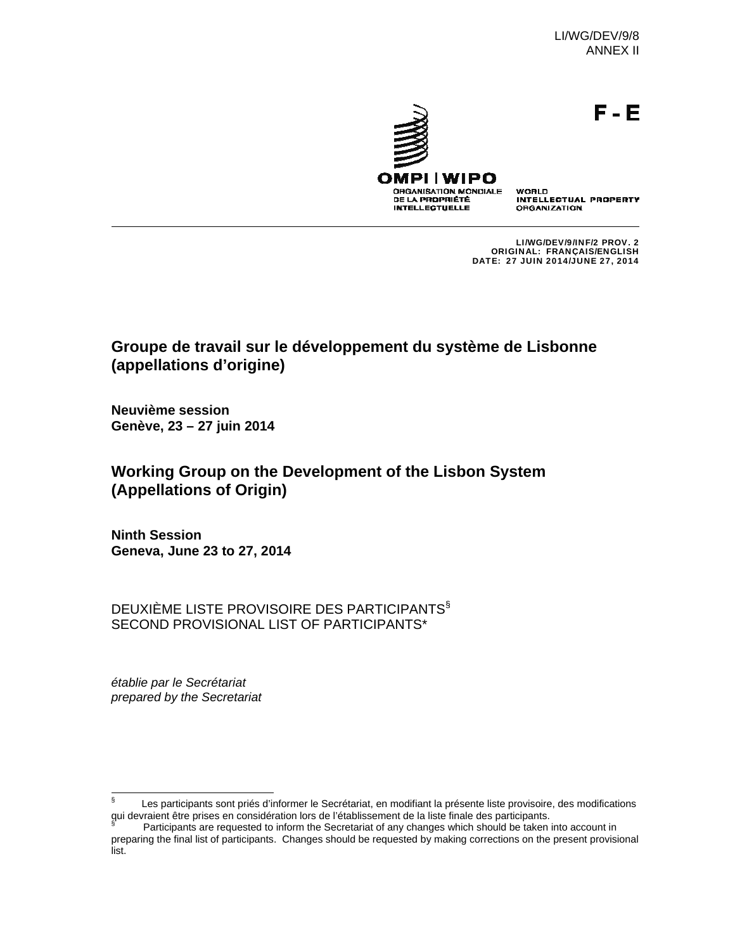LI/WG/DEV/9/8 ANNEX II



F-E

OMPI WIPO **ORGANISATION MONDIALE** 

DE LA PROPRIÉTÉ **INTELLECTUELLE**  WORLD **INTELLECTUAL PROPERTY ORGANIZATION** 

LI/WG/DEV/9/INF/2 PROV. 2 ORIGINAL: FRANÇAIS/ENGLISH DATE: 27 JUIN 2014/JUNE 27, 2014

# **Groupe de travail sur le développement du système de Lisbonne (appellations d'origine)**

**Neuvième session Genève, 23 – 27 juin 2014**

# **Working Group on the Development of the Lisbon System (Appellations of Origin)**

**Ninth Session Geneva, June 23 to 27, 2014**

DEUXIÈME LISTE PROVISOIRE DES PARTICIPANTS§ SECOND PROVISIONAL LIST OF PARTICIPANTS\*

*établie par le Secrétariat prepared by the Secretariat* 

<sup>∫&</sup>lt;br>§ Les participants sont priés d'informer le Secrétariat, en modifiant la présente liste provisoire, des modifications qui devraient être prises en considération lors de l'établissement de la liste finale des participants.<br>Sur l'Octicipante era requested te inferm the Sesseteriet et any changes unich should be telese i

Participants are requested to inform the Secretariat of any changes which should be taken into account in preparing the final list of participants. Changes should be requested by making corrections on the present provisional list.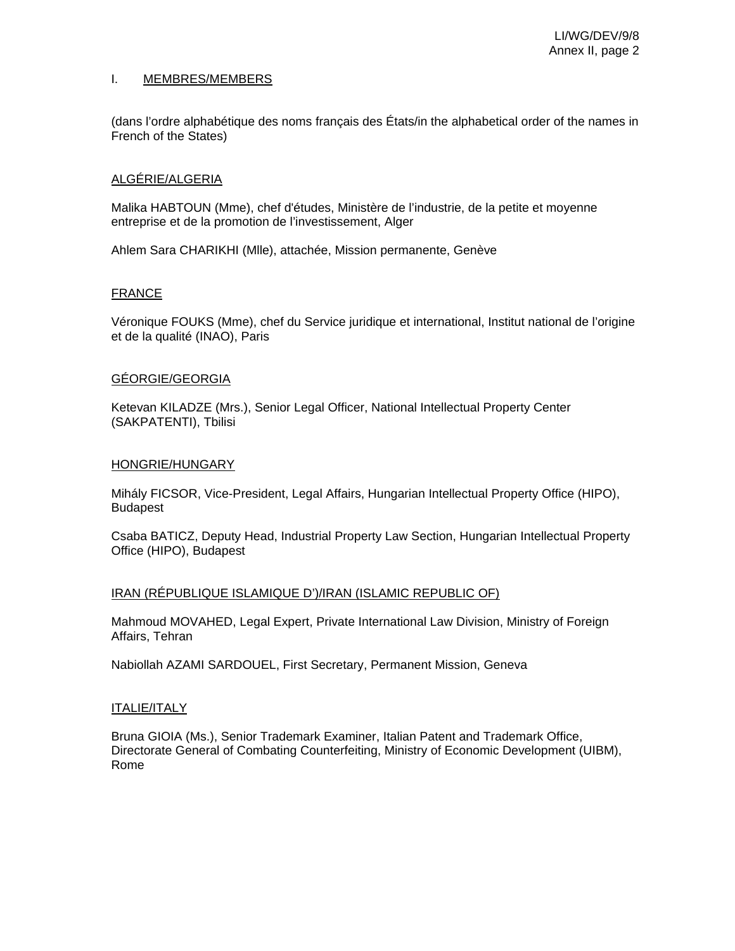#### I. MEMBRES/MEMBERS

(dans l'ordre alphabétique des noms français des États/in the alphabetical order of the names in French of the States)

#### ALGÉRIE/ALGERIA

Malika HABTOUN (Mme), chef d'études, Ministère de l'industrie, de la petite et moyenne entreprise et de la promotion de l'investissement, Alger

Ahlem Sara CHARIKHI (Mlle), attachée, Mission permanente, Genève

#### FRANCE

Véronique FOUKS (Mme), chef du Service juridique et international, Institut national de l'origine et de la qualité (INAO), Paris

#### GÉORGIE/GEORGIA

Ketevan KILADZE (Mrs.), Senior Legal Officer, National Intellectual Property Center (SAKPATENTI), Tbilisi

#### HONGRIE/HUNGARY

Mihály FICSOR, Vice-President, Legal Affairs, Hungarian Intellectual Property Office (HIPO), Budapest

Csaba BATICZ, Deputy Head, Industrial Property Law Section, Hungarian Intellectual Property Office (HIPO), Budapest

#### IRAN (RÉPUBLIQUE ISLAMIQUE D')/IRAN (ISLAMIC REPUBLIC OF)

Mahmoud MOVAHED, Legal Expert, Private International Law Division, Ministry of Foreign Affairs, Tehran

Nabiollah AZAMI SARDOUEL, First Secretary, Permanent Mission, Geneva

#### ITALIE/ITALY

Bruna GIOIA (Ms.), Senior Trademark Examiner, Italian Patent and Trademark Office, Directorate General of Combating Counterfeiting, Ministry of Economic Development (UIBM), Rome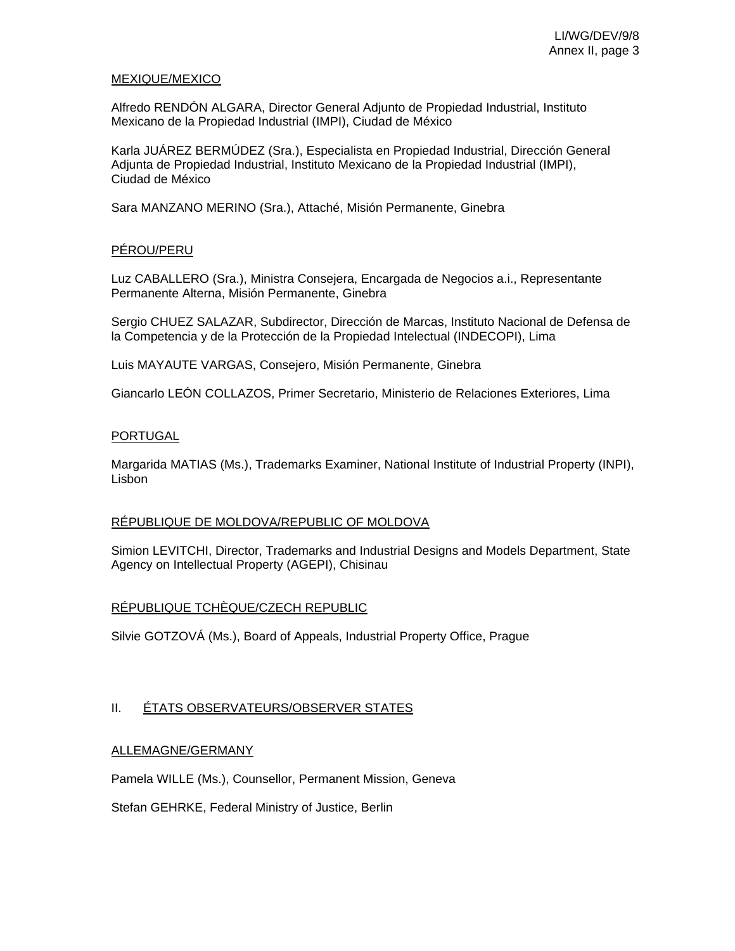#### MEXIQUE/MEXICO

Alfredo RENDÓN ALGARA, Director General Adjunto de Propiedad Industrial, Instituto Mexicano de la Propiedad Industrial (IMPI), Ciudad de México

Karla JUÁREZ BERMÚDEZ (Sra.), Especialista en Propiedad Industrial, Dirección General Adjunta de Propiedad Industrial, Instituto Mexicano de la Propiedad Industrial (IMPI), Ciudad de México

Sara MANZANO MERINO (Sra.), Attaché, Misión Permanente, Ginebra

## PÉROU/PERU

Luz CABALLERO (Sra.), Ministra Consejera, Encargada de Negocios a.i., Representante Permanente Alterna, Misión Permanente, Ginebra

Sergio CHUEZ SALAZAR, Subdirector, Dirección de Marcas, Instituto Nacional de Defensa de la Competencia y de la Protección de la Propiedad Intelectual (INDECOPI), Lima

Luis MAYAUTE VARGAS, Consejero, Misión Permanente, Ginebra

Giancarlo LEÓN COLLAZOS, Primer Secretario, Ministerio de Relaciones Exteriores, Lima

## PORTUGAL

Margarida MATIAS (Ms.), Trademarks Examiner, National Institute of Industrial Property (INPI), Lisbon

## RÉPUBLIQUE DE MOLDOVA/REPUBLIC OF MOLDOVA

Simion LEVITCHI, Director, Trademarks and Industrial Designs and Models Department, State Agency on Intellectual Property (AGEPI), Chisinau

## RÉPUBLIQUE TCHÈQUE/CZECH REPUBLIC

Silvie GOTZOVÁ (Ms.), Board of Appeals, Industrial Property Office, Prague

## II. ÉTATS OBSERVATEURS/OBSERVER STATES

## ALLEMAGNE/GERMANY

Pamela WILLE (Ms.), Counsellor, Permanent Mission, Geneva

Stefan GEHRKE, Federal Ministry of Justice, Berlin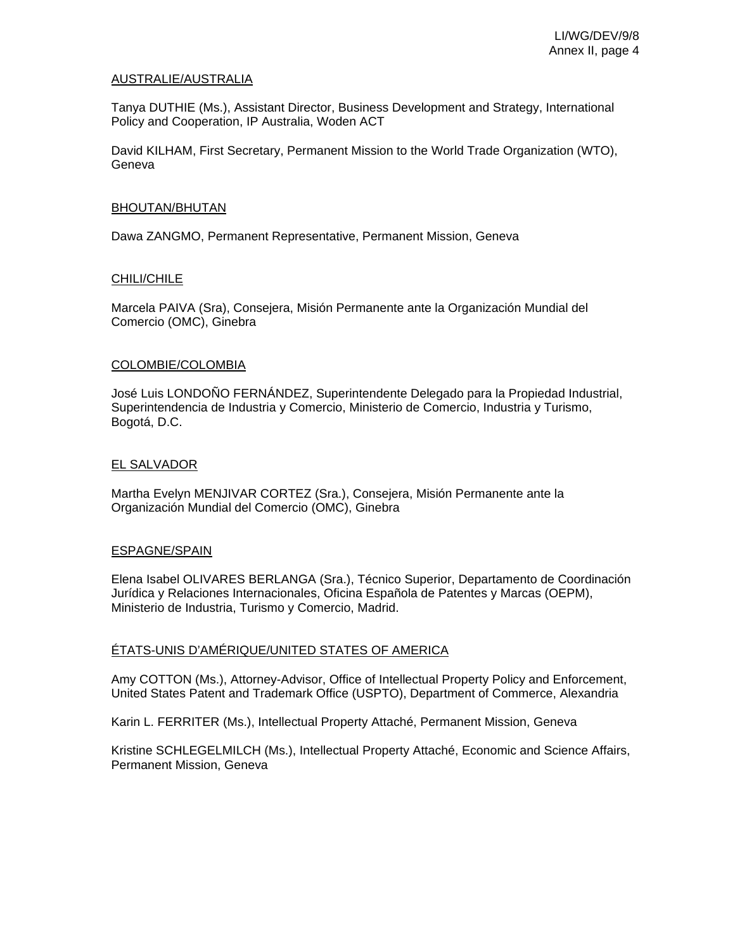#### AUSTRALIE/AUSTRALIA

Tanya DUTHIE (Ms.), Assistant Director, Business Development and Strategy, International Policy and Cooperation, IP Australia, Woden ACT

David KILHAM, First Secretary, Permanent Mission to the World Trade Organization (WTO), Geneva

#### BHOUTAN/BHUTAN

Dawa ZANGMO, Permanent Representative, Permanent Mission, Geneva

#### CHILI/CHILE

Marcela PAIVA (Sra), Consejera, Misión Permanente ante la Organización Mundial del Comercio (OMC), Ginebra

#### COLOMBIE/COLOMBIA

José Luis LONDOÑO FERNÁNDEZ, Superintendente Delegado para la Propiedad Industrial, Superintendencia de Industria y Comercio, Ministerio de Comercio, Industria y Turismo, Bogotá, D.C.

#### EL SALVADOR

Martha Evelyn MENJIVAR CORTEZ (Sra.), Consejera, Misión Permanente ante la Organización Mundial del Comercio (OMC), Ginebra

#### ESPAGNE/SPAIN

Elena Isabel OLIVARES BERLANGA (Sra.), Técnico Superior, Departamento de Coordinación Jurídica y Relaciones Internacionales, Oficina Española de Patentes y Marcas (OEPM), Ministerio de Industria, Turismo y Comercio, Madrid.

#### ÉTATS-UNIS D'AMÉRIQUE/UNITED STATES OF AMERICA

Amy COTTON (Ms.), Attorney-Advisor, Office of Intellectual Property Policy and Enforcement, United States Patent and Trademark Office (USPTO), Department of Commerce, Alexandria

Karin L. FERRITER (Ms.), Intellectual Property Attaché, Permanent Mission, Geneva

Kristine SCHLEGELMILCH (Ms.), Intellectual Property Attaché, Economic and Science Affairs, Permanent Mission, Geneva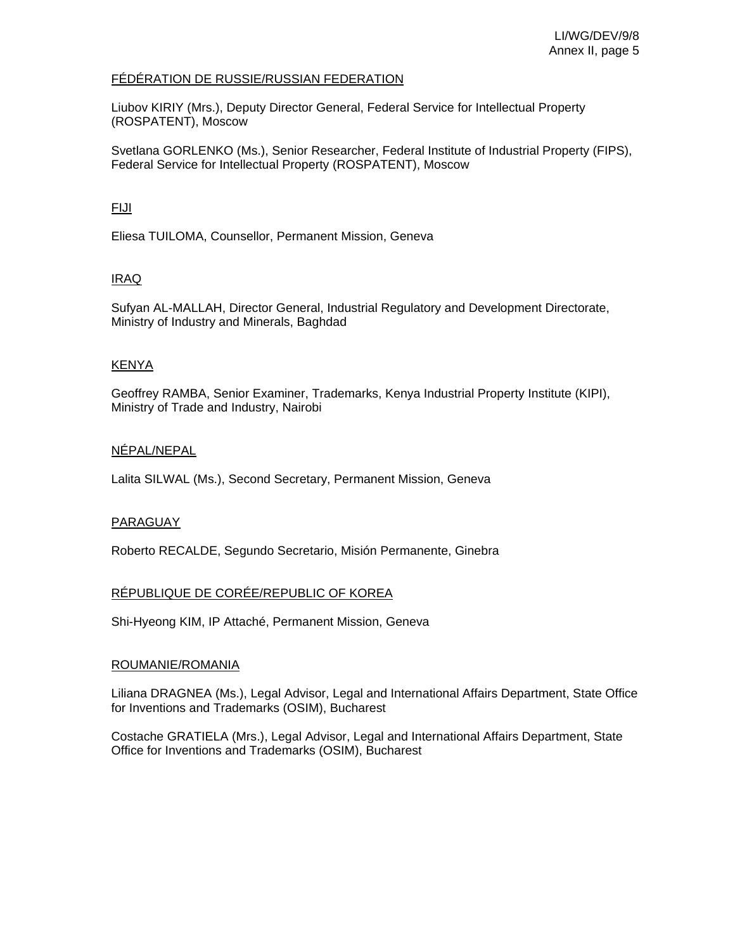### FÉDÉRATION DE RUSSIE/RUSSIAN FEDERATION

Liubov KIRIY (Mrs.), Deputy Director General, Federal Service for Intellectual Property (ROSPATENT), Moscow

Svetlana GORLENKO (Ms.), Senior Researcher, Federal Institute of Industrial Property (FIPS), Federal Service for Intellectual Property (ROSPATENT), Moscow

## FIJI

Eliesa TUILOMA, Counsellor, Permanent Mission, Geneva

## IRAQ

Sufyan AL-MALLAH, Director General, Industrial Regulatory and Development Directorate, Ministry of Industry and Minerals, Baghdad

## KENYA

Geoffrey RAMBA, Senior Examiner, Trademarks, Kenya Industrial Property Institute (KIPI), Ministry of Trade and Industry, Nairobi

## NÉPAL/NEPAL

Lalita SILWAL (Ms.), Second Secretary, Permanent Mission, Geneva

## PARAGUAY

Roberto RECALDE, Segundo Secretario, Misión Permanente, Ginebra

## RÉPUBLIQUE DE CORÉE/REPUBLIC OF KOREA

Shi-Hyeong KIM, IP Attaché, Permanent Mission, Geneva

#### ROUMANIE/ROMANIA

Liliana DRAGNEA (Ms.), Legal Advisor, Legal and International Affairs Department, State Office for Inventions and Trademarks (OSIM), Bucharest

Costache GRATIELA (Mrs.), Legal Advisor, Legal and International Affairs Department, State Office for Inventions and Trademarks (OSIM), Bucharest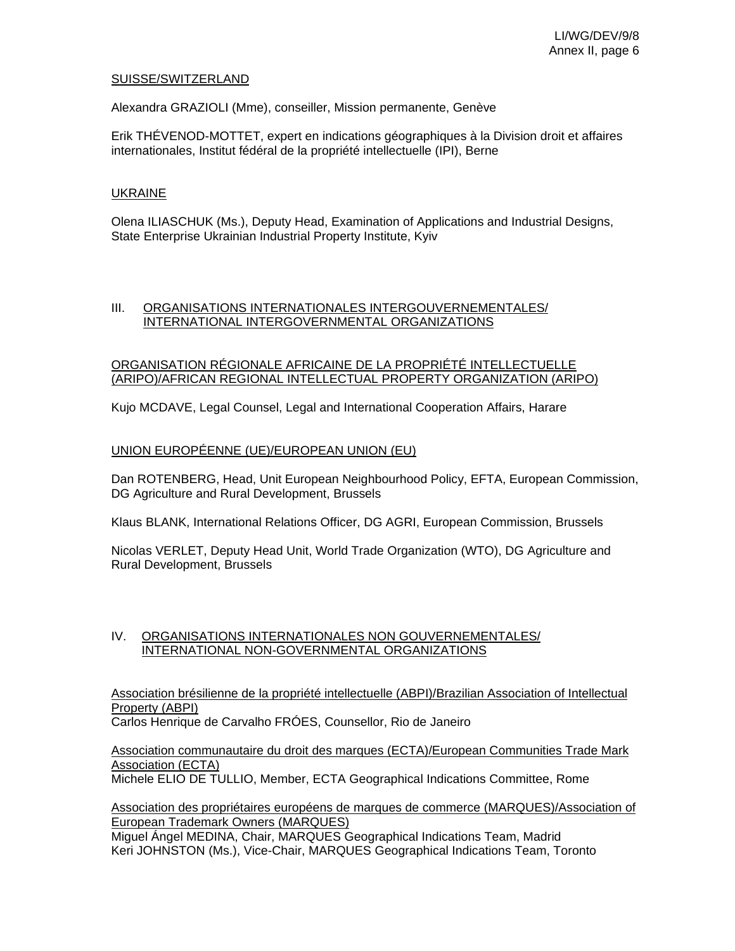#### SUISSE/SWITZERLAND

Alexandra GRAZIOLI (Mme), conseiller, Mission permanente, Genève

Erik THÉVENOD-MOTTET, expert en indications géographiques à la Division droit et affaires internationales, Institut fédéral de la propriété intellectuelle (IPI), Berne

### UKRAINE

Olena ILIASCHUK (Ms.), Deputy Head, Examination of Applications and Industrial Designs, State Enterprise Ukrainian Industrial Property Institute, Kyiv

### III. ORGANISATIONS INTERNATIONALES INTERGOUVERNEMENTALES/ INTERNATIONAL INTERGOVERNMENTAL ORGANIZATIONS

#### ORGANISATION RÉGIONALE AFRICAINE DE LA PROPRIÉTÉ INTELLECTUELLE (ARIPO)/AFRICAN REGIONAL INTELLECTUAL PROPERTY ORGANIZATION (ARIPO)

Kujo MCDAVE, Legal Counsel, Legal and International Cooperation Affairs, Harare

#### UNION EUROPÉENNE (UE)/EUROPEAN UNION (EU)

Dan ROTENBERG, Head, Unit European Neighbourhood Policy, EFTA, European Commission, DG Agriculture and Rural Development, Brussels

Klaus BLANK, International Relations Officer, DG AGRI, European Commission, Brussels

Nicolas VERLET, Deputy Head Unit, World Trade Organization (WTO), DG Agriculture and Rural Development, Brussels

#### IV. ORGANISATIONS INTERNATIONALES NON GOUVERNEMENTALES/ INTERNATIONAL NON-GOVERNMENTAL ORGANIZATIONS

Association brésilienne de la propriété intellectuelle (ABPI)/Brazilian Association of Intellectual Property (ABPI)

Carlos Henrique de Carvalho FRÓES, Counsellor, Rio de Janeiro

Association communautaire du droit des marques (ECTA)/European Communities Trade Mark Association (ECTA)

Michele ELIO DE TULLIO, Member, ECTA Geographical Indications Committee, Rome

#### Association des propriétaires européens de marques de commerce (MARQUES)/Association of European Trademark Owners (MARQUES)

Miguel Ángel MEDINA, Chair, MARQUES Geographical Indications Team, Madrid Keri JOHNSTON (Ms.), Vice-Chair, MARQUES Geographical Indications Team, Toronto